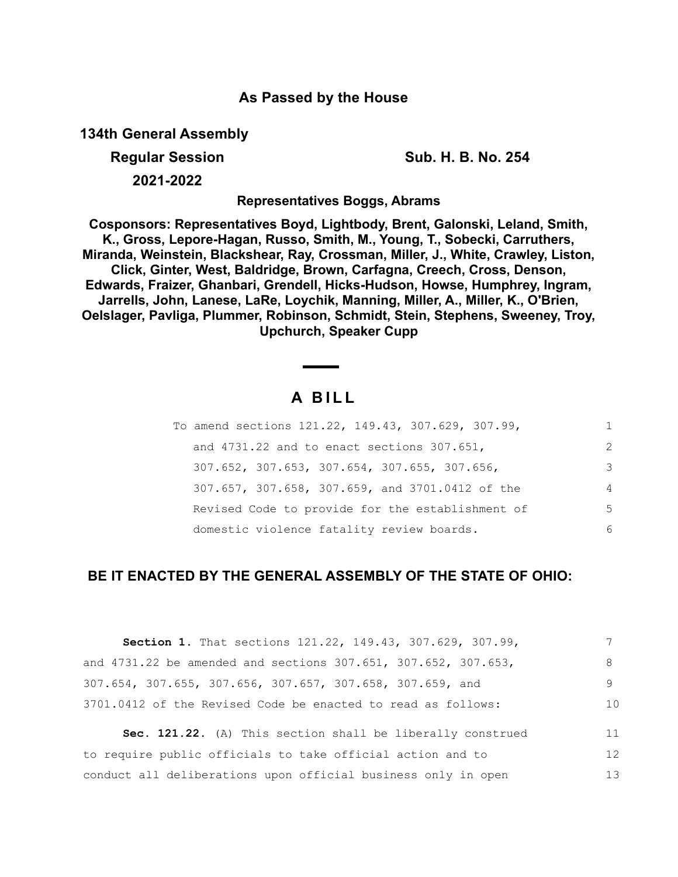## **As Passed by the House**

**134th General Assembly**

**Regular Session Sub. H. B. No. 254**

**2021-2022**

**Representatives Boggs, Abrams**

**Cosponsors: Representatives Boyd, Lightbody, Brent, Galonski, Leland, Smith, K., Gross, Lepore-Hagan, Russo, Smith, M., Young, T., Sobecki, Carruthers, Miranda, Weinstein, Blackshear, Ray, Crossman, Miller, J., White, Crawley, Liston, Click, Ginter, West, Baldridge, Brown, Carfagna, Creech, Cross, Denson, Edwards, Fraizer, Ghanbari, Grendell, Hicks-Hudson, Howse, Humphrey, Ingram, Jarrells, John, Lanese, LaRe, Loychik, Manning, Miller, A., Miller, K., O'Brien, Oelslager, Pavliga, Plummer, Robinson, Schmidt, Stein, Stephens, Sweeney, Troy, Upchurch, Speaker Cupp**

# **A B I L L**

| To amend sections 121.22, 149.43, 307.629, 307.99, | 1              |
|----------------------------------------------------|----------------|
| and 4731.22 and to enact sections 307.651,         | 2              |
| 307.652, 307.653, 307.654, 307.655, 307.656,       | 3              |
| 307.657, 307.658, 307.659, and 3701.0412 of the    | $\overline{4}$ |
| Revised Code to provide for the establishment of   | 5              |
| domestic violence fatality review boards.          | 6              |

# **BE IT ENACTED BY THE GENERAL ASSEMBLY OF THE STATE OF OHIO:**

| Section 1. That sections 121.22, 149.43, 307.629, 307.99,                 |                |
|---------------------------------------------------------------------------|----------------|
| and $4731.22$ be amended and sections $307.651$ , $307.652$ , $307.653$ , | 8              |
| 307.654, 307.655, 307.656, 307.657, 307.658, 307.659, and                 | 9              |
| 3701.0412 of the Revised Code be enacted to read as follows:              | 1 <sub>0</sub> |
| Sec. 121.22. (A) This section shall be liberally construed                | 11             |
| to require public officials to take official action and to                | 12             |
| conduct all deliberations upon official business only in open             | 13             |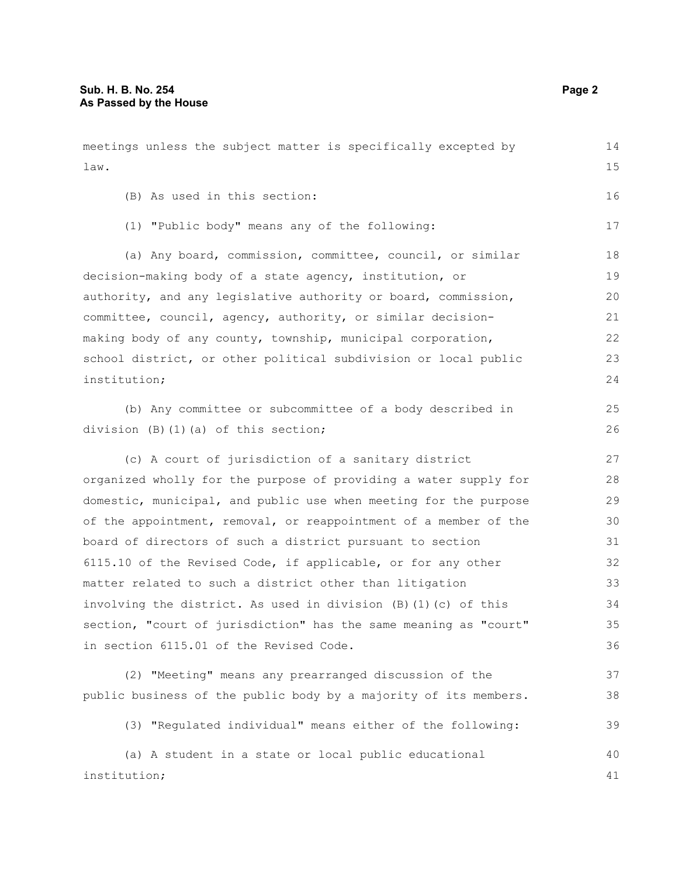meetings unless the subject matter is specifically excepted by law. (B) As used in this section: (1) "Public body" means any of the following: (a) Any board, commission, committee, council, or similar decision-making body of a state agency, institution, or authority, and any legislative authority or board, commission, committee, council, agency, authority, or similar decisionmaking body of any county, township, municipal corporation, school district, or other political subdivision or local public institution; (b) Any committee or subcommittee of a body described in division (B)(1)(a) of this section; (c) A court of jurisdiction of a sanitary district organized wholly for the purpose of providing a water supply for domestic, municipal, and public use when meeting for the purpose of the appointment, removal, or reappointment of a member of the board of directors of such a district pursuant to section 6115.10 of the Revised Code, if applicable, or for any other matter related to such a district other than litigation involving the district. As used in division (B)(1)(c) of this section, "court of jurisdiction" has the same meaning as "court" in section 6115.01 of the Revised Code. (2) "Meeting" means any prearranged discussion of the public business of the public body by a majority of its members. (3) "Regulated individual" means either of the following: (a) A student in a state or local public educational institution; 14 15 16 17 18 19  $20$ 21 22 23 24 25 26 27 28 29 30 31 32 33 34 35 36 37 38 39 40 41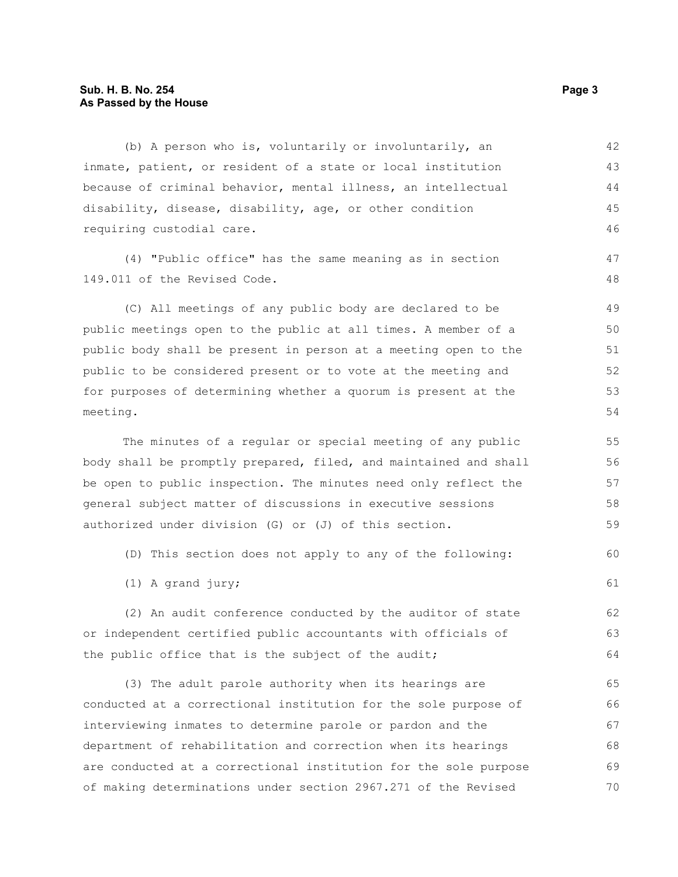#### **Sub. H. B. No. 254 Page 3 As Passed by the House**

(b) A person who is, voluntarily or involuntarily, an inmate, patient, or resident of a state or local institution because of criminal behavior, mental illness, an intellectual disability, disease, disability, age, or other condition requiring custodial care. 42 43 44 45 46

(4) "Public office" has the same meaning as in section 149.011 of the Revised Code.

(C) All meetings of any public body are declared to be public meetings open to the public at all times. A member of a public body shall be present in person at a meeting open to the public to be considered present or to vote at the meeting and for purposes of determining whether a quorum is present at the meeting.

The minutes of a regular or special meeting of any public body shall be promptly prepared, filed, and maintained and shall be open to public inspection. The minutes need only reflect the general subject matter of discussions in executive sessions authorized under division (G) or (J) of this section.

(D) This section does not apply to any of the following:

(1) A grand jury;

(2) An audit conference conducted by the auditor of state or independent certified public accountants with officials of the public office that is the subject of the audit;

(3) The adult parole authority when its hearings are conducted at a correctional institution for the sole purpose of interviewing inmates to determine parole or pardon and the department of rehabilitation and correction when its hearings are conducted at a correctional institution for the sole purpose of making determinations under section 2967.271 of the Revised 65 66 67 68 69 70

60

61

62 63 64

47 48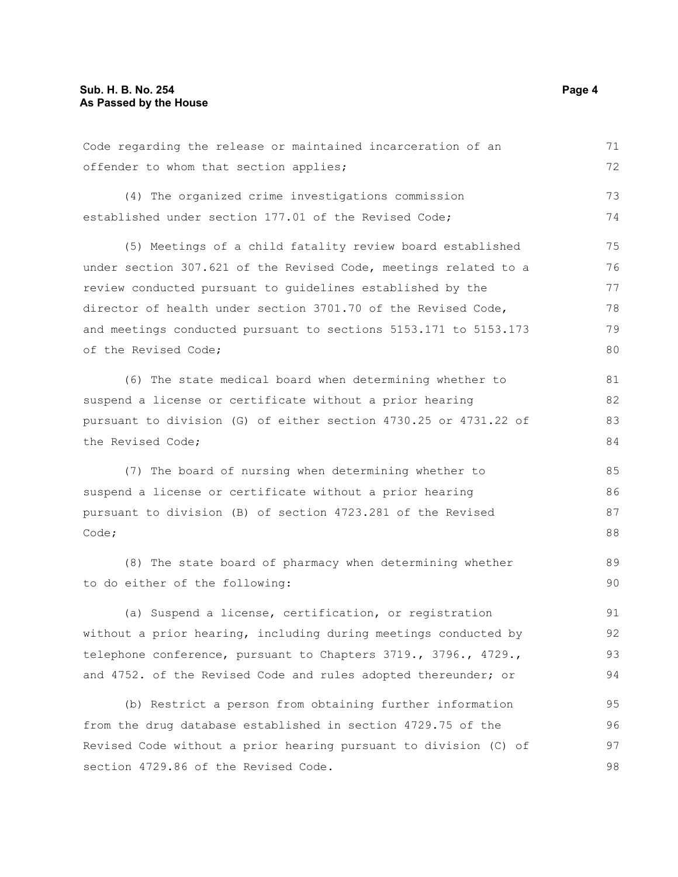section 4729.86 of the Revised Code.

Code regarding the release or maintained incarceration of an offender to whom that section applies; (4) The organized crime investigations commission established under section 177.01 of the Revised Code; (5) Meetings of a child fatality review board established under section 307.621 of the Revised Code, meetings related to a review conducted pursuant to guidelines established by the director of health under section 3701.70 of the Revised Code, and meetings conducted pursuant to sections 5153.171 to 5153.173 of the Revised Code; (6) The state medical board when determining whether to suspend a license or certificate without a prior hearing pursuant to division (G) of either section 4730.25 or 4731.22 of the Revised Code; (7) The board of nursing when determining whether to suspend a license or certificate without a prior hearing pursuant to division (B) of section 4723.281 of the Revised Code; (8) The state board of pharmacy when determining whether to do either of the following: (a) Suspend a license, certification, or registration without a prior hearing, including during meetings conducted by telephone conference, pursuant to Chapters 3719., 3796., 4729., and 4752. of the Revised Code and rules adopted thereunder; or (b) Restrict a person from obtaining further information from the drug database established in section 4729.75 of the Revised Code without a prior hearing pursuant to division (C) of 71 72 73 74 75 76 77 78 79 80 81 82 83 84 85 86 87 88 89 90 91 92 93 94 95 96 97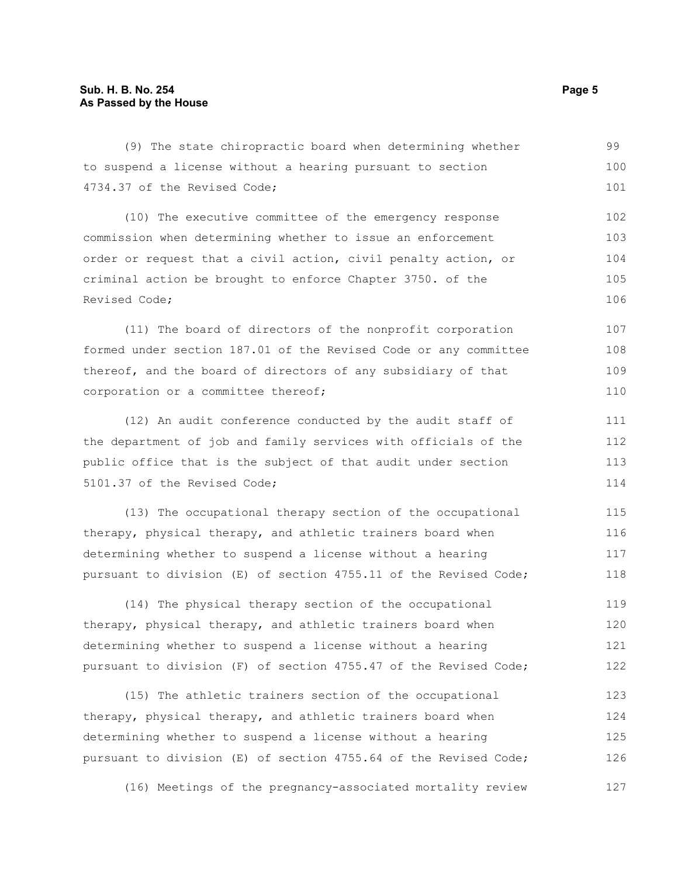| (9) The state chiropractic board when determining whether        | 99  |
|------------------------------------------------------------------|-----|
| to suspend a license without a hearing pursuant to section       | 100 |
| 4734.37 of the Revised Code;                                     | 101 |
| (10) The executive committee of the emergency response           | 102 |
| commission when determining whether to issue an enforcement      | 103 |
| order or request that a civil action, civil penalty action, or   | 104 |
| criminal action be brought to enforce Chapter 3750. of the       | 105 |
| Revised Code;                                                    | 106 |
| (11) The board of directors of the nonprofit corporation         | 107 |
| formed under section 187.01 of the Revised Code or any committee | 108 |
| thereof, and the board of directors of any subsidiary of that    | 109 |
| corporation or a committee thereof;                              | 110 |
| (12) An audit conference conducted by the audit staff of         | 111 |
| the department of job and family services with officials of the  | 112 |
| public office that is the subject of that audit under section    | 113 |
| 5101.37 of the Revised Code;                                     | 114 |
| (13) The occupational therapy section of the occupational        | 115 |
| therapy, physical therapy, and athletic trainers board when      | 116 |
| determining whether to suspend a license without a hearing       | 117 |
| pursuant to division (E) of section 4755.11 of the Revised Code; | 118 |
| (14) The physical therapy section of the occupational            | 119 |
| therapy, physical therapy, and athletic trainers board when      | 120 |
| determining whether to suspend a license without a hearing       | 121 |
| pursuant to division (F) of section 4755.47 of the Revised Code; | 122 |
| (15) The athletic trainers section of the occupational           | 123 |
| therapy, physical therapy, and athletic trainers board when      | 124 |
| determining whether to suspend a license without a hearing       | 125 |
| pursuant to division (E) of section 4755.64 of the Revised Code; | 126 |
|                                                                  |     |

(16) Meetings of the pregnancy-associated mortality review 127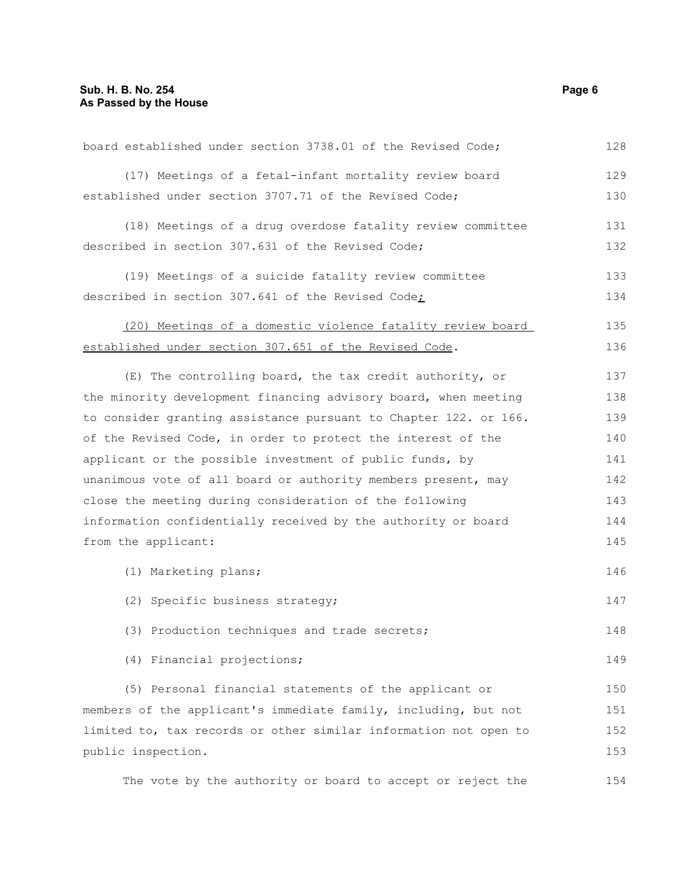| board established under section 3738.01 of the Revised Code;     | 128 |  |  |  |  |  |  |
|------------------------------------------------------------------|-----|--|--|--|--|--|--|
| (17) Meetings of a fetal-infant mortality review board           | 129 |  |  |  |  |  |  |
| established under section 3707.71 of the Revised Code;           | 130 |  |  |  |  |  |  |
| (18) Meetings of a drug overdose fatality review committee       | 131 |  |  |  |  |  |  |
| described in section 307.631 of the Revised Code;                | 132 |  |  |  |  |  |  |
| (19) Meetings of a suicide fatality review committee             | 133 |  |  |  |  |  |  |
| described in section 307.641 of the Revised Code;                | 134 |  |  |  |  |  |  |
| (20) Meetings of a domestic violence fatality review board       | 135 |  |  |  |  |  |  |
| established under section 307.651 of the Revised Code.           | 136 |  |  |  |  |  |  |
| (E) The controlling board, the tax credit authority, or          | 137 |  |  |  |  |  |  |
| the minority development financing advisory board, when meeting  | 138 |  |  |  |  |  |  |
| to consider granting assistance pursuant to Chapter 122. or 166. | 139 |  |  |  |  |  |  |
| of the Revised Code, in order to protect the interest of the     |     |  |  |  |  |  |  |
| applicant or the possible investment of public funds, by         |     |  |  |  |  |  |  |
| unanimous vote of all board or authority members present, may    |     |  |  |  |  |  |  |
| close the meeting during consideration of the following          |     |  |  |  |  |  |  |
| information confidentially received by the authority or board    |     |  |  |  |  |  |  |
| from the applicant:                                              | 145 |  |  |  |  |  |  |
| (1) Marketing plans;                                             | 146 |  |  |  |  |  |  |
| (2) Specific business strategy;                                  | 147 |  |  |  |  |  |  |
| (3) Production techniques and trade secrets;                     | 148 |  |  |  |  |  |  |
| (4) Financial projections;                                       | 149 |  |  |  |  |  |  |
| (5) Personal financial statements of the applicant or            | 150 |  |  |  |  |  |  |
| members of the applicant's immediate family, including, but not  | 151 |  |  |  |  |  |  |
| limited to, tax records or other similar information not open to | 152 |  |  |  |  |  |  |
| public inspection.                                               | 153 |  |  |  |  |  |  |
| The vote by the authority or board to accept or reject the       | 154 |  |  |  |  |  |  |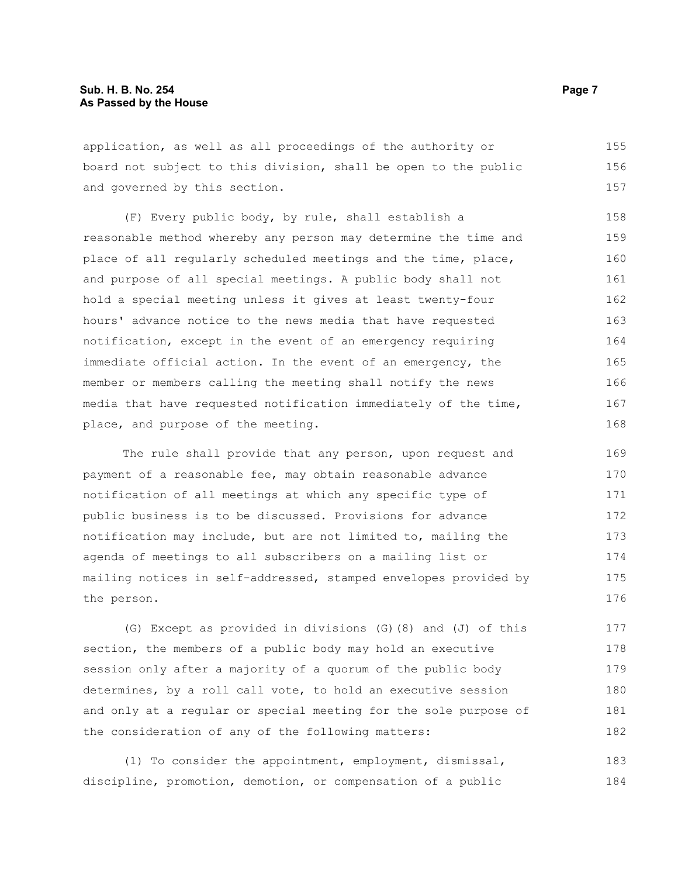application, as well as all proceedings of the authority or board not subject to this division, shall be open to the public and governed by this section. 155 156 157

(F) Every public body, by rule, shall establish a reasonable method whereby any person may determine the time and place of all regularly scheduled meetings and the time, place, and purpose of all special meetings. A public body shall not hold a special meeting unless it gives at least twenty-four hours' advance notice to the news media that have requested notification, except in the event of an emergency requiring immediate official action. In the event of an emergency, the member or members calling the meeting shall notify the news media that have requested notification immediately of the time, place, and purpose of the meeting. 158 159 160 161 162 163 164 165 166 167 168

The rule shall provide that any person, upon request and payment of a reasonable fee, may obtain reasonable advance notification of all meetings at which any specific type of public business is to be discussed. Provisions for advance notification may include, but are not limited to, mailing the agenda of meetings to all subscribers on a mailing list or mailing notices in self-addressed, stamped envelopes provided by the person. 169 170 171 172 173 174 175 176

(G) Except as provided in divisions (G)(8) and (J) of this section, the members of a public body may hold an executive session only after a majority of a quorum of the public body determines, by a roll call vote, to hold an executive session and only at a regular or special meeting for the sole purpose of the consideration of any of the following matters: 177 178 179 180 181 182

(1) To consider the appointment, employment, dismissal, discipline, promotion, demotion, or compensation of a public 183 184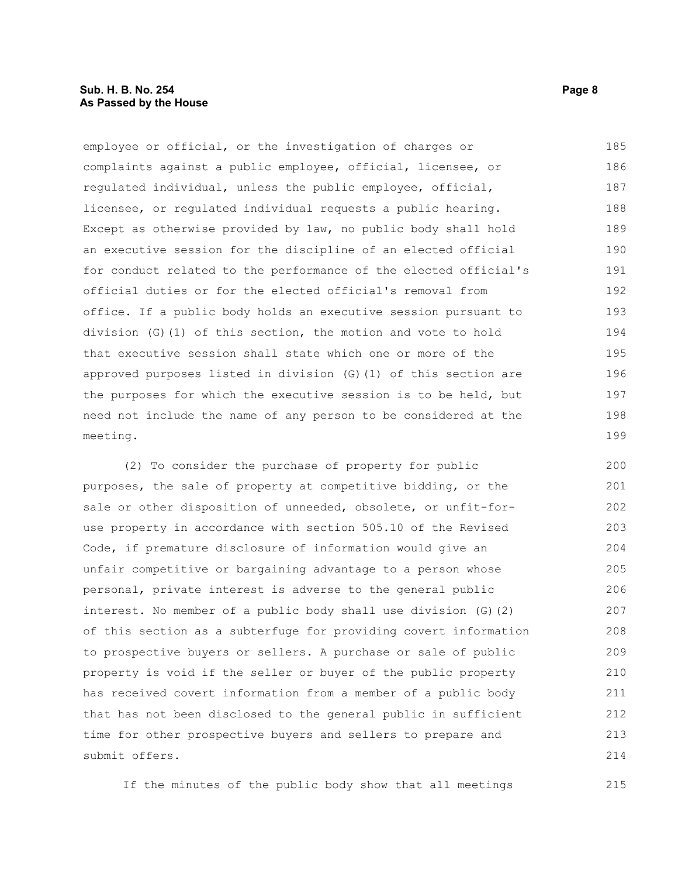employee or official, or the investigation of charges or complaints against a public employee, official, licensee, or regulated individual, unless the public employee, official, licensee, or regulated individual requests a public hearing. Except as otherwise provided by law, no public body shall hold an executive session for the discipline of an elected official for conduct related to the performance of the elected official's official duties or for the elected official's removal from office. If a public body holds an executive session pursuant to division (G)(1) of this section, the motion and vote to hold that executive session shall state which one or more of the approved purposes listed in division (G)(1) of this section are the purposes for which the executive session is to be held, but need not include the name of any person to be considered at the meeting. 185 186 187 188 189 190 191 192 193 194 195 196 197 198 199

(2) To consider the purchase of property for public purposes, the sale of property at competitive bidding, or the sale or other disposition of unneeded, obsolete, or unfit-foruse property in accordance with section 505.10 of the Revised Code, if premature disclosure of information would give an unfair competitive or bargaining advantage to a person whose personal, private interest is adverse to the general public interest. No member of a public body shall use division (G)(2) of this section as a subterfuge for providing covert information to prospective buyers or sellers. A purchase or sale of public property is void if the seller or buyer of the public property has received covert information from a member of a public body that has not been disclosed to the general public in sufficient time for other prospective buyers and sellers to prepare and submit offers. 200 201 202 203 204 205 206 207 208 209 210 211 212 213 214

If the minutes of the public body show that all meetings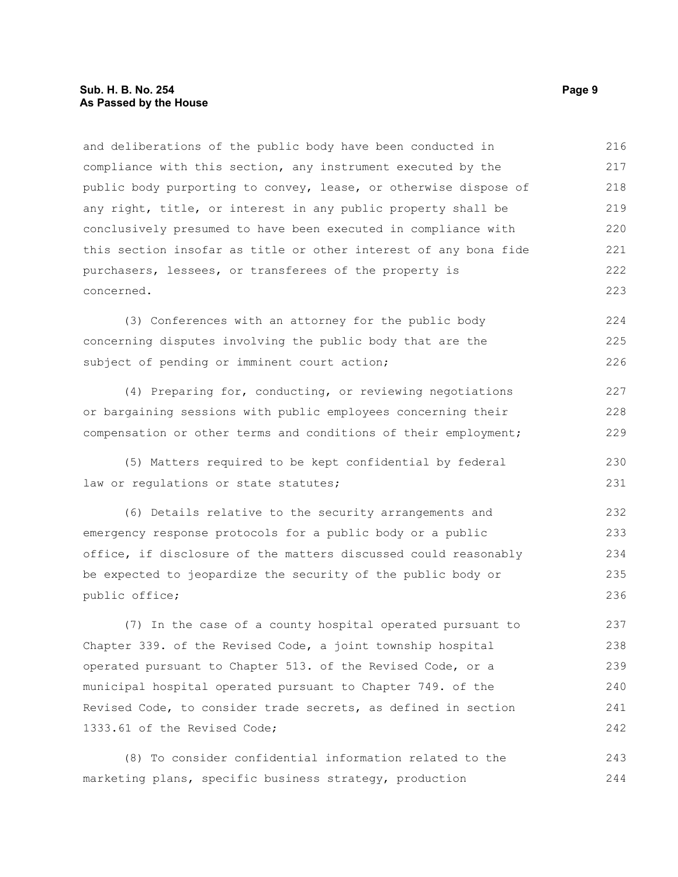#### **Sub. H. B. No. 254 Page 9 As Passed by the House**

and deliberations of the public body have been conducted in compliance with this section, any instrument executed by the public body purporting to convey, lease, or otherwise dispose of any right, title, or interest in any public property shall be conclusively presumed to have been executed in compliance with this section insofar as title or other interest of any bona fide purchasers, lessees, or transferees of the property is concerned. 216 217 218 219 220 221 222 223

(3) Conferences with an attorney for the public body concerning disputes involving the public body that are the subject of pending or imminent court action; 224 225 226

(4) Preparing for, conducting, or reviewing negotiations or bargaining sessions with public employees concerning their compensation or other terms and conditions of their employment;

(5) Matters required to be kept confidential by federal law or regulations or state statutes;

(6) Details relative to the security arrangements and emergency response protocols for a public body or a public office, if disclosure of the matters discussed could reasonably be expected to jeopardize the security of the public body or public office;

(7) In the case of a county hospital operated pursuant to Chapter 339. of the Revised Code, a joint township hospital operated pursuant to Chapter 513. of the Revised Code, or a municipal hospital operated pursuant to Chapter 749. of the Revised Code, to consider trade secrets, as defined in section 1333.61 of the Revised Code; 237 238 239 240 241 242

(8) To consider confidential information related to the marketing plans, specific business strategy, production 243 244

227 228 229

230 231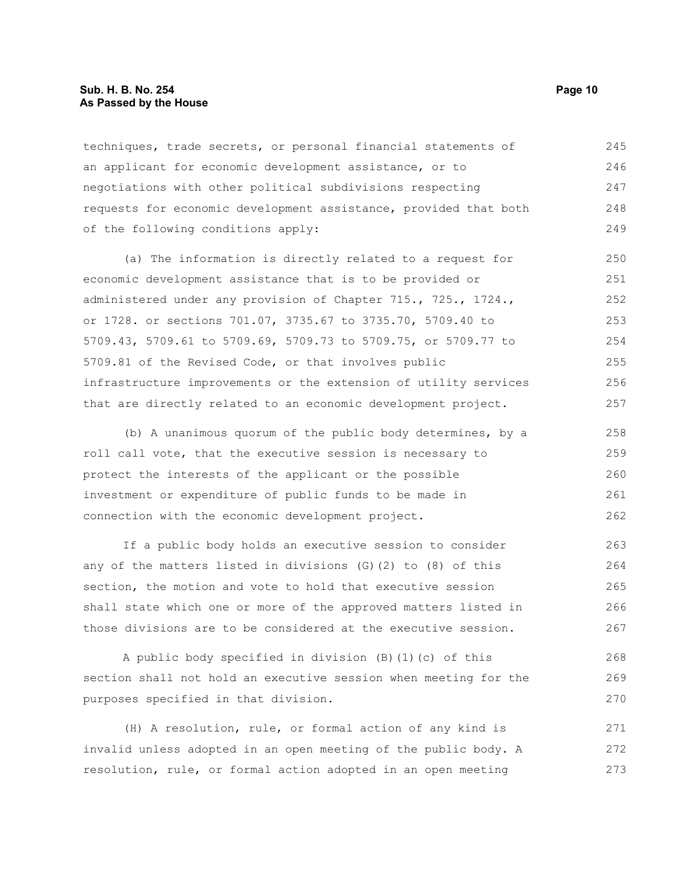#### **Sub. H. B. No. 254 Page 10 As Passed by the House**

techniques, trade secrets, or personal financial statements of an applicant for economic development assistance, or to negotiations with other political subdivisions respecting requests for economic development assistance, provided that both of the following conditions apply: 245 246 247 248 249

(a) The information is directly related to a request for economic development assistance that is to be provided or administered under any provision of Chapter 715., 725., 1724., or 1728. or sections 701.07, 3735.67 to 3735.70, 5709.40 to 5709.43, 5709.61 to 5709.69, 5709.73 to 5709.75, or 5709.77 to 5709.81 of the Revised Code, or that involves public infrastructure improvements or the extension of utility services that are directly related to an economic development project. 250 251 252 253 254 255 256 257

(b) A unanimous quorum of the public body determines, by a roll call vote, that the executive session is necessary to protect the interests of the applicant or the possible investment or expenditure of public funds to be made in connection with the economic development project. 258 259 260 261 262

If a public body holds an executive session to consider any of the matters listed in divisions (G)(2) to (8) of this section, the motion and vote to hold that executive session shall state which one or more of the approved matters listed in those divisions are to be considered at the executive session. 263 264 265 266 267

A public body specified in division (B)(1)(c) of this section shall not hold an executive session when meeting for the purposes specified in that division. 268 269 270

(H) A resolution, rule, or formal action of any kind is invalid unless adopted in an open meeting of the public body. A resolution, rule, or formal action adopted in an open meeting 271 272 273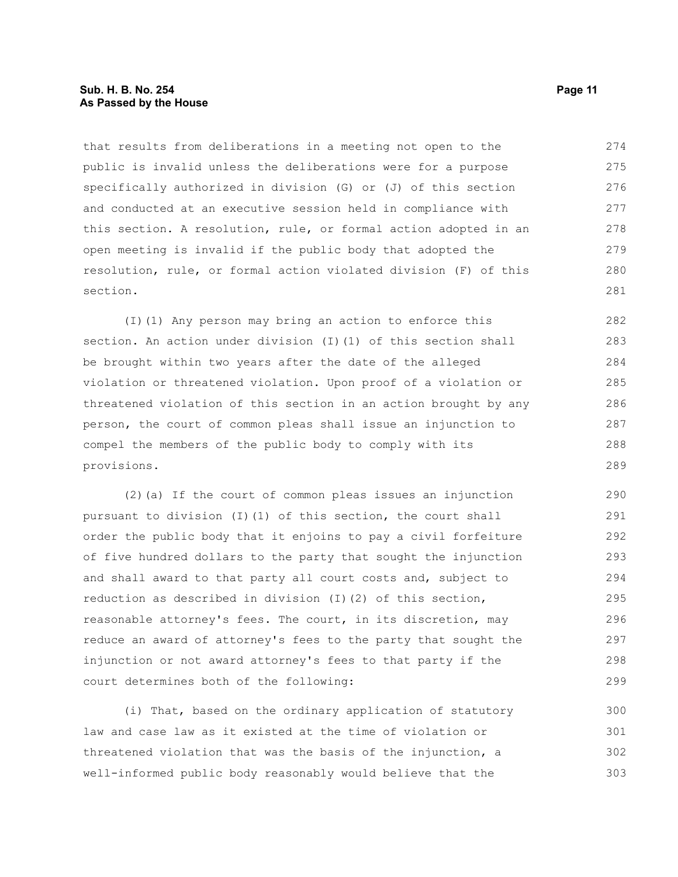#### **Sub. H. B. No. 254 Page 11 As Passed by the House**

that results from deliberations in a meeting not open to the public is invalid unless the deliberations were for a purpose specifically authorized in division (G) or (J) of this section and conducted at an executive session held in compliance with this section. A resolution, rule, or formal action adopted in an open meeting is invalid if the public body that adopted the resolution, rule, or formal action violated division (F) of this section. 274 275 276 277 278 279 280 281

(I)(1) Any person may bring an action to enforce this section. An action under division (I)(1) of this section shall be brought within two years after the date of the alleged violation or threatened violation. Upon proof of a violation or threatened violation of this section in an action brought by any person, the court of common pleas shall issue an injunction to compel the members of the public body to comply with its provisions. 282 283 284 285 286 287 288 289

(2)(a) If the court of common pleas issues an injunction pursuant to division (I)(1) of this section, the court shall order the public body that it enjoins to pay a civil forfeiture of five hundred dollars to the party that sought the injunction and shall award to that party all court costs and, subject to reduction as described in division (I)(2) of this section, reasonable attorney's fees. The court, in its discretion, may reduce an award of attorney's fees to the party that sought the injunction or not award attorney's fees to that party if the court determines both of the following: 290 291 292 293 294 295 296 297 298 299

(i) That, based on the ordinary application of statutory law and case law as it existed at the time of violation or threatened violation that was the basis of the injunction, a well-informed public body reasonably would believe that the 300 301 302 303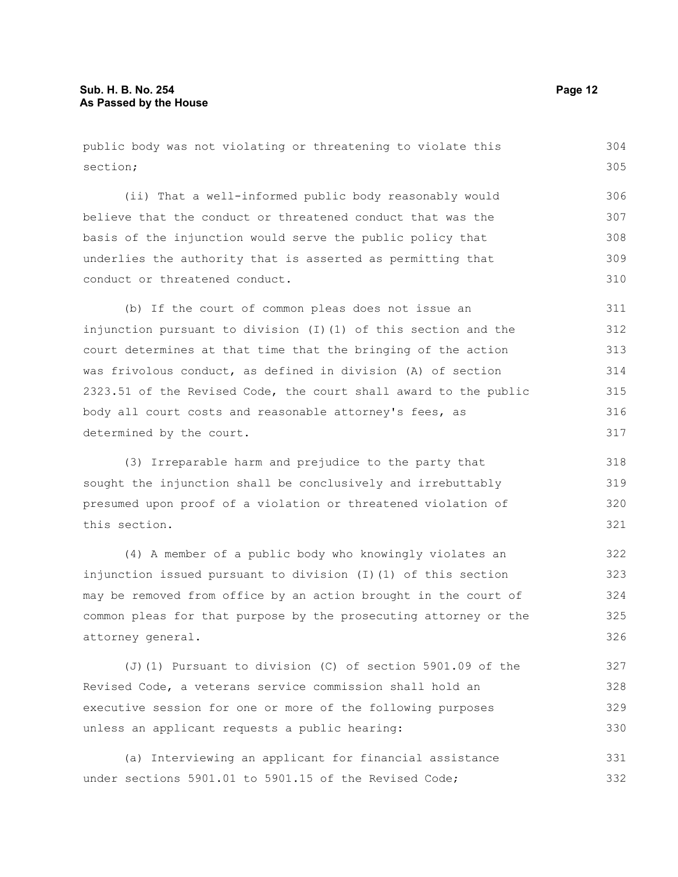public body was not violating or threatening to violate this section; (ii) That a well-informed public body reasonably would believe that the conduct or threatened conduct that was the basis of the injunction would serve the public policy that underlies the authority that is asserted as permitting that conduct or threatened conduct. (b) If the court of common pleas does not issue an injunction pursuant to division (I)(1) of this section and the court determines at that time that the bringing of the action was frivolous conduct, as defined in division (A) of section 2323.51 of the Revised Code, the court shall award to the public body all court costs and reasonable attorney's fees, as determined by the court. (3) Irreparable harm and prejudice to the party that sought the injunction shall be conclusively and irrebuttably presumed upon proof of a violation or threatened violation of this section. (4) A member of a public body who knowingly violates an injunction issued pursuant to division (I)(1) of this section 304 305 306 307 308 309 310 311 312 313 314 315 316 317 318 319 320 321 322 323

may be removed from office by an action brought in the court of common pleas for that purpose by the prosecuting attorney or the attorney general. 324 325 326

(J)(1) Pursuant to division (C) of section 5901.09 of the Revised Code, a veterans service commission shall hold an executive session for one or more of the following purposes unless an applicant requests a public hearing: 327 328 329 330

(a) Interviewing an applicant for financial assistance under sections 5901.01 to 5901.15 of the Revised Code; 331 332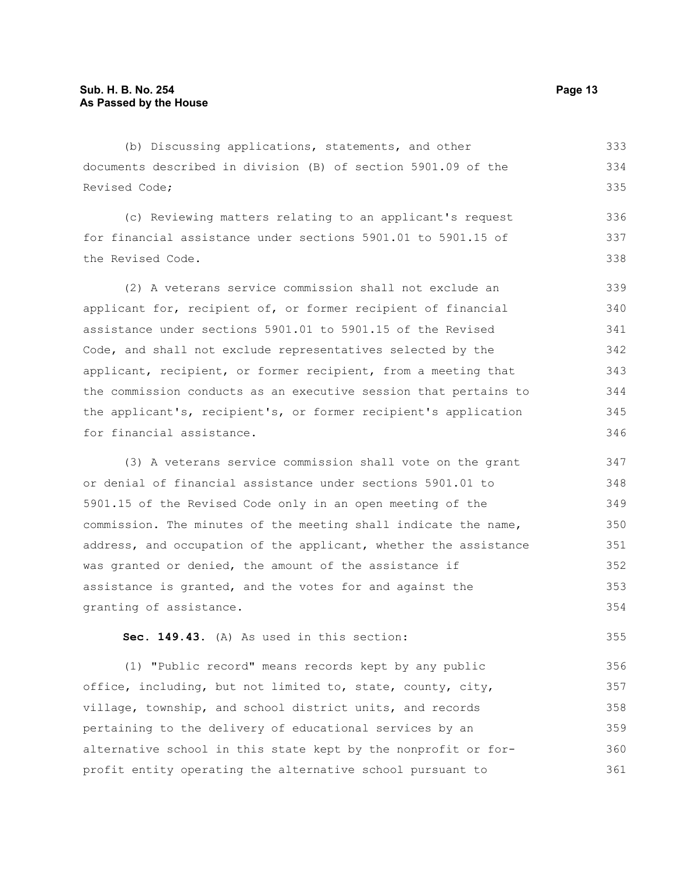(b) Discussing applications, statements, and other documents described in division (B) of section 5901.09 of the Revised Code;

(c) Reviewing matters relating to an applicant's request for financial assistance under sections 5901.01 to 5901.15 of the Revised Code. 336 337 338

(2) A veterans service commission shall not exclude an applicant for, recipient of, or former recipient of financial assistance under sections 5901.01 to 5901.15 of the Revised Code, and shall not exclude representatives selected by the applicant, recipient, or former recipient, from a meeting that the commission conducts as an executive session that pertains to the applicant's, recipient's, or former recipient's application for financial assistance. 339 340 341 342 343 344 345 346

(3) A veterans service commission shall vote on the grant or denial of financial assistance under sections 5901.01 to 5901.15 of the Revised Code only in an open meeting of the commission. The minutes of the meeting shall indicate the name, address, and occupation of the applicant, whether the assistance was granted or denied, the amount of the assistance if assistance is granted, and the votes for and against the granting of assistance. 347 348 349 350 351 352 353 354

**Sec. 149.43.** (A) As used in this section:

(1) "Public record" means records kept by any public office, including, but not limited to, state, county, city, village, township, and school district units, and records pertaining to the delivery of educational services by an alternative school in this state kept by the nonprofit or forprofit entity operating the alternative school pursuant to 356 357 358 359 360 361

333 334 335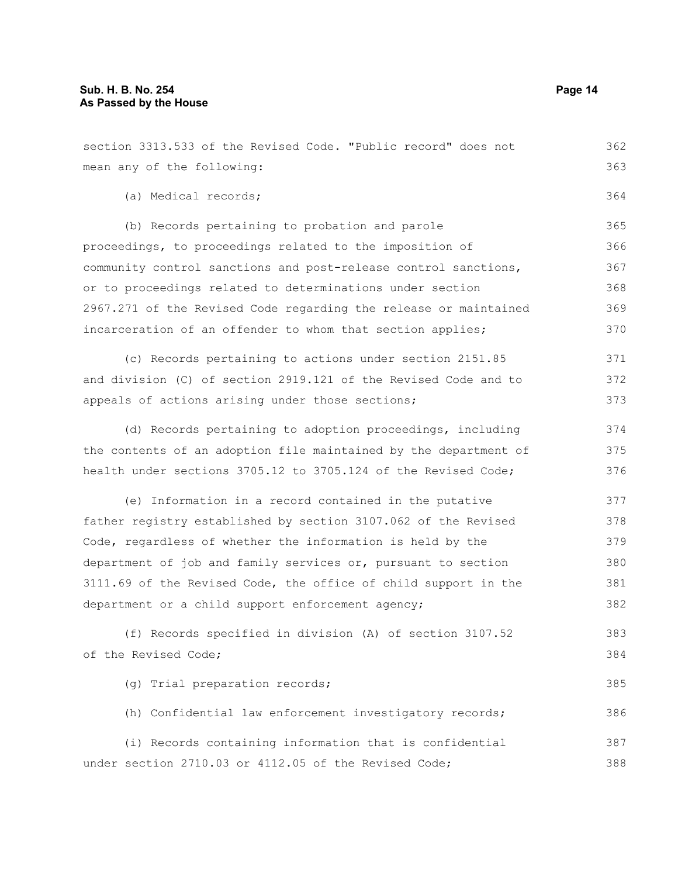362

| mean any of the following:                                       |     |  |  |  |  |  |  |  |  |  |
|------------------------------------------------------------------|-----|--|--|--|--|--|--|--|--|--|
| (a) Medical records;                                             | 364 |  |  |  |  |  |  |  |  |  |
| (b) Records pertaining to probation and parole                   | 365 |  |  |  |  |  |  |  |  |  |
| proceedings, to proceedings related to the imposition of         |     |  |  |  |  |  |  |  |  |  |
| community control sanctions and post-release control sanctions,  |     |  |  |  |  |  |  |  |  |  |
| or to proceedings related to determinations under section        | 368 |  |  |  |  |  |  |  |  |  |
| 2967.271 of the Revised Code regarding the release or maintained | 369 |  |  |  |  |  |  |  |  |  |
| incarceration of an offender to whom that section applies;       | 370 |  |  |  |  |  |  |  |  |  |
| (c) Records pertaining to actions under section 2151.85          | 371 |  |  |  |  |  |  |  |  |  |
| and division (C) of section 2919.121 of the Revised Code and to  | 372 |  |  |  |  |  |  |  |  |  |
| appeals of actions arising under those sections;                 | 373 |  |  |  |  |  |  |  |  |  |
| (d) Records pertaining to adoption proceedings, including        | 374 |  |  |  |  |  |  |  |  |  |
| the contents of an adoption file maintained by the department of |     |  |  |  |  |  |  |  |  |  |
| health under sections 3705.12 to 3705.124 of the Revised Code;   |     |  |  |  |  |  |  |  |  |  |
| (e) Information in a record contained in the putative            | 377 |  |  |  |  |  |  |  |  |  |
| father registry established by section 3107.062 of the Revised   |     |  |  |  |  |  |  |  |  |  |
| Code, regardless of whether the information is held by the       | 379 |  |  |  |  |  |  |  |  |  |
| department of job and family services or, pursuant to section    | 380 |  |  |  |  |  |  |  |  |  |
| 3111.69 of the Revised Code, the office of child support in the  | 381 |  |  |  |  |  |  |  |  |  |
| department or a child support enforcement agency;                | 382 |  |  |  |  |  |  |  |  |  |
| (f) Records specified in division (A) of section 3107.52         | 383 |  |  |  |  |  |  |  |  |  |
| of the Revised Code;                                             | 384 |  |  |  |  |  |  |  |  |  |
| (g) Trial preparation records;                                   | 385 |  |  |  |  |  |  |  |  |  |
| (h) Confidential law enforcement investigatory records;          | 386 |  |  |  |  |  |  |  |  |  |
| (i) Records containing information that is confidential          | 387 |  |  |  |  |  |  |  |  |  |
| under section 2710.03 or 4112.05 of the Revised Code;            | 388 |  |  |  |  |  |  |  |  |  |

section 3313.533 of the Revised Code. "Public record" does not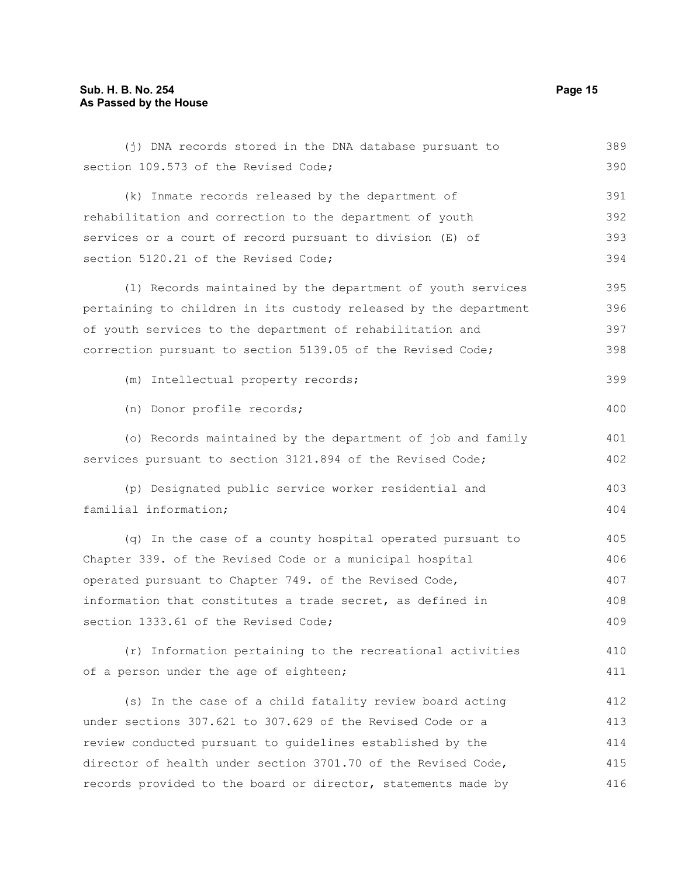### **Sub. H. B. No. 254** Page 15 **As Passed by the House**

| (j) DNA records stored in the DNA database pursuant to           | 389 |
|------------------------------------------------------------------|-----|
| section 109.573 of the Revised Code;                             | 390 |
| (k) Inmate records released by the department of                 | 391 |
| rehabilitation and correction to the department of youth         | 392 |
| services or a court of record pursuant to division (E) of        | 393 |
| section 5120.21 of the Revised Code;                             | 394 |
| (1) Records maintained by the department of youth services       | 395 |
| pertaining to children in its custody released by the department | 396 |
| of youth services to the department of rehabilitation and        | 397 |
| correction pursuant to section 5139.05 of the Revised Code;      | 398 |
| (m) Intellectual property records;                               | 399 |
| (n) Donor profile records;                                       | 400 |
| (o) Records maintained by the department of job and family       | 401 |
| services pursuant to section 3121.894 of the Revised Code;       | 402 |
| (p) Designated public service worker residential and             | 403 |
| familial information;                                            | 404 |
| (q) In the case of a county hospital operated pursuant to        | 405 |
| Chapter 339. of the Revised Code or a municipal hospital         | 406 |
| operated pursuant to Chapter 749. of the Revised Code,           | 407 |
| information that constitutes a trade secret, as defined in       | 408 |
| section 1333.61 of the Revised Code;                             | 409 |
| (r) Information pertaining to the recreational activities        | 410 |
| of a person under the age of eighteen;                           | 411 |
| (s) In the case of a child fatality review board acting          | 412 |
| under sections 307.621 to 307.629 of the Revised Code or a       | 413 |
|                                                                  |     |

review conducted pursuant to guidelines established by the director of health under section 3701.70 of the Revised Code, records provided to the board or director, statements made by 414 415 416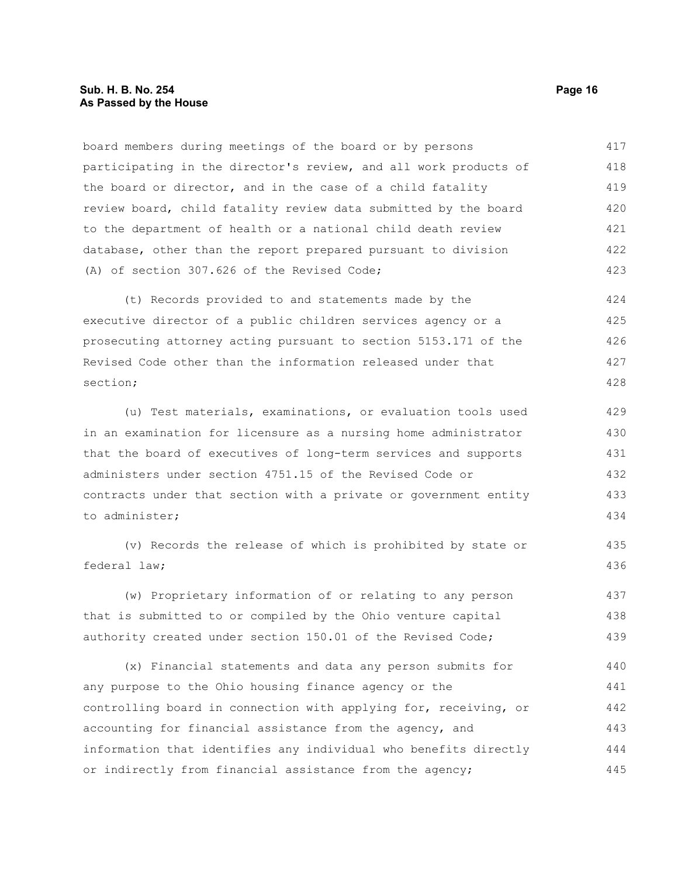#### **Sub. H. B. No. 254 Page 16 As Passed by the House**

board members during meetings of the board or by persons participating in the director's review, and all work products of the board or director, and in the case of a child fatality review board, child fatality review data submitted by the board to the department of health or a national child death review database, other than the report prepared pursuant to division (A) of section 307.626 of the Revised Code; 417 418 419 420 421 422 423

(t) Records provided to and statements made by the executive director of a public children services agency or a prosecuting attorney acting pursuant to section 5153.171 of the Revised Code other than the information released under that section; 424 425 426 427 428

(u) Test materials, examinations, or evaluation tools used in an examination for licensure as a nursing home administrator that the board of executives of long-term services and supports administers under section 4751.15 of the Revised Code or contracts under that section with a private or government entity to administer; 429 430 431 432 433 434

(v) Records the release of which is prohibited by state or federal law;

(w) Proprietary information of or relating to any person that is submitted to or compiled by the Ohio venture capital authority created under section 150.01 of the Revised Code; 437 438 439

(x) Financial statements and data any person submits for any purpose to the Ohio housing finance agency or the controlling board in connection with applying for, receiving, or accounting for financial assistance from the agency, and information that identifies any individual who benefits directly or indirectly from financial assistance from the agency; 440 441 442 443 444 445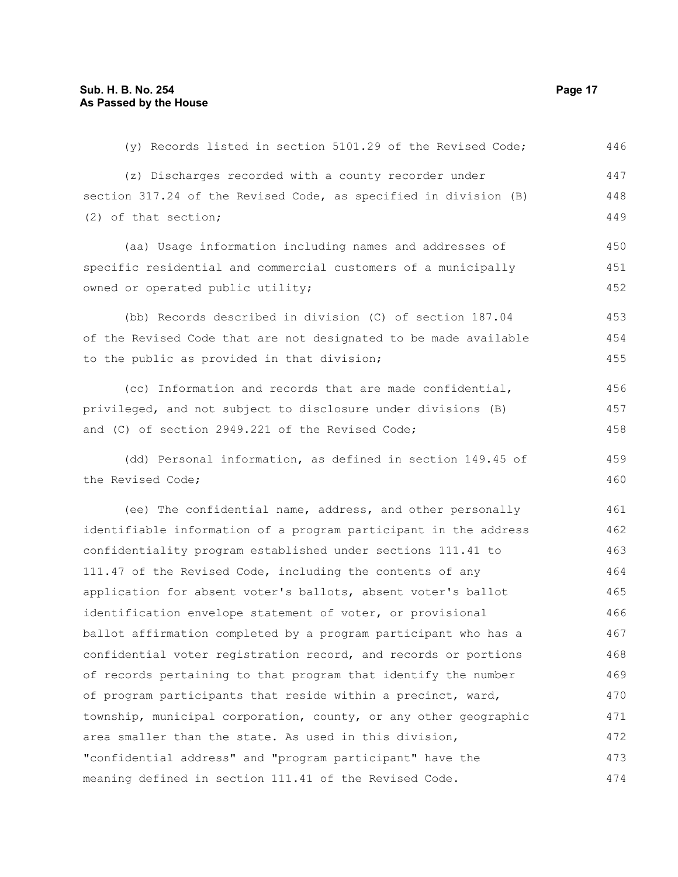| (y) Records listed in section 5101.29 of the Revised Code;       | 446 |
|------------------------------------------------------------------|-----|
| (z) Discharges recorded with a county recorder under             | 447 |
| section 317.24 of the Revised Code, as specified in division (B) | 448 |
| (2) of that section;                                             | 449 |
| (aa) Usage information including names and addresses of          | 450 |
| specific residential and commercial customers of a municipally   | 451 |
| owned or operated public utility;                                | 452 |
| (bb) Records described in division (C) of section 187.04         | 453 |
| of the Revised Code that are not designated to be made available | 454 |
| to the public as provided in that division;                      | 455 |
| (cc) Information and records that are made confidential,         | 456 |
| privileged, and not subject to disclosure under divisions (B)    | 457 |
| and (C) of section 2949.221 of the Revised Code;                 | 458 |
| (dd) Personal information, as defined in section 149.45 of       | 459 |
| the Revised Code;                                                | 460 |
| (ee) The confidential name, address, and other personally        | 461 |
| identifiable information of a program participant in the address | 462 |
| confidentiality program established under sections 111.41 to     | 463 |
| 111.47 of the Revised Code, including the contents of any        | 464 |
| application for absent voter's ballots, absent voter's ballot    | 465 |
| identification envelope statement of voter, or provisional       | 466 |
| ballot affirmation completed by a program participant who has a  | 467 |
| confidential voter registration record, and records or portions  | 468 |
| of records pertaining to that program that identify the number   | 469 |
| of program participants that reside within a precinct, ward,     | 470 |
| township, municipal corporation, county, or any other geographic | 471 |
| area smaller than the state. As used in this division,           | 472 |
| "confidential address" and "program participant" have the        | 473 |
|                                                                  |     |

meaning defined in section 111.41 of the Revised Code.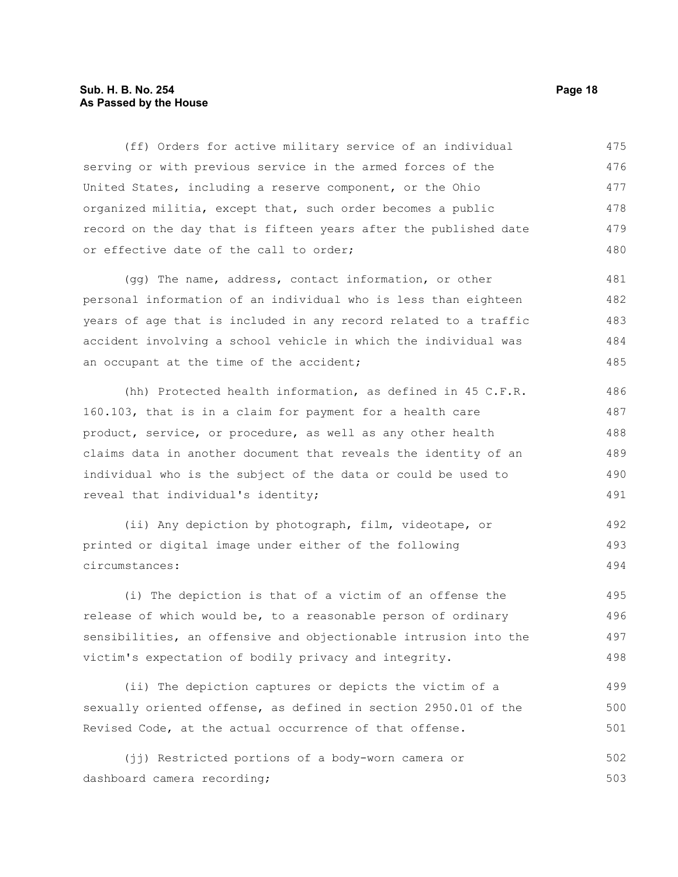#### **Sub. H. B. No. 254 Page 18 As Passed by the House**

(ff) Orders for active military service of an individual serving or with previous service in the armed forces of the United States, including a reserve component, or the Ohio organized militia, except that, such order becomes a public record on the day that is fifteen years after the published date or effective date of the call to order; 475 476 477 478 479 480

(gg) The name, address, contact information, or other personal information of an individual who is less than eighteen years of age that is included in any record related to a traffic accident involving a school vehicle in which the individual was an occupant at the time of the accident; 481 482 483 484 485

(hh) Protected health information, as defined in 45 C.F.R. 160.103, that is in a claim for payment for a health care product, service, or procedure, as well as any other health claims data in another document that reveals the identity of an individual who is the subject of the data or could be used to reveal that individual's identity; 486 487 488 489 490 491

(ii) Any depiction by photograph, film, videotape, or printed or digital image under either of the following circumstances: 492 493 494

(i) The depiction is that of a victim of an offense the release of which would be, to a reasonable person of ordinary sensibilities, an offensive and objectionable intrusion into the victim's expectation of bodily privacy and integrity. 495 496 497 498

(ii) The depiction captures or depicts the victim of a sexually oriented offense, as defined in section 2950.01 of the Revised Code, at the actual occurrence of that offense. 499 500 501

(jj) Restricted portions of a body-worn camera or dashboard camera recording; 502 503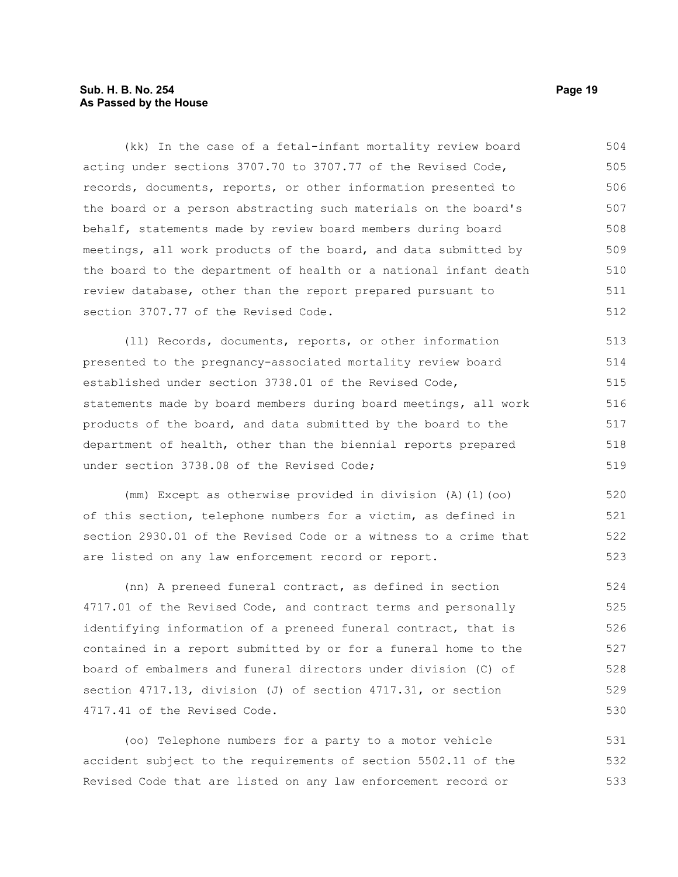#### **Sub. H. B. No. 254 Page 19 As Passed by the House**

(kk) In the case of a fetal-infant mortality review board acting under sections 3707.70 to 3707.77 of the Revised Code, records, documents, reports, or other information presented to the board or a person abstracting such materials on the board's behalf, statements made by review board members during board meetings, all work products of the board, and data submitted by the board to the department of health or a national infant death review database, other than the report prepared pursuant to section 3707.77 of the Revised Code. 504 505 506 507 508 509 510 511 512

(ll) Records, documents, reports, or other information presented to the pregnancy-associated mortality review board established under section 3738.01 of the Revised Code, statements made by board members during board meetings, all work products of the board, and data submitted by the board to the department of health, other than the biennial reports prepared under section 3738.08 of the Revised Code; 513 514 515 516 517 518 519

(mm) Except as otherwise provided in division (A)(1)(oo) of this section, telephone numbers for a victim, as defined in section 2930.01 of the Revised Code or a witness to a crime that are listed on any law enforcement record or report. 520 521 522 523

(nn) A preneed funeral contract, as defined in section 4717.01 of the Revised Code, and contract terms and personally identifying information of a preneed funeral contract, that is contained in a report submitted by or for a funeral home to the board of embalmers and funeral directors under division (C) of section 4717.13, division (J) of section 4717.31, or section 4717.41 of the Revised Code. 524 525 526 527 528 529 530

(oo) Telephone numbers for a party to a motor vehicle accident subject to the requirements of section 5502.11 of the Revised Code that are listed on any law enforcement record or 531 532 533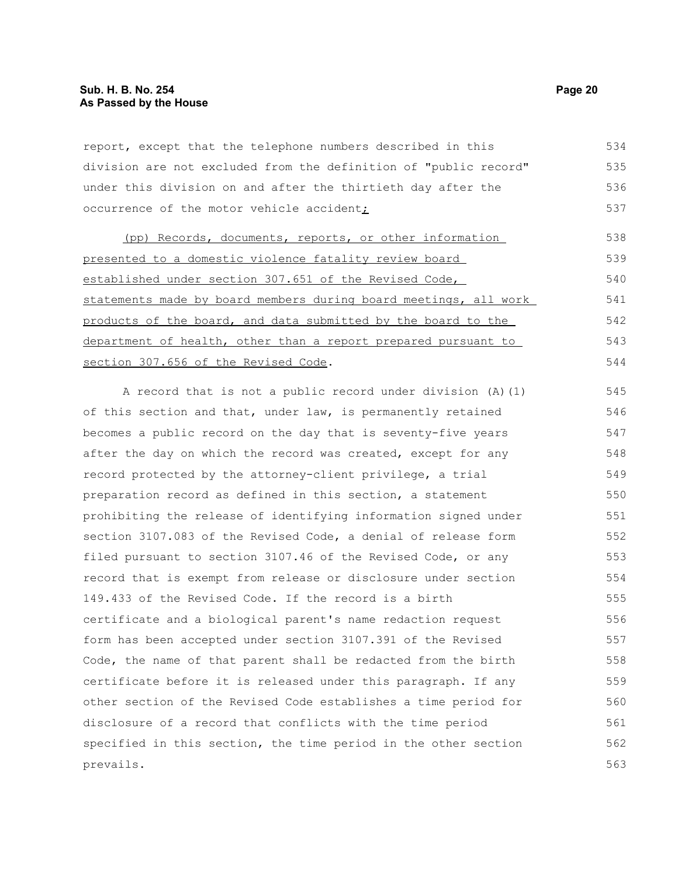report, except that the telephone numbers described in this division are not excluded from the definition of "public record" under this division on and after the thirtieth day after the occurrence of the motor vehicle accident; 534 535 536 537

(pp) Records, documents, reports, or other information presented to a domestic violence fatality review board established under section 307.651 of the Revised Code, statements made by board members during board meetings, all work products of the board, and data submitted by the board to the department of health, other than a report prepared pursuant to section 307.656 of the Revised Code. 538 539 540 541 542 543 544

A record that is not a public record under division (A)(1) of this section and that, under law, is permanently retained becomes a public record on the day that is seventy-five years after the day on which the record was created, except for any record protected by the attorney-client privilege, a trial preparation record as defined in this section, a statement prohibiting the release of identifying information signed under section 3107.083 of the Revised Code, a denial of release form filed pursuant to section 3107.46 of the Revised Code, or any record that is exempt from release or disclosure under section 149.433 of the Revised Code. If the record is a birth certificate and a biological parent's name redaction request form has been accepted under section 3107.391 of the Revised Code, the name of that parent shall be redacted from the birth certificate before it is released under this paragraph. If any other section of the Revised Code establishes a time period for disclosure of a record that conflicts with the time period specified in this section, the time period in the other section prevails. 545 546 547 548 549 550 551 552 553 554 555 556 557 558 559 560 561 562 563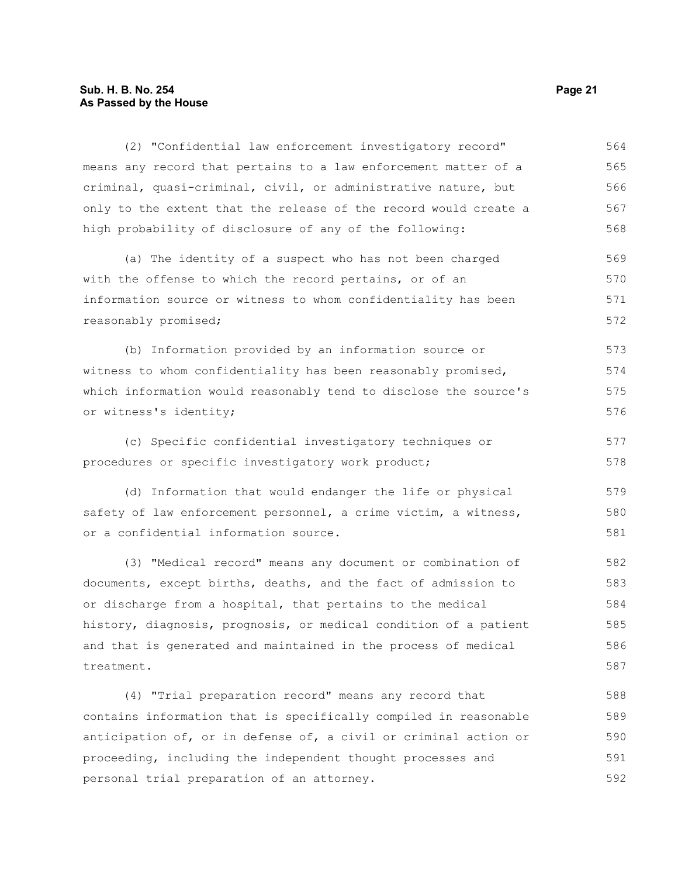### **Sub. H. B. No. 254** Page 21 **As Passed by the House**

| (2) "Confidential law enforcement investigatory record"          | 564 |  |  |  |  |  |  |  |  |
|------------------------------------------------------------------|-----|--|--|--|--|--|--|--|--|
| means any record that pertains to a law enforcement matter of a  | 565 |  |  |  |  |  |  |  |  |
| criminal, quasi-criminal, civil, or administrative nature, but   | 566 |  |  |  |  |  |  |  |  |
| only to the extent that the release of the record would create a |     |  |  |  |  |  |  |  |  |
| high probability of disclosure of any of the following:          | 568 |  |  |  |  |  |  |  |  |
| (a) The identity of a suspect who has not been charged           | 569 |  |  |  |  |  |  |  |  |
| with the offense to which the record pertains, or of an          |     |  |  |  |  |  |  |  |  |
| information source or witness to whom confidentiality has been   | 571 |  |  |  |  |  |  |  |  |
| reasonably promised;                                             | 572 |  |  |  |  |  |  |  |  |
| (b) Information provided by an information source or             | 573 |  |  |  |  |  |  |  |  |
| witness to whom confidentiality has been reasonably promised,    | 574 |  |  |  |  |  |  |  |  |
| which information would reasonably tend to disclose the source's | 575 |  |  |  |  |  |  |  |  |
| or witness's identity;                                           | 576 |  |  |  |  |  |  |  |  |
| (c) Specific confidential investigatory techniques or            | 577 |  |  |  |  |  |  |  |  |
| procedures or specific investigatory work product;               |     |  |  |  |  |  |  |  |  |
| (d) Information that would endanger the life or physical         | 579 |  |  |  |  |  |  |  |  |
| safety of law enforcement personnel, a crime victim, a witness,  | 580 |  |  |  |  |  |  |  |  |
| or a confidential information source.                            |     |  |  |  |  |  |  |  |  |
| (3) "Medical record" means any document or combination of        | 582 |  |  |  |  |  |  |  |  |
| documents, except births, deaths, and the fact of admission to   | 583 |  |  |  |  |  |  |  |  |
| or discharge from a hospital, that pertains to the medical       | 584 |  |  |  |  |  |  |  |  |
| history, diagnosis, prognosis, or medical condition of a patient | 585 |  |  |  |  |  |  |  |  |
| and that is generated and maintained in the process of medical   | 586 |  |  |  |  |  |  |  |  |
| treatment.                                                       | 587 |  |  |  |  |  |  |  |  |
| (4) "Trial preparation record" means any record that             | 588 |  |  |  |  |  |  |  |  |
| contains information that is specifically compiled in reasonable | 589 |  |  |  |  |  |  |  |  |
| anticipation of, or in defense of, a civil or criminal action or | 590 |  |  |  |  |  |  |  |  |
| proceeding, including the independent thought processes and      |     |  |  |  |  |  |  |  |  |

personal trial preparation of an attorney.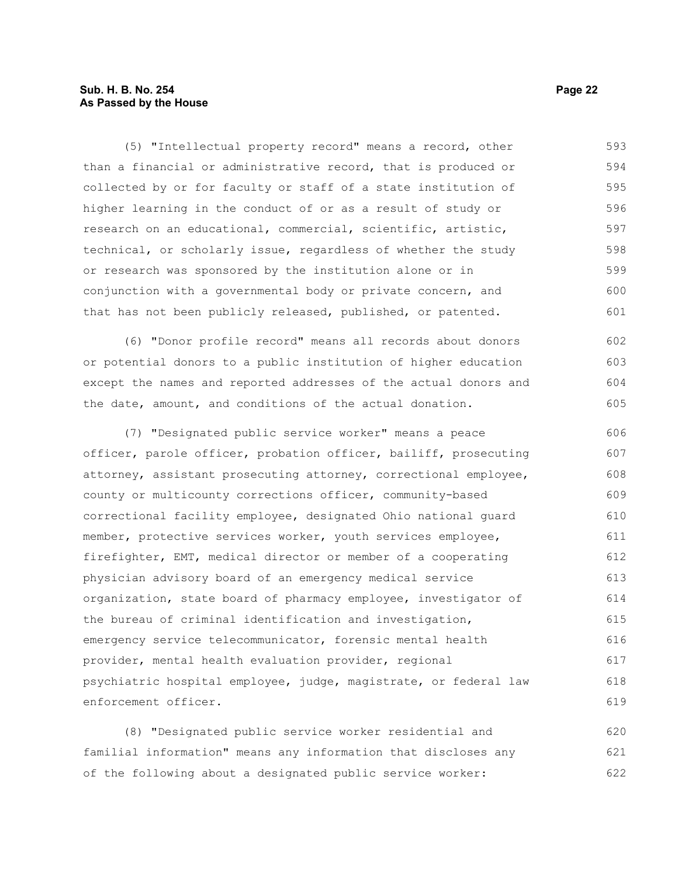#### **Sub. H. B. No. 254 Page 22 As Passed by the House**

(5) "Intellectual property record" means a record, other than a financial or administrative record, that is produced or collected by or for faculty or staff of a state institution of higher learning in the conduct of or as a result of study or research on an educational, commercial, scientific, artistic, technical, or scholarly issue, regardless of whether the study or research was sponsored by the institution alone or in conjunction with a governmental body or private concern, and that has not been publicly released, published, or patented. 593 594 595 596 597 598 599 600 601

(6) "Donor profile record" means all records about donors or potential donors to a public institution of higher education except the names and reported addresses of the actual donors and the date, amount, and conditions of the actual donation. 602 603 604 605

(7) "Designated public service worker" means a peace officer, parole officer, probation officer, bailiff, prosecuting attorney, assistant prosecuting attorney, correctional employee, county or multicounty corrections officer, community-based correctional facility employee, designated Ohio national guard member, protective services worker, youth services employee, firefighter, EMT, medical director or member of a cooperating physician advisory board of an emergency medical service organization, state board of pharmacy employee, investigator of the bureau of criminal identification and investigation, emergency service telecommunicator, forensic mental health provider, mental health evaluation provider, regional psychiatric hospital employee, judge, magistrate, or federal law enforcement officer. 606 607 608 609 610 611 612 613 614 615 616 617 618 619

(8) "Designated public service worker residential and familial information" means any information that discloses any of the following about a designated public service worker: 620 621 622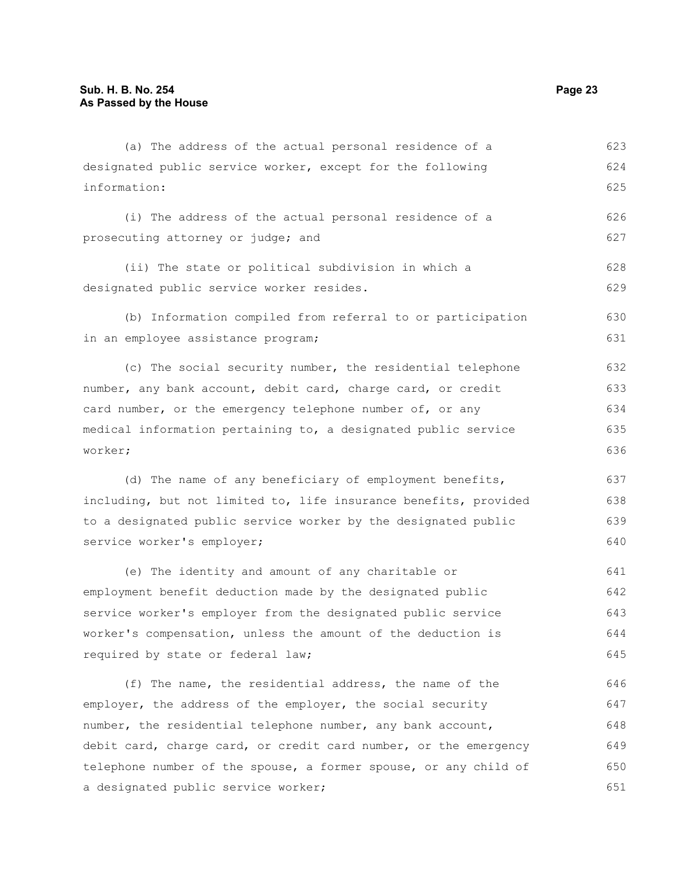designated public service worker, except for the following information: (i) The address of the actual personal residence of a prosecuting attorney or judge; and (ii) The state or political subdivision in which a designated public service worker resides. (b) Information compiled from referral to or participation in an employee assistance program; (c) The social security number, the residential telephone number, any bank account, debit card, charge card, or credit card number, or the emergency telephone number of, or any medical information pertaining to, a designated public service worker; 624 625 626 627 628 629 630 631 632 633 634 635 636

(a) The address of the actual personal residence of a

(d) The name of any beneficiary of employment benefits, including, but not limited to, life insurance benefits, provided to a designated public service worker by the designated public service worker's employer;

(e) The identity and amount of any charitable or employment benefit deduction made by the designated public service worker's employer from the designated public service worker's compensation, unless the amount of the deduction is required by state or federal law; 641 642 643 644 645

(f) The name, the residential address, the name of the employer, the address of the employer, the social security number, the residential telephone number, any bank account, debit card, charge card, or credit card number, or the emergency telephone number of the spouse, a former spouse, or any child of a designated public service worker; 646 647 648 649 650 651

623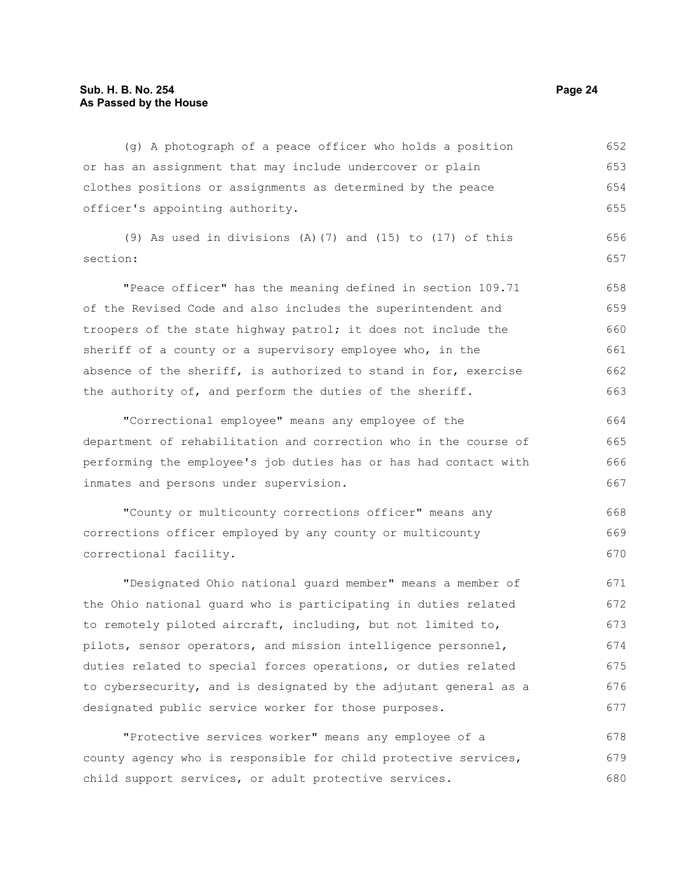(g) A photograph of a peace officer who holds a position or has an assignment that may include undercover or plain clothes positions or assignments as determined by the peace officer's appointing authority. (9) As used in divisions (A)(7) and (15) to (17) of this section: "Peace officer" has the meaning defined in section 109.71 of the Revised Code and also includes the superintendent and troopers of the state highway patrol; it does not include the sheriff of a county or a supervisory employee who, in the absence of the sheriff, is authorized to stand in for, exercise the authority of, and perform the duties of the sheriff. "Correctional employee" means any employee of the department of rehabilitation and correction who in the course of performing the employee's job duties has or has had contact with inmates and persons under supervision. "County or multicounty corrections officer" means any corrections officer employed by any county or multicounty correctional facility. "Designated Ohio national guard member" means a member of the Ohio national guard who is participating in duties related to remotely piloted aircraft, including, but not limited to, pilots, sensor operators, and mission intelligence personnel, duties related to special forces operations, or duties related to cybersecurity, and is designated by the adjutant general as a designated public service worker for those purposes. 652 653 654 655 656 657 658 659 660 661 662 663 664 665 666 667 668 669 670 671 672 673 674 675 676 677

"Protective services worker" means any employee of a county agency who is responsible for child protective services, child support services, or adult protective services. 678 679 680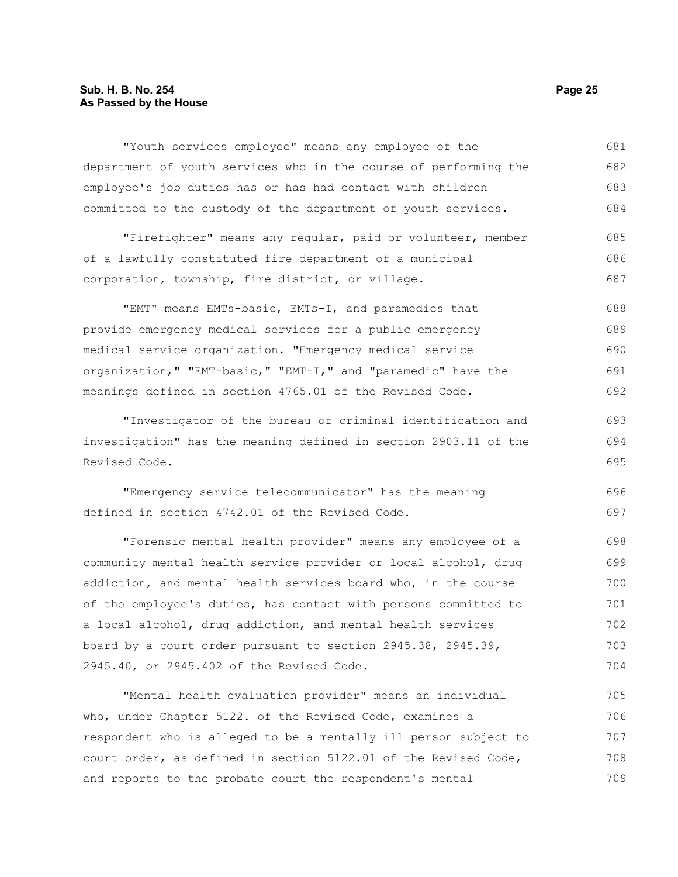#### **Sub. H. B. No. 254 Page 25 As Passed by the House**

"Youth services employee" means any employee of the department of youth services who in the course of performing the employee's job duties has or has had contact with children committed to the custody of the department of youth services. 681 682 683 684

"Firefighter" means any regular, paid or volunteer, member of a lawfully constituted fire department of a municipal corporation, township, fire district, or village. 685 686 687

"EMT" means EMTs-basic, EMTs-I, and paramedics that provide emergency medical services for a public emergency medical service organization. "Emergency medical service organization," "EMT-basic," "EMT-I," and "paramedic" have the meanings defined in section 4765.01 of the Revised Code. 688 689 690 691 692

"Investigator of the bureau of criminal identification and investigation" has the meaning defined in section 2903.11 of the Revised Code. 693 694 695

"Emergency service telecommunicator" has the meaning defined in section 4742.01 of the Revised Code. 696 697

"Forensic mental health provider" means any employee of a community mental health service provider or local alcohol, drug addiction, and mental health services board who, in the course of the employee's duties, has contact with persons committed to a local alcohol, drug addiction, and mental health services board by a court order pursuant to section 2945.38, 2945.39, 2945.40, or 2945.402 of the Revised Code. 698 699 700 701 702 703 704

"Mental health evaluation provider" means an individual who, under Chapter 5122. of the Revised Code, examines a respondent who is alleged to be a mentally ill person subject to court order, as defined in section 5122.01 of the Revised Code, and reports to the probate court the respondent's mental 705 706 707 708 709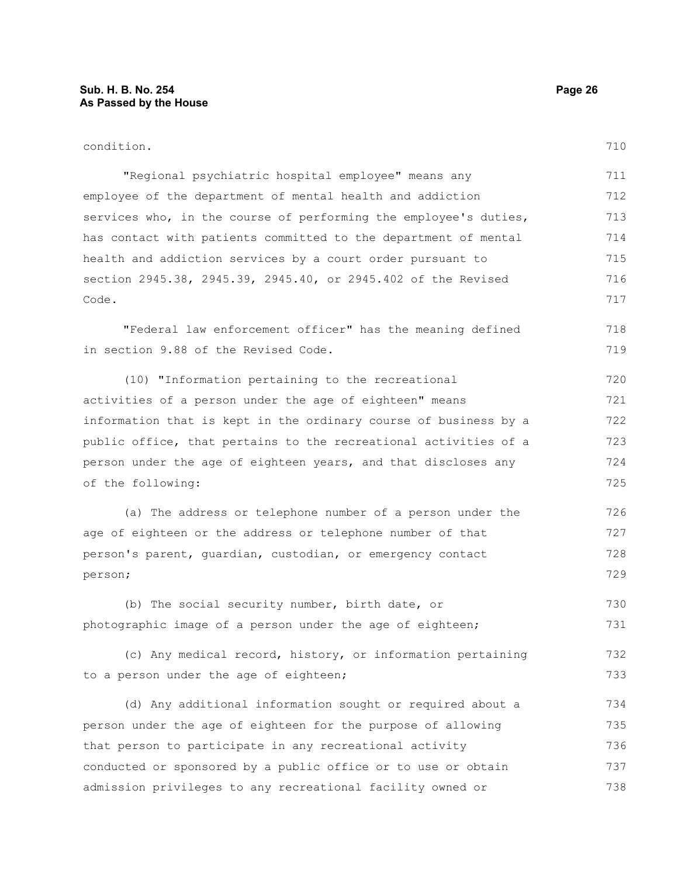#### condition.

718 719

| "Regional psychiatric hospital employee" means any               | 711 |
|------------------------------------------------------------------|-----|
| employee of the department of mental health and addiction        | 712 |
| services who, in the course of performing the employee's duties, | 713 |
| has contact with patients committed to the department of mental  | 714 |
| health and addiction services by a court order pursuant to       | 715 |
| section 2945.38, 2945.39, 2945.40, or 2945.402 of the Revised    | 716 |
| Code.                                                            | 717 |

"Federal law enforcement officer" has the meaning defined in section 9.88 of the Revised Code.

(10) "Information pertaining to the recreational activities of a person under the age of eighteen" means information that is kept in the ordinary course of business by a public office, that pertains to the recreational activities of a person under the age of eighteen years, and that discloses any of the following: 720 721 722 723 724 725

(a) The address or telephone number of a person under the age of eighteen or the address or telephone number of that person's parent, guardian, custodian, or emergency contact person; 726 727 728 729

(b) The social security number, birth date, or photographic image of a person under the age of eighteen; 730 731

(c) Any medical record, history, or information pertaining to a person under the age of eighteen; 732 733

(d) Any additional information sought or required about a person under the age of eighteen for the purpose of allowing that person to participate in any recreational activity conducted or sponsored by a public office or to use or obtain admission privileges to any recreational facility owned or 734 735 736 737 738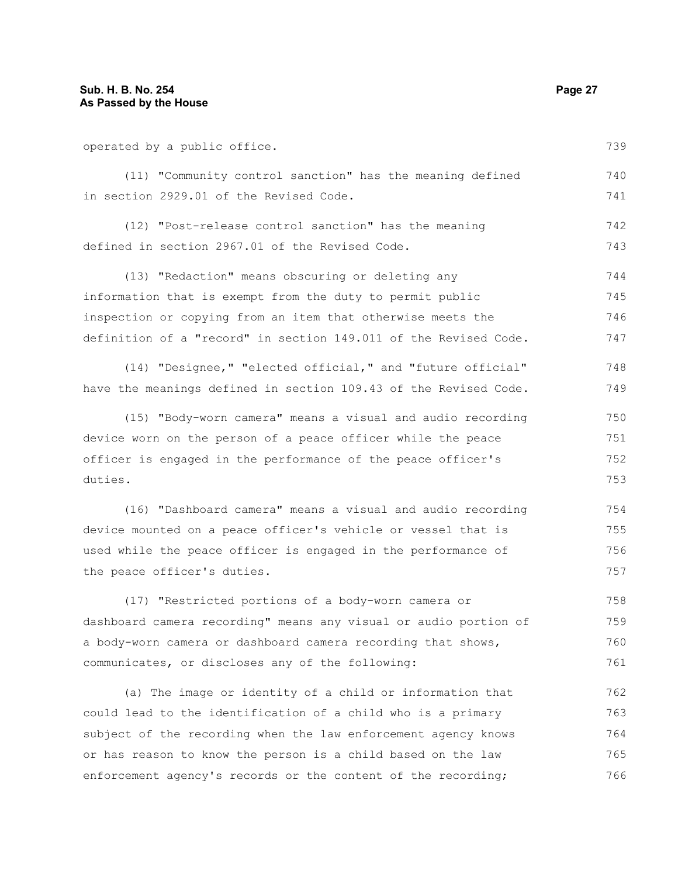operated by a public office. (11) "Community control sanction" has the meaning defined in section 2929.01 of the Revised Code. (12) "Post-release control sanction" has the meaning (13) "Redaction" means obscuring or deleting any information that is exempt from the duty to permit public (14) "Designee," "elected official," and "future official" (15) "Body-worn camera" means a visual and audio recording device worn on the person of a peace officer while the peace officer is engaged in the performance of the peace officer's duties. 739 740 741 742 743 744 745 746 747 748 749 750 751 752 753

(16) "Dashboard camera" means a visual and audio recording device mounted on a peace officer's vehicle or vessel that is used while the peace officer is engaged in the performance of the peace officer's duties. 754 755 756 757

(17) "Restricted portions of a body-worn camera or dashboard camera recording" means any visual or audio portion of a body-worn camera or dashboard camera recording that shows, communicates, or discloses any of the following: 758 759 760 761

(a) The image or identity of a child or information that could lead to the identification of a child who is a primary subject of the recording when the law enforcement agency knows or has reason to know the person is a child based on the law enforcement agency's records or the content of the recording; 762 763 764 765 766

- 
- 
- 

defined in section 2967.01 of the Revised Code.

inspection or copying from an item that otherwise meets the definition of a "record" in section 149.011 of the Revised Code. have the meanings defined in section 109.43 of the Revised Code.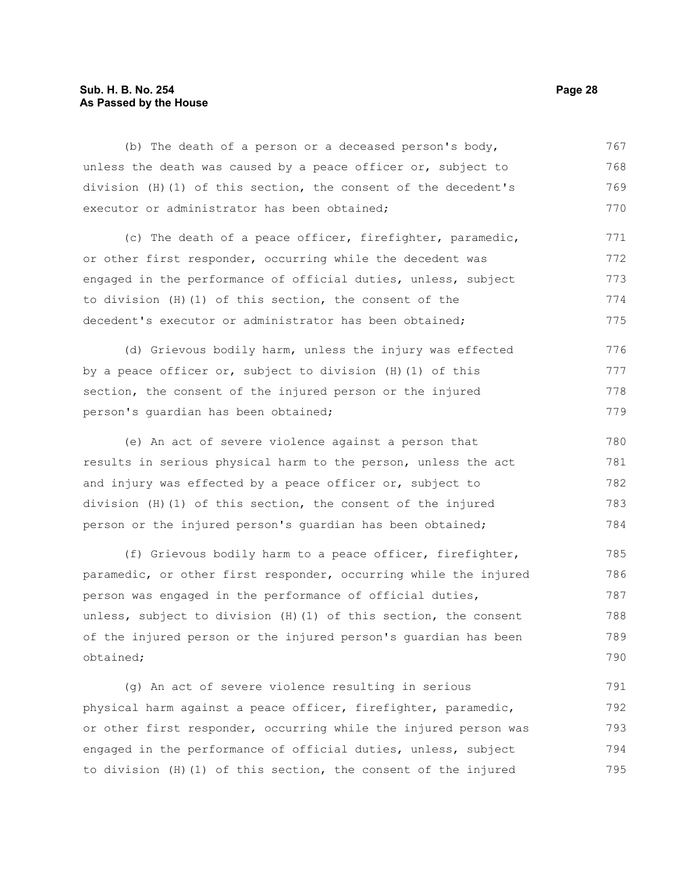#### **Sub. H. B. No. 254 Page 28 As Passed by the House**

(b) The death of a person or a deceased person's body, unless the death was caused by a peace officer or, subject to division (H)(1) of this section, the consent of the decedent's executor or administrator has been obtained; 767 768 769 770

(c) The death of a peace officer, firefighter, paramedic, or other first responder, occurring while the decedent was engaged in the performance of official duties, unless, subject to division (H)(1) of this section, the consent of the decedent's executor or administrator has been obtained; 771 772 773 774 775

(d) Grievous bodily harm, unless the injury was effected by a peace officer or, subject to division (H)(1) of this section, the consent of the injured person or the injured person's guardian has been obtained; 776 777 778 779

(e) An act of severe violence against a person that results in serious physical harm to the person, unless the act and injury was effected by a peace officer or, subject to division (H)(1) of this section, the consent of the injured person or the injured person's guardian has been obtained; 780 781 782 783 784

(f) Grievous bodily harm to a peace officer, firefighter, paramedic, or other first responder, occurring while the injured person was engaged in the performance of official duties, unless, subject to division (H)(1) of this section, the consent of the injured person or the injured person's guardian has been obtained;

(g) An act of severe violence resulting in serious physical harm against a peace officer, firefighter, paramedic, or other first responder, occurring while the injured person was engaged in the performance of official duties, unless, subject to division (H)(1) of this section, the consent of the injured 791 792 793 794 795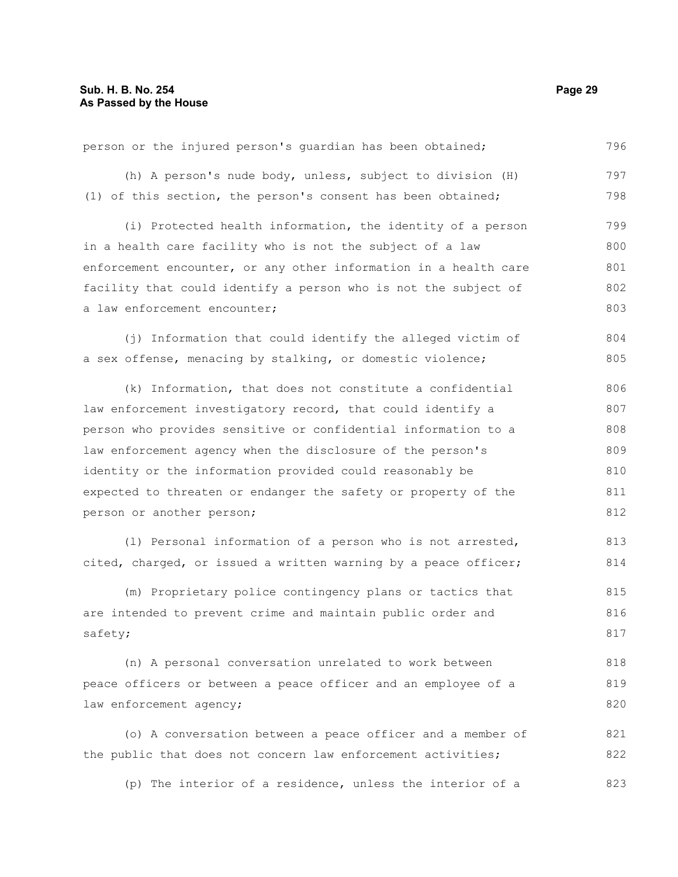person or the injured person's guardian has been obtained; (h) A person's nude body, unless, subject to division (H) (1) of this section, the person's consent has been obtained; (i) Protected health information, the identity of a person in a health care facility who is not the subject of a law enforcement encounter, or any other information in a health care facility that could identify a person who is not the subject of a law enforcement encounter; (j) Information that could identify the alleged victim of a sex offense, menacing by stalking, or domestic violence; (k) Information, that does not constitute a confidential law enforcement investigatory record, that could identify a person who provides sensitive or confidential information to a law enforcement agency when the disclosure of the person's identity or the information provided could reasonably be expected to threaten or endanger the safety or property of the person or another person; (l) Personal information of a person who is not arrested, cited, charged, or issued a written warning by a peace officer; (m) Proprietary police contingency plans or tactics that are intended to prevent crime and maintain public order and safety; (n) A personal conversation unrelated to work between peace officers or between a peace officer and an employee of a law enforcement agency; (o) A conversation between a peace officer and a member of the public that does not concern law enforcement activities; (p) The interior of a residence, unless the interior of a 796 797 798 799 800 801 802 803 804 805 806 807 808 809 810 811 812 813 814 815 816 817 818 819 820 821 822 823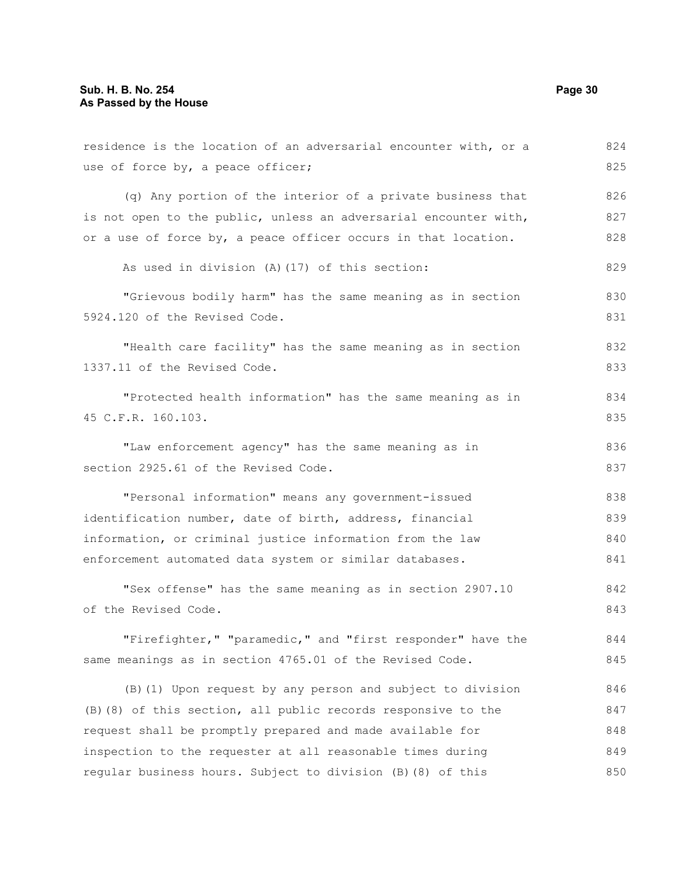| residence is the location of an adversarial encounter with, or a |  |
|------------------------------------------------------------------|--|
| use of force by, a peace officer;                                |  |
| $(q)$ Any portion of the interior of a private business that     |  |

|  |  |  |  |  |  | is not open to the public, unless an adversarial encounter with, | 827 |  |
|--|--|--|--|--|--|------------------------------------------------------------------|-----|--|
|  |  |  |  |  |  | or a use of force by, a peace officer occurs in that location.   | 828 |  |

As used in division (A)(17) of this section:

"Grievous bodily harm" has the same meaning as in section 5924.120 of the Revised Code. 830 831

"Health care facility" has the same meaning as in section 1337.11 of the Revised Code. 832 833

"Protected health information" has the same meaning as in 45 C.F.R. 160.103. 834 835

"Law enforcement agency" has the same meaning as in section 2925.61 of the Revised Code. 836 837

"Personal information" means any government-issued identification number, date of birth, address, financial information, or criminal justice information from the law enforcement automated data system or similar databases. 838 839 840 841

"Sex offense" has the same meaning as in section 2907.10 of the Revised Code. 842 843

"Firefighter," "paramedic," and "first responder" have the same meanings as in section 4765.01 of the Revised Code. 844 845

(B)(1) Upon request by any person and subject to division (B)(8) of this section, all public records responsive to the request shall be promptly prepared and made available for inspection to the requester at all reasonable times during regular business hours. Subject to division (B)(8) of this 846 847 848 849 850

824 825

826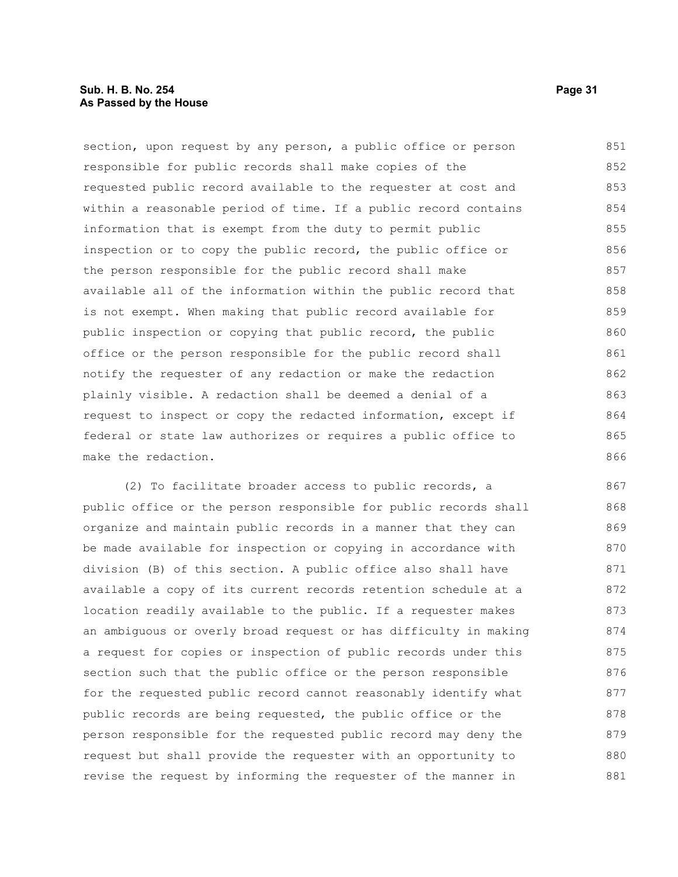section, upon request by any person, a public office or person responsible for public records shall make copies of the requested public record available to the requester at cost and within a reasonable period of time. If a public record contains information that is exempt from the duty to permit public inspection or to copy the public record, the public office or the person responsible for the public record shall make available all of the information within the public record that is not exempt. When making that public record available for public inspection or copying that public record, the public office or the person responsible for the public record shall notify the requester of any redaction or make the redaction plainly visible. A redaction shall be deemed a denial of a request to inspect or copy the redacted information, except if federal or state law authorizes or requires a public office to make the redaction. 851 852 853 854 855 856 857 858 859 860 861 862 863 864 865 866

(2) To facilitate broader access to public records, a public office or the person responsible for public records shall organize and maintain public records in a manner that they can be made available for inspection or copying in accordance with division (B) of this section. A public office also shall have available a copy of its current records retention schedule at a location readily available to the public. If a requester makes an ambiguous or overly broad request or has difficulty in making a request for copies or inspection of public records under this section such that the public office or the person responsible for the requested public record cannot reasonably identify what public records are being requested, the public office or the person responsible for the requested public record may deny the request but shall provide the requester with an opportunity to revise the request by informing the requester of the manner in 867 868 869 870 871 872 873 874 875 876 877 878 879 880 881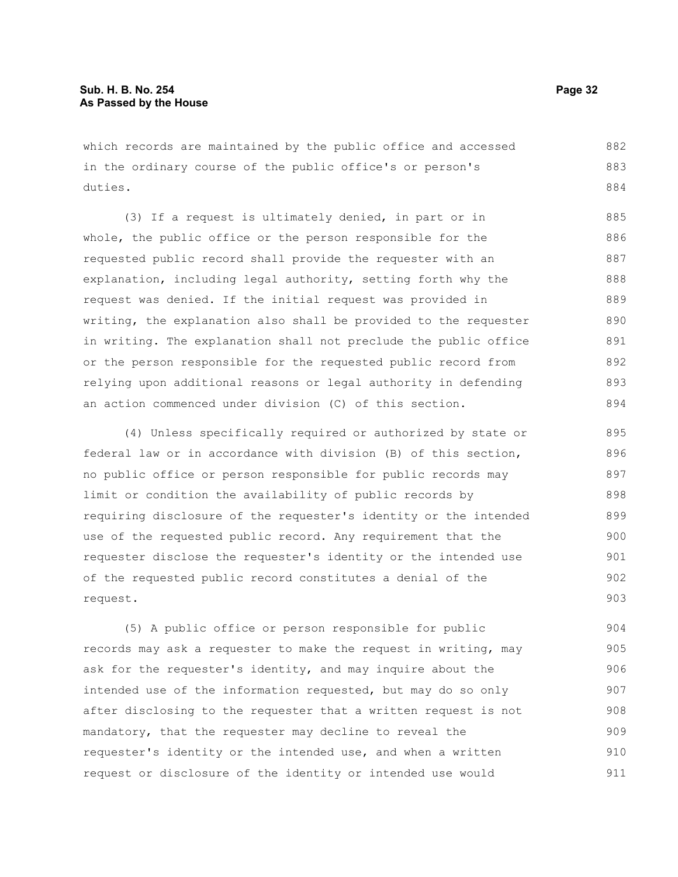which records are maintained by the public office and accessed in the ordinary course of the public office's or person's duties.

(3) If a request is ultimately denied, in part or in whole, the public office or the person responsible for the requested public record shall provide the requester with an explanation, including legal authority, setting forth why the request was denied. If the initial request was provided in writing, the explanation also shall be provided to the requester in writing. The explanation shall not preclude the public office or the person responsible for the requested public record from relying upon additional reasons or legal authority in defending an action commenced under division (C) of this section. 885 886 887 888 889 890 891 892 893 894

(4) Unless specifically required or authorized by state or federal law or in accordance with division (B) of this section, no public office or person responsible for public records may limit or condition the availability of public records by requiring disclosure of the requester's identity or the intended use of the requested public record. Any requirement that the requester disclose the requester's identity or the intended use of the requested public record constitutes a denial of the request. 895 896 897 898 899 900 901 902 903

(5) A public office or person responsible for public records may ask a requester to make the request in writing, may ask for the requester's identity, and may inquire about the intended use of the information requested, but may do so only after disclosing to the requester that a written request is not mandatory, that the requester may decline to reveal the requester's identity or the intended use, and when a written request or disclosure of the identity or intended use would 904 905 906 907 908 909 910 911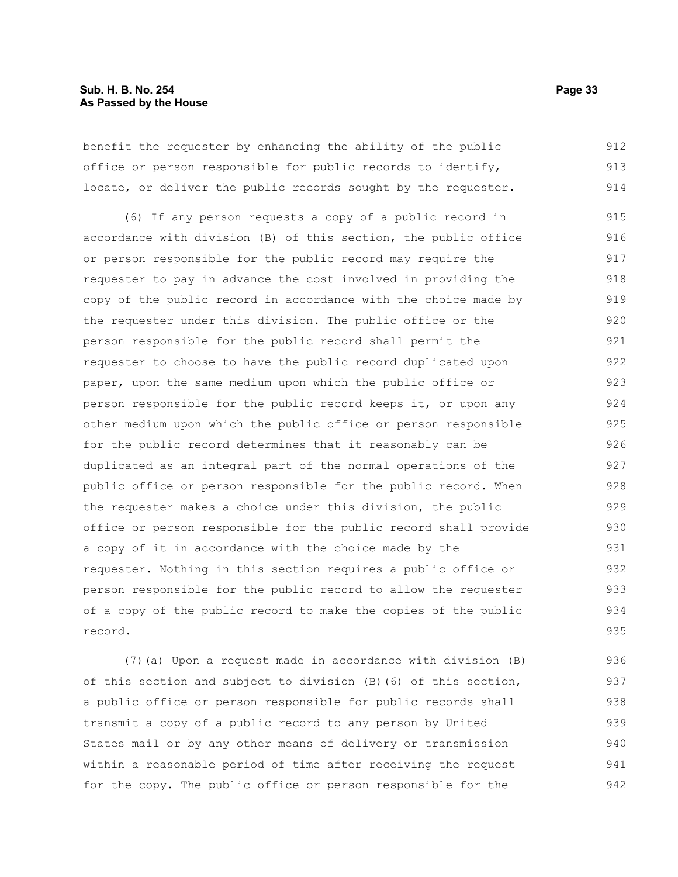benefit the requester by enhancing the ability of the public office or person responsible for public records to identify, locate, or deliver the public records sought by the requester. 912 913 914

(6) If any person requests a copy of a public record in accordance with division (B) of this section, the public office or person responsible for the public record may require the requester to pay in advance the cost involved in providing the copy of the public record in accordance with the choice made by the requester under this division. The public office or the person responsible for the public record shall permit the requester to choose to have the public record duplicated upon paper, upon the same medium upon which the public office or person responsible for the public record keeps it, or upon any other medium upon which the public office or person responsible for the public record determines that it reasonably can be duplicated as an integral part of the normal operations of the public office or person responsible for the public record. When the requester makes a choice under this division, the public office or person responsible for the public record shall provide a copy of it in accordance with the choice made by the requester. Nothing in this section requires a public office or person responsible for the public record to allow the requester of a copy of the public record to make the copies of the public record. 915 916 917 918 919 920 921 922 923 924 925 926 927 928 929 930 931 932 933 934 935

(7)(a) Upon a request made in accordance with division (B) of this section and subject to division (B)(6) of this section, a public office or person responsible for public records shall transmit a copy of a public record to any person by United States mail or by any other means of delivery or transmission within a reasonable period of time after receiving the request for the copy. The public office or person responsible for the 936 937 938 939 940 941 942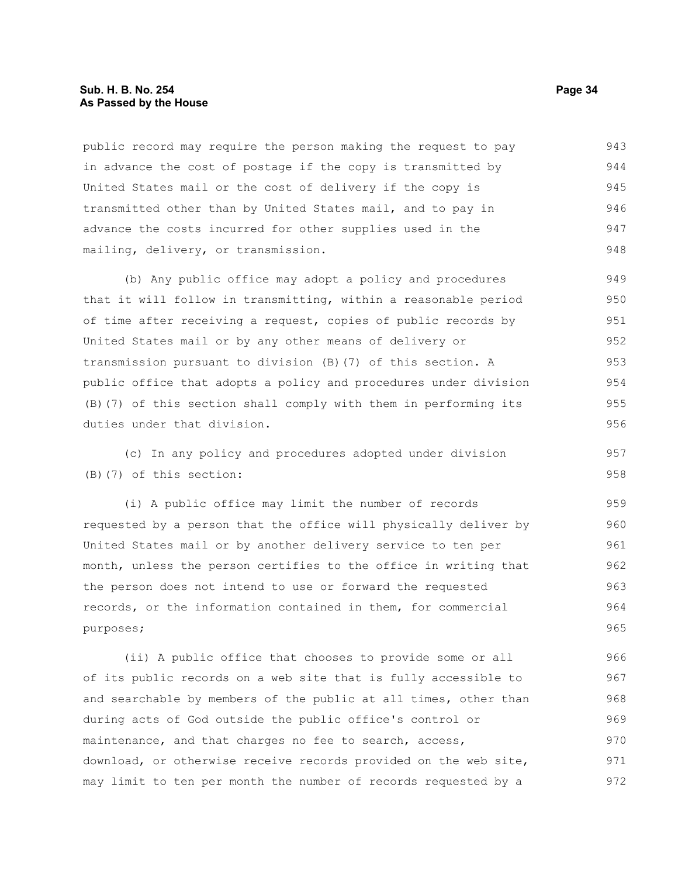#### **Sub. H. B. No. 254 Page 34 As Passed by the House**

public record may require the person making the request to pay in advance the cost of postage if the copy is transmitted by United States mail or the cost of delivery if the copy is transmitted other than by United States mail, and to pay in advance the costs incurred for other supplies used in the mailing, delivery, or transmission. 943 944 945 946 947 948

(b) Any public office may adopt a policy and procedures that it will follow in transmitting, within a reasonable period of time after receiving a request, copies of public records by United States mail or by any other means of delivery or transmission pursuant to division (B)(7) of this section. A public office that adopts a policy and procedures under division (B)(7) of this section shall comply with them in performing its duties under that division. 949 950 951 952 953 954 955 956

(c) In any policy and procedures adopted under division (B)(7) of this section:

(i) A public office may limit the number of records requested by a person that the office will physically deliver by United States mail or by another delivery service to ten per month, unless the person certifies to the office in writing that the person does not intend to use or forward the requested records, or the information contained in them, for commercial purposes; 959 960 961 962 963 964 965

(ii) A public office that chooses to provide some or all of its public records on a web site that is fully accessible to and searchable by members of the public at all times, other than during acts of God outside the public office's control or maintenance, and that charges no fee to search, access, download, or otherwise receive records provided on the web site, may limit to ten per month the number of records requested by a 966 967 968 969 970 971 972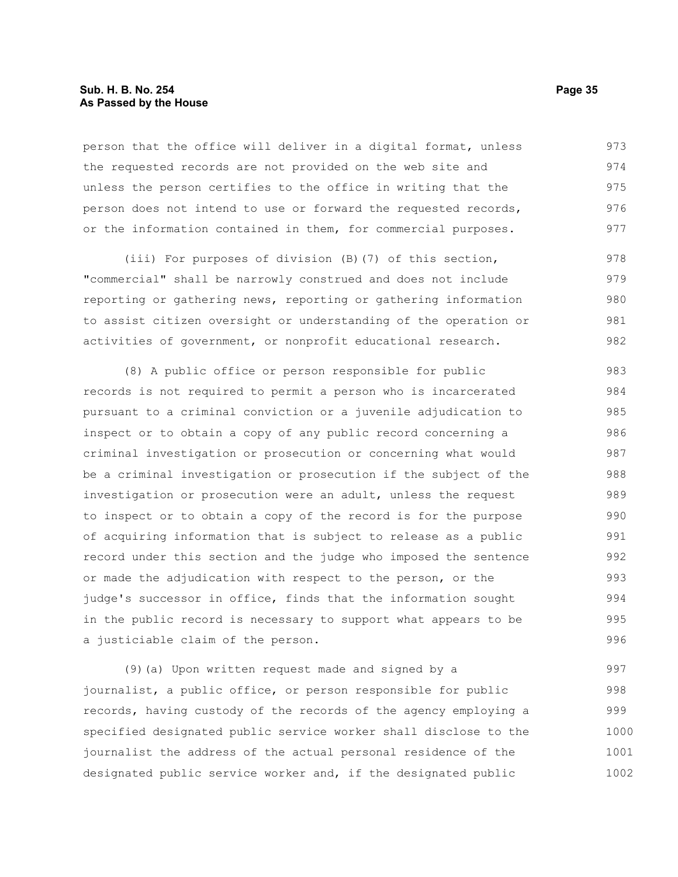#### **Sub. H. B. No. 254 Page 35 As Passed by the House**

person that the office will deliver in a digital format, unless the requested records are not provided on the web site and unless the person certifies to the office in writing that the person does not intend to use or forward the requested records, or the information contained in them, for commercial purposes. 973 974 975 976 977

(iii) For purposes of division (B)(7) of this section, "commercial" shall be narrowly construed and does not include reporting or gathering news, reporting or gathering information to assist citizen oversight or understanding of the operation or activities of government, or nonprofit educational research. 978 979 980 981 982

(8) A public office or person responsible for public records is not required to permit a person who is incarcerated pursuant to a criminal conviction or a juvenile adjudication to inspect or to obtain a copy of any public record concerning a criminal investigation or prosecution or concerning what would be a criminal investigation or prosecution if the subject of the investigation or prosecution were an adult, unless the request to inspect or to obtain a copy of the record is for the purpose of acquiring information that is subject to release as a public record under this section and the judge who imposed the sentence or made the adjudication with respect to the person, or the judge's successor in office, finds that the information sought in the public record is necessary to support what appears to be a justiciable claim of the person. 983 984 985 986 987 988 989 990 991 992 993 994 995 996

(9)(a) Upon written request made and signed by a journalist, a public office, or person responsible for public records, having custody of the records of the agency employing a specified designated public service worker shall disclose to the journalist the address of the actual personal residence of the designated public service worker and, if the designated public 997 998 999 1000 1001 1002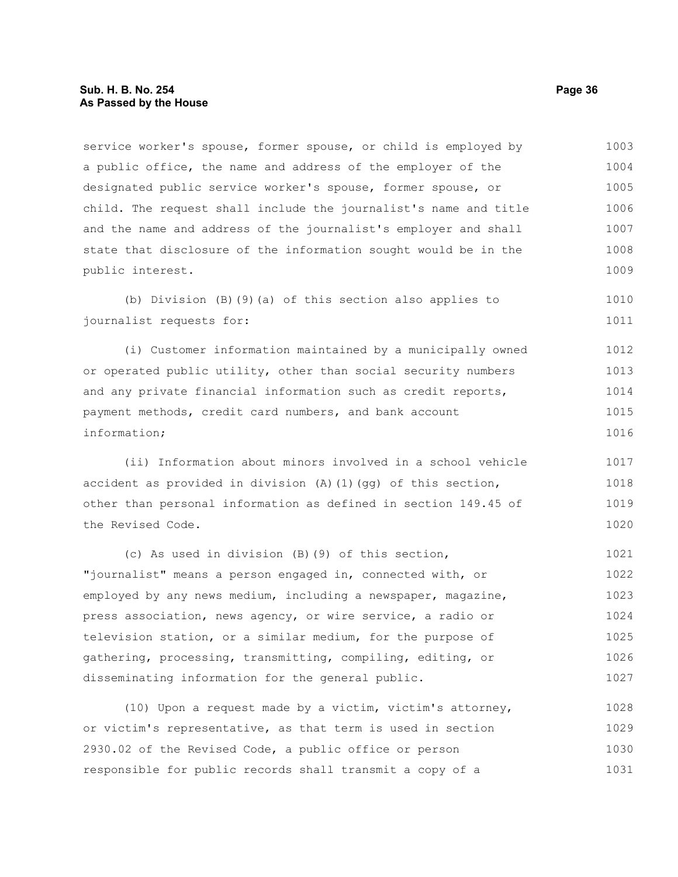service worker's spouse, former spouse, or child is employed by a public office, the name and address of the employer of the designated public service worker's spouse, former spouse, or child. The request shall include the journalist's name and title and the name and address of the journalist's employer and shall state that disclosure of the information sought would be in the public interest. 1003 1004 1005 1006 1007 1008 1009

(b) Division (B)(9)(a) of this section also applies to journalist requests for: 1010 1011

(i) Customer information maintained by a municipally owned or operated public utility, other than social security numbers and any private financial information such as credit reports, payment methods, credit card numbers, and bank account information; 1012 1013 1014 1015 1016

(ii) Information about minors involved in a school vehicle accident as provided in division  $(A)$   $(1)$   $(qq)$  of this section, other than personal information as defined in section 149.45 of the Revised Code. 1017 1018 1019 1020

(c) As used in division (B)(9) of this section, "journalist" means a person engaged in, connected with, or employed by any news medium, including a newspaper, magazine, press association, news agency, or wire service, a radio or television station, or a similar medium, for the purpose of gathering, processing, transmitting, compiling, editing, or disseminating information for the general public. 1021 1022 1023 1024 1025 1026 1027

(10) Upon a request made by a victim, victim's attorney, or victim's representative, as that term is used in section 2930.02 of the Revised Code, a public office or person responsible for public records shall transmit a copy of a 1028 1029 1030 1031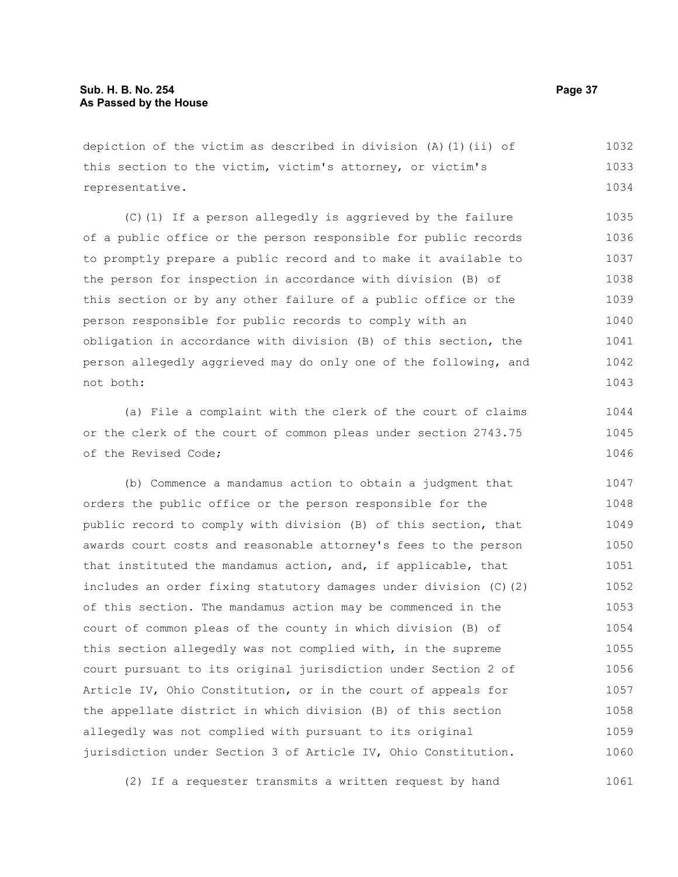depiction of the victim as described in division (A)(1)(ii) of this section to the victim, victim's attorney, or victim's representative. 1032 1033 1034

(C)(1) If a person allegedly is aggrieved by the failure of a public office or the person responsible for public records to promptly prepare a public record and to make it available to the person for inspection in accordance with division (B) of this section or by any other failure of a public office or the person responsible for public records to comply with an obligation in accordance with division (B) of this section, the person allegedly aggrieved may do only one of the following, and not both: 1035 1036 1037 1038 1039 1040 1041 1042 1043

(a) File a complaint with the clerk of the court of claims or the clerk of the court of common pleas under section 2743.75 of the Revised Code;

(b) Commence a mandamus action to obtain a judgment that orders the public office or the person responsible for the public record to comply with division (B) of this section, that awards court costs and reasonable attorney's fees to the person that instituted the mandamus action, and, if applicable, that includes an order fixing statutory damages under division (C)(2) of this section. The mandamus action may be commenced in the court of common pleas of the county in which division (B) of this section allegedly was not complied with, in the supreme court pursuant to its original jurisdiction under Section 2 of Article IV, Ohio Constitution, or in the court of appeals for the appellate district in which division (B) of this section allegedly was not complied with pursuant to its original jurisdiction under Section 3 of Article IV, Ohio Constitution. 1047 1048 1049 1050 1051 1052 1053 1054 1055 1056 1057 1058 1059 1060

(2) If a requester transmits a written request by hand 1061

1044 1045 1046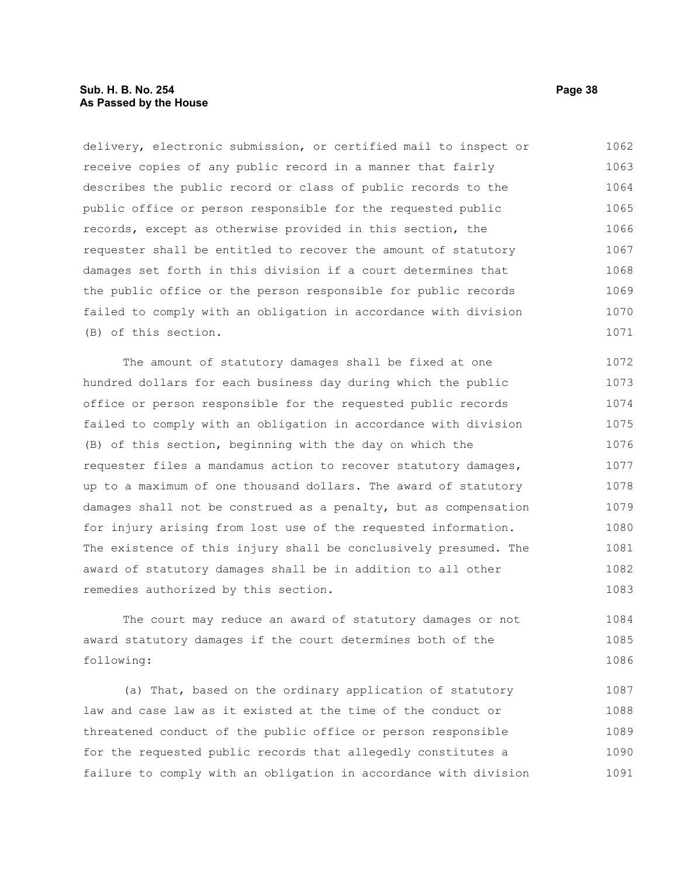# **Sub. H. B. No. 254 Page 38 As Passed by the House**

delivery, electronic submission, or certified mail to inspect or receive copies of any public record in a manner that fairly describes the public record or class of public records to the public office or person responsible for the requested public records, except as otherwise provided in this section, the requester shall be entitled to recover the amount of statutory damages set forth in this division if a court determines that the public office or the person responsible for public records failed to comply with an obligation in accordance with division (B) of this section. 1062 1063 1064 1065 1066 1067 1068 1069 1070 1071

The amount of statutory damages shall be fixed at one hundred dollars for each business day during which the public office or person responsible for the requested public records failed to comply with an obligation in accordance with division (B) of this section, beginning with the day on which the requester files a mandamus action to recover statutory damages, up to a maximum of one thousand dollars. The award of statutory damages shall not be construed as a penalty, but as compensation for injury arising from lost use of the requested information. The existence of this injury shall be conclusively presumed. The award of statutory damages shall be in addition to all other remedies authorized by this section. 1072 1073 1074 1075 1076 1077 1078 1079 1080 1081 1082 1083

The court may reduce an award of statutory damages or not award statutory damages if the court determines both of the following: 1084 1085 1086

(a) That, based on the ordinary application of statutory law and case law as it existed at the time of the conduct or threatened conduct of the public office or person responsible for the requested public records that allegedly constitutes a failure to comply with an obligation in accordance with division 1087 1088 1089 1090 1091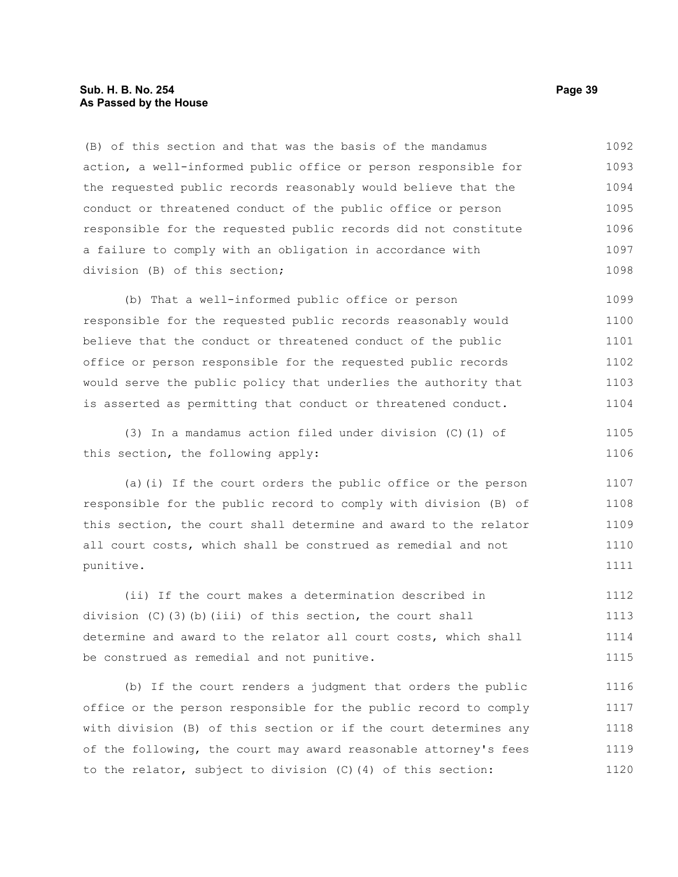## **Sub. H. B. No. 254 Page 39 As Passed by the House**

(B) of this section and that was the basis of the mandamus action, a well-informed public office or person responsible for the requested public records reasonably would believe that the conduct or threatened conduct of the public office or person responsible for the requested public records did not constitute a failure to comply with an obligation in accordance with division (B) of this section; 1092 1093 1094 1095 1096 1097 1098

(b) That a well-informed public office or person responsible for the requested public records reasonably would believe that the conduct or threatened conduct of the public office or person responsible for the requested public records would serve the public policy that underlies the authority that is asserted as permitting that conduct or threatened conduct. 1099 1100 1101 1102 1103 1104

(3) In a mandamus action filed under division (C)(1) of this section, the following apply: 1105 1106

(a)(i) If the court orders the public office or the person responsible for the public record to comply with division (B) of this section, the court shall determine and award to the relator all court costs, which shall be construed as remedial and not punitive. 1107 1108 1109 1110 1111

(ii) If the court makes a determination described in division (C)(3)(b)(iii) of this section, the court shall determine and award to the relator all court costs, which shall be construed as remedial and not punitive. 1112 1113 1114 1115

(b) If the court renders a judgment that orders the public office or the person responsible for the public record to comply with division (B) of this section or if the court determines any of the following, the court may award reasonable attorney's fees to the relator, subject to division (C)(4) of this section: 1116 1117 1118 1119 1120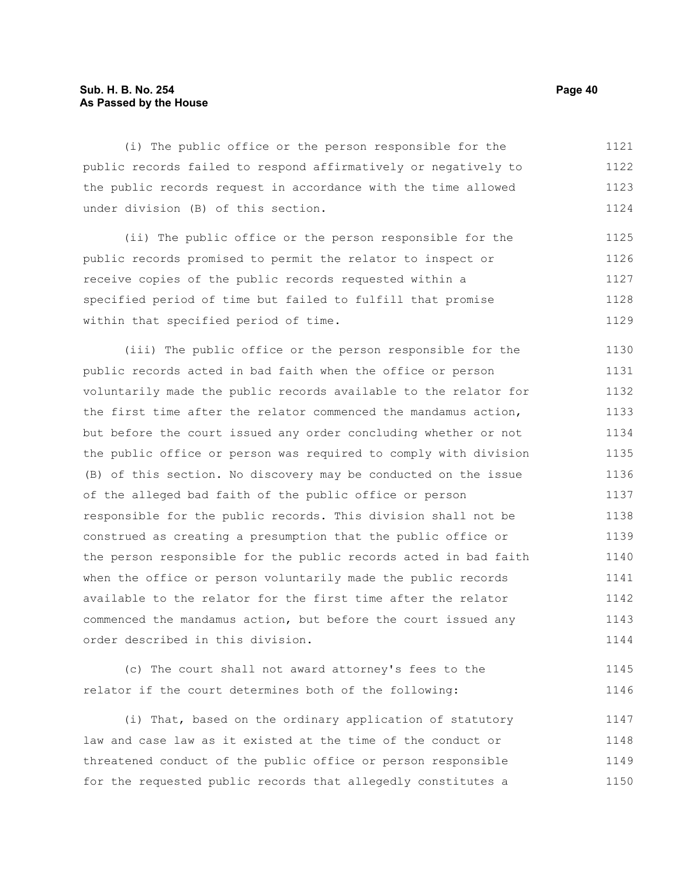# **Sub. H. B. No. 254 Page 40 As Passed by the House**

(i) The public office or the person responsible for the public records failed to respond affirmatively or negatively to the public records request in accordance with the time allowed under division (B) of this section. 1121 1122 1123 1124

(ii) The public office or the person responsible for the public records promised to permit the relator to inspect or receive copies of the public records requested within a specified period of time but failed to fulfill that promise within that specified period of time. 1125 1126 1127 1128 1129

(iii) The public office or the person responsible for the public records acted in bad faith when the office or person voluntarily made the public records available to the relator for the first time after the relator commenced the mandamus action, but before the court issued any order concluding whether or not the public office or person was required to comply with division (B) of this section. No discovery may be conducted on the issue of the alleged bad faith of the public office or person responsible for the public records. This division shall not be construed as creating a presumption that the public office or the person responsible for the public records acted in bad faith when the office or person voluntarily made the public records available to the relator for the first time after the relator commenced the mandamus action, but before the court issued any order described in this division. 1130 1131 1132 1133 1134 1135 1136 1137 1138 1139 1140 1141 1142 1143 1144

(c) The court shall not award attorney's fees to the relator if the court determines both of the following: 1145 1146

(i) That, based on the ordinary application of statutory law and case law as it existed at the time of the conduct or threatened conduct of the public office or person responsible for the requested public records that allegedly constitutes a 1147 1148 1149 1150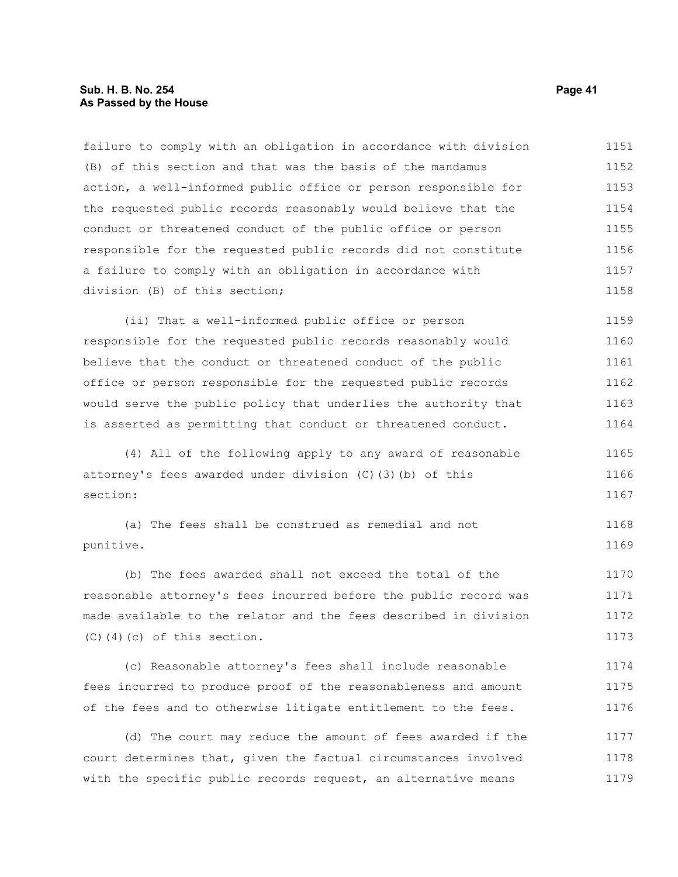## **Sub. H. B. No. 254 Page 41 As Passed by the House**

failure to comply with an obligation in accordance with division (B) of this section and that was the basis of the mandamus action, a well-informed public office or person responsible for the requested public records reasonably would believe that the conduct or threatened conduct of the public office or person responsible for the requested public records did not constitute a failure to comply with an obligation in accordance with division (B) of this section; 1151 1152 1153 1154 1155 1156 1157 1158

(ii) That a well-informed public office or person responsible for the requested public records reasonably would believe that the conduct or threatened conduct of the public office or person responsible for the requested public records would serve the public policy that underlies the authority that is asserted as permitting that conduct or threatened conduct. 1159 1160 1161 1162 1163 1164

(4) All of the following apply to any award of reasonable attorney's fees awarded under division (C)(3)(b) of this section: 1165 1166 1167

(a) The fees shall be construed as remedial and not punitive. 1168 1169

(b) The fees awarded shall not exceed the total of the reasonable attorney's fees incurred before the public record was made available to the relator and the fees described in division (C)(4)(c) of this section. 1170 1171 1172 1173

(c) Reasonable attorney's fees shall include reasonable fees incurred to produce proof of the reasonableness and amount of the fees and to otherwise litigate entitlement to the fees. 1174 1175 1176

(d) The court may reduce the amount of fees awarded if the court determines that, given the factual circumstances involved with the specific public records request, an alternative means 1177 1178 1179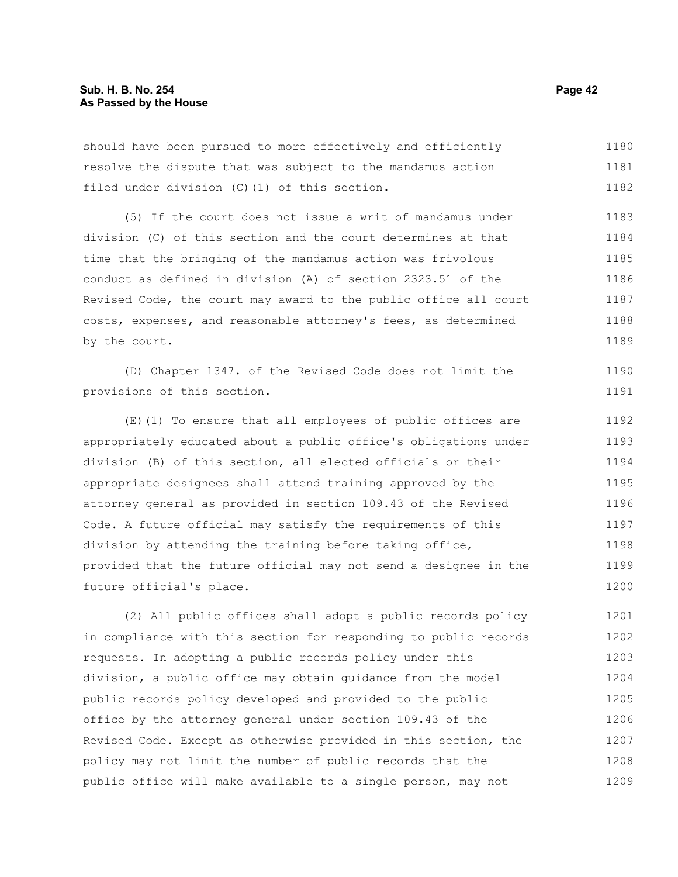should have been pursued to more effectively and efficiently resolve the dispute that was subject to the mandamus action filed under division (C)(1) of this section. 1180 1181 1182

(5) If the court does not issue a writ of mandamus under division (C) of this section and the court determines at that time that the bringing of the mandamus action was frivolous conduct as defined in division (A) of section 2323.51 of the Revised Code, the court may award to the public office all court costs, expenses, and reasonable attorney's fees, as determined by the court. 1183 1184 1185 1186 1187 1188 1189

(D) Chapter 1347. of the Revised Code does not limit the provisions of this section.

(E)(1) To ensure that all employees of public offices are appropriately educated about a public office's obligations under division (B) of this section, all elected officials or their appropriate designees shall attend training approved by the attorney general as provided in section 109.43 of the Revised Code. A future official may satisfy the requirements of this division by attending the training before taking office, provided that the future official may not send a designee in the future official's place. 1192 1193 1194 1195 1196 1197 1198 1199 1200

(2) All public offices shall adopt a public records policy in compliance with this section for responding to public records requests. In adopting a public records policy under this division, a public office may obtain guidance from the model public records policy developed and provided to the public office by the attorney general under section 109.43 of the Revised Code. Except as otherwise provided in this section, the policy may not limit the number of public records that the public office will make available to a single person, may not 1201 1202 1203 1204 1205 1206 1207 1208 1209

1190 1191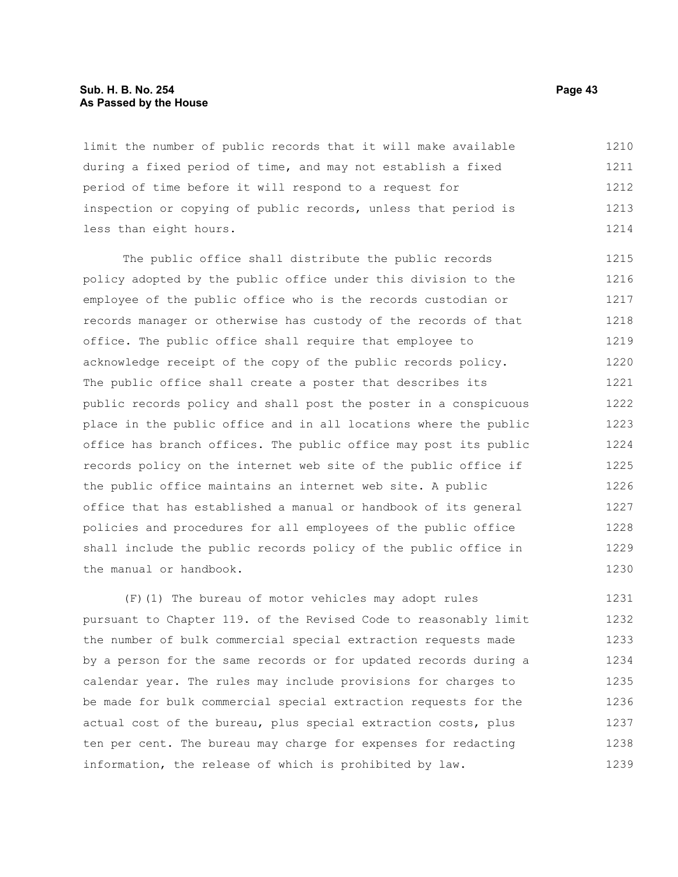## **Sub. H. B. No. 254 Page 43 As Passed by the House**

limit the number of public records that it will make available during a fixed period of time, and may not establish a fixed period of time before it will respond to a request for inspection or copying of public records, unless that period is less than eight hours. 1210 1211 1212 1213 1214

The public office shall distribute the public records policy adopted by the public office under this division to the employee of the public office who is the records custodian or records manager or otherwise has custody of the records of that office. The public office shall require that employee to acknowledge receipt of the copy of the public records policy. The public office shall create a poster that describes its public records policy and shall post the poster in a conspicuous place in the public office and in all locations where the public office has branch offices. The public office may post its public records policy on the internet web site of the public office if the public office maintains an internet web site. A public office that has established a manual or handbook of its general policies and procedures for all employees of the public office shall include the public records policy of the public office in the manual or handbook. 1215 1216 1217 1218 1219 1220 1221 1222 1223 1224 1225 1226 1227 1228 1229 1230

(F)(1) The bureau of motor vehicles may adopt rules pursuant to Chapter 119. of the Revised Code to reasonably limit the number of bulk commercial special extraction requests made by a person for the same records or for updated records during a calendar year. The rules may include provisions for charges to be made for bulk commercial special extraction requests for the actual cost of the bureau, plus special extraction costs, plus ten per cent. The bureau may charge for expenses for redacting information, the release of which is prohibited by law. 1231 1232 1233 1234 1235 1236 1237 1238 1239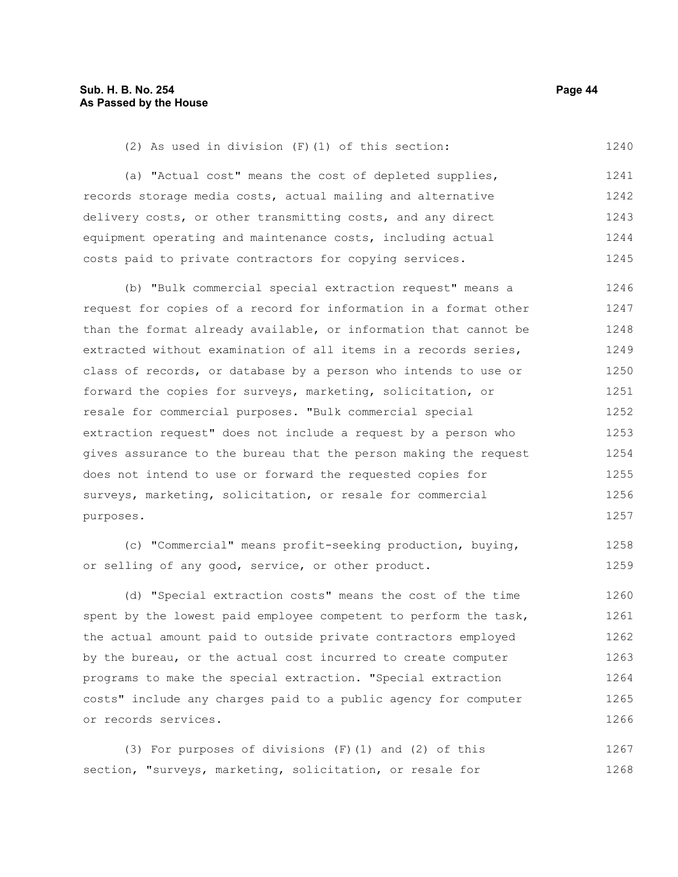(2) As used in division (F)(1) of this section: 1240

(a) "Actual cost" means the cost of depleted supplies, records storage media costs, actual mailing and alternative delivery costs, or other transmitting costs, and any direct equipment operating and maintenance costs, including actual costs paid to private contractors for copying services. 1241 1242 1243 1244 1245

(b) "Bulk commercial special extraction request" means a request for copies of a record for information in a format other than the format already available, or information that cannot be extracted without examination of all items in a records series, class of records, or database by a person who intends to use or forward the copies for surveys, marketing, solicitation, or resale for commercial purposes. "Bulk commercial special extraction request" does not include a request by a person who gives assurance to the bureau that the person making the request does not intend to use or forward the requested copies for surveys, marketing, solicitation, or resale for commercial purposes. 1246 1247 1248 1249 1250 1251 1252 1253 1254 1255 1256 1257

(c) "Commercial" means profit-seeking production, buying, or selling of any good, service, or other product. 1258 1259

(d) "Special extraction costs" means the cost of the time spent by the lowest paid employee competent to perform the task, the actual amount paid to outside private contractors employed by the bureau, or the actual cost incurred to create computer programs to make the special extraction. "Special extraction costs" include any charges paid to a public agency for computer or records services. 1260 1261 1262 1263 1264 1265 1266

(3) For purposes of divisions (F)(1) and (2) of this section, "surveys, marketing, solicitation, or resale for 1267 1268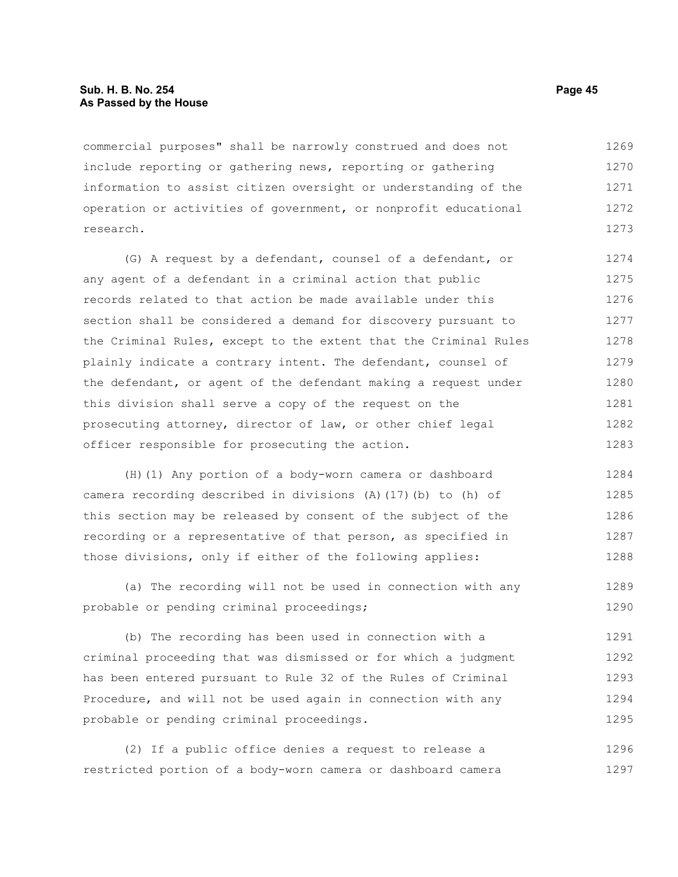## **Sub. H. B. No. 254 Page 45 As Passed by the House**

commercial purposes" shall be narrowly construed and does not include reporting or gathering news, reporting or gathering information to assist citizen oversight or understanding of the operation or activities of government, or nonprofit educational research. 1269 1270 1271 1272 1273

(G) A request by a defendant, counsel of a defendant, or any agent of a defendant in a criminal action that public records related to that action be made available under this section shall be considered a demand for discovery pursuant to the Criminal Rules, except to the extent that the Criminal Rules plainly indicate a contrary intent. The defendant, counsel of the defendant, or agent of the defendant making a request under this division shall serve a copy of the request on the prosecuting attorney, director of law, or other chief legal officer responsible for prosecuting the action. 1274 1275 1276 1277 1278 1279 1280 1281 1282 1283

(H)(1) Any portion of a body-worn camera or dashboard camera recording described in divisions (A)(17)(b) to (h) of this section may be released by consent of the subject of the recording or a representative of that person, as specified in those divisions, only if either of the following applies: 1284 1285 1286 1287 1288

(a) The recording will not be used in connection with any probable or pending criminal proceedings; 1289 1290

(b) The recording has been used in connection with a criminal proceeding that was dismissed or for which a judgment has been entered pursuant to Rule 32 of the Rules of Criminal Procedure, and will not be used again in connection with any probable or pending criminal proceedings. 1291 1292 1293 1294 1295

(2) If a public office denies a request to release a restricted portion of a body-worn camera or dashboard camera 1296 1297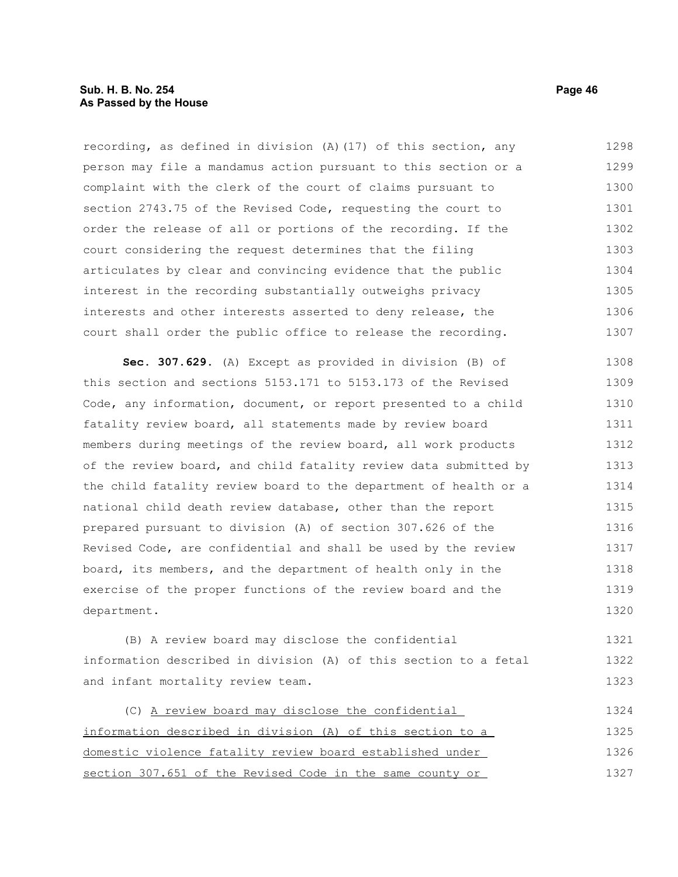# **Sub. H. B. No. 254 Page 46 As Passed by the House**

recording, as defined in division (A)(17) of this section, any person may file a mandamus action pursuant to this section or a complaint with the clerk of the court of claims pursuant to section 2743.75 of the Revised Code, requesting the court to order the release of all or portions of the recording. If the court considering the request determines that the filing articulates by clear and convincing evidence that the public interest in the recording substantially outweighs privacy interests and other interests asserted to deny release, the court shall order the public office to release the recording. 1298 1299 1300 1301 1302 1303 1304 1305 1306 1307

**Sec. 307.629.** (A) Except as provided in division (B) of this section and sections 5153.171 to 5153.173 of the Revised Code, any information, document, or report presented to a child fatality review board, all statements made by review board members during meetings of the review board, all work products of the review board, and child fatality review data submitted by the child fatality review board to the department of health or a national child death review database, other than the report prepared pursuant to division (A) of section 307.626 of the Revised Code, are confidential and shall be used by the review board, its members, and the department of health only in the exercise of the proper functions of the review board and the department. 1308 1309 1310 1311 1312 1313 1314 1315 1316 1317 1318 1319 1320

(B) A review board may disclose the confidential information described in division (A) of this section to a fetal and infant mortality review team. 1321 1322 1323

(C) A review board may disclose the confidential information described in division (A) of this section to a domestic violence fatality review board established under section 307.651 of the Revised Code in the same county or 1324 1325 1326 1327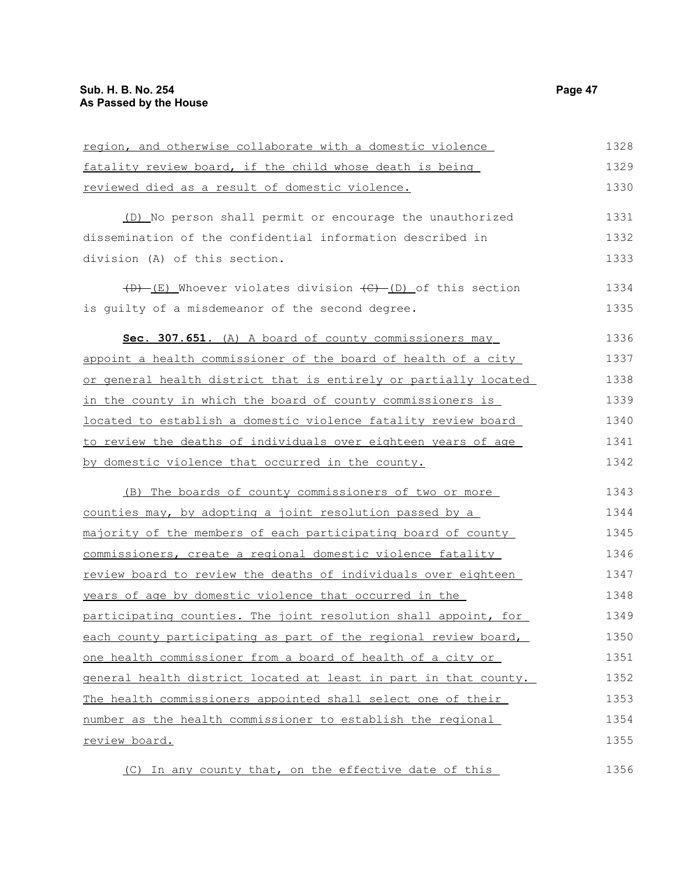| region, and otherwise collaborate with a domestic violence       | 1328 |
|------------------------------------------------------------------|------|
| fatality review board, if the child whose death is being         | 1329 |
| reviewed died as a result of domestic violence.                  | 1330 |
| (D) No person shall permit or encourage the unauthorized         | 1331 |
| dissemination of the confidential information described in       | 1332 |
| division (A) of this section.                                    | 1333 |
| $(D)$ (E) Whoever violates division $(C)$ (D) of this section    | 1334 |
| is guilty of a misdemeanor of the second degree.                 | 1335 |
| Sec. 307.651. (A) A board of county commissioners may            | 1336 |
| appoint a health commissioner of the board of health of a city   | 1337 |
| or general health district that is entirely or partially located | 1338 |
| in the county in which the board of county commissioners is      | 1339 |
| located to establish a domestic violence fatality review board   | 1340 |
| to review the deaths of individuals over eighteen years of age   | 1341 |
| by domestic violence that occurred in the county.                | 1342 |
| (B) The boards of county commissioners of two or more            | 1343 |
| counties may, by adopting a joint resolution passed by a         | 1344 |
| majority of the members of each participating board of county    | 1345 |
| commissioners, create a regional domestic violence fatality      | 1346 |
| review board to review the deaths of individuals over eighteen   | 1347 |
| years of age by domestic violence that occurred in the           | 1348 |
| participating counties. The joint resolution shall appoint, for  | 1349 |
| each county participating as part of the regional review board,  | 1350 |
| one health commissioner from a board of health of a city or      | 1351 |
| general health district located at least in part in that county. | 1352 |
| The health commissioners appointed shall select one of their     | 1353 |
| number as the health commissioner to establish the regional      | 1354 |
| review board.                                                    | 1355 |
| (C) In any county that, on the effective date of this            | 1356 |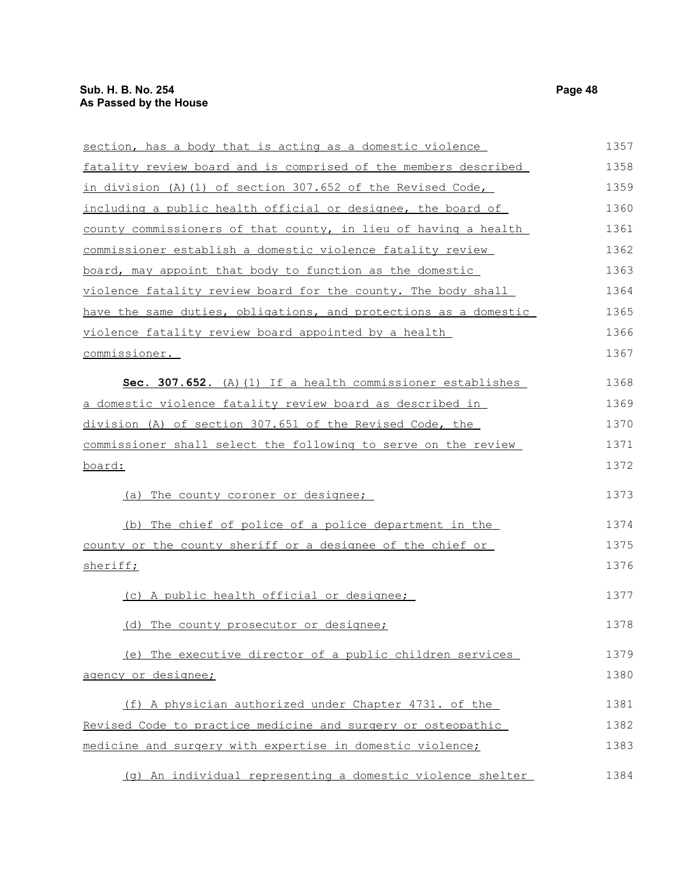| section, has a body that is acting as a domestic violence        | 1357 |
|------------------------------------------------------------------|------|
| fatality review board and is comprised of the members described  | 1358 |
| in division (A)(1) of section 307.652 of the Revised Code,       | 1359 |
| including a public health official or designee, the board of     | 1360 |
| county commissioners of that county, in lieu of having a health  | 1361 |
| commissioner establish a domestic violence fatality review       | 1362 |
| board, may appoint that body to function as the domestic         | 1363 |
| violence fatality review board for the county. The body shall    | 1364 |
| have the same duties, obligations, and protections as a domestic | 1365 |
| violence fatality review board appointed by a health             | 1366 |
| commissioner.                                                    | 1367 |
| Sec. 307.652. (A) (1) If a health commissioner establishes       | 1368 |
| a domestic violence fatality review board as described in        | 1369 |
| division (A) of section 307.651 of the Revised Code, the         | 1370 |
| commissioner shall select the following to serve on the review   | 1371 |
| board:                                                           | 1372 |
| (a) The county coroner or designee;                              | 1373 |
| The chief of police of a police department in the<br>(b)         | 1374 |
| county or the county sheriff or a designee of the chief or       | 1375 |
| sheriff;                                                         | 1376 |
| (c) A public health official or designee;                        | 1377 |
| (d) The county prosecutor or designee;                           | 1378 |
| (e) The executive director of a public children services         | 1379 |
| agency or designee;                                              | 1380 |
| (f) A physician authorized under Chapter 4731. of the            | 1381 |
| Revised Code to practice medicine and surgery or osteopathic     | 1382 |
| medicine and surgery with expertise in domestic violence;        | 1383 |

(g) An individual representing a domestic violence shelter 1384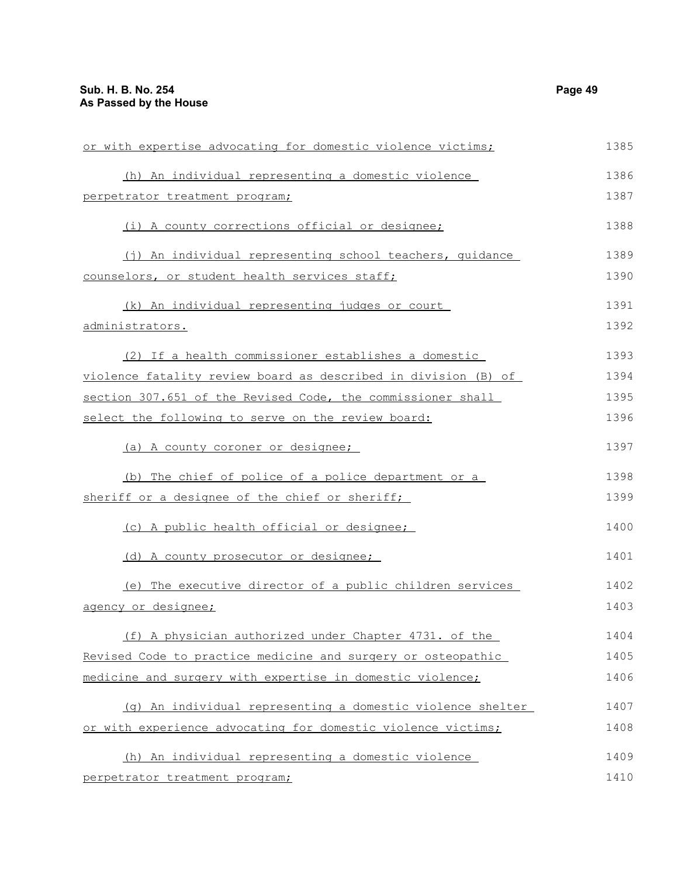| or with expertise advocating for domestic violence victims;    | 1385 |
|----------------------------------------------------------------|------|
| (h) An individual representing a domestic violence             | 1386 |
| perpetrator treatment program;                                 | 1387 |
| (i) A county corrections official or designee;                 | 1388 |
| (j) An individual representing school teachers, quidance       | 1389 |
| counselors, or student health services staff;                  | 1390 |
| (k) An individual representing judges or court                 | 1391 |
| administrators.                                                | 1392 |
| (2) If a health commissioner establishes a domestic            | 1393 |
| violence fatality review board as described in division (B) of | 1394 |
| section 307.651 of the Revised Code, the commissioner shall    | 1395 |
| select the following to serve on the review board:             | 1396 |
| (a) A county coroner or designee;                              | 1397 |
| (b) The chief of police of a police department or a            | 1398 |
| sheriff or a designee of the chief or sheriff;                 | 1399 |
| (c) A public health official or designee;                      | 1400 |
| (d) A county prosecutor or designee;                           | 1401 |
| (e) The executive director of a public children services       | 1402 |
| agency or designee;                                            | 1403 |
| (f) A physician authorized under Chapter 4731. of the          | 1404 |
| Revised Code to practice medicine and surgery or osteopathic   | 1405 |
| medicine and surgery with expertise in domestic violence;      | 1406 |
| (g) An individual representing a domestic violence shelter     | 1407 |
| or with experience advocating for domestic violence victims;   | 1408 |
| (h) An individual representing a domestic violence             | 1409 |
| perpetrator treatment program;                                 | 1410 |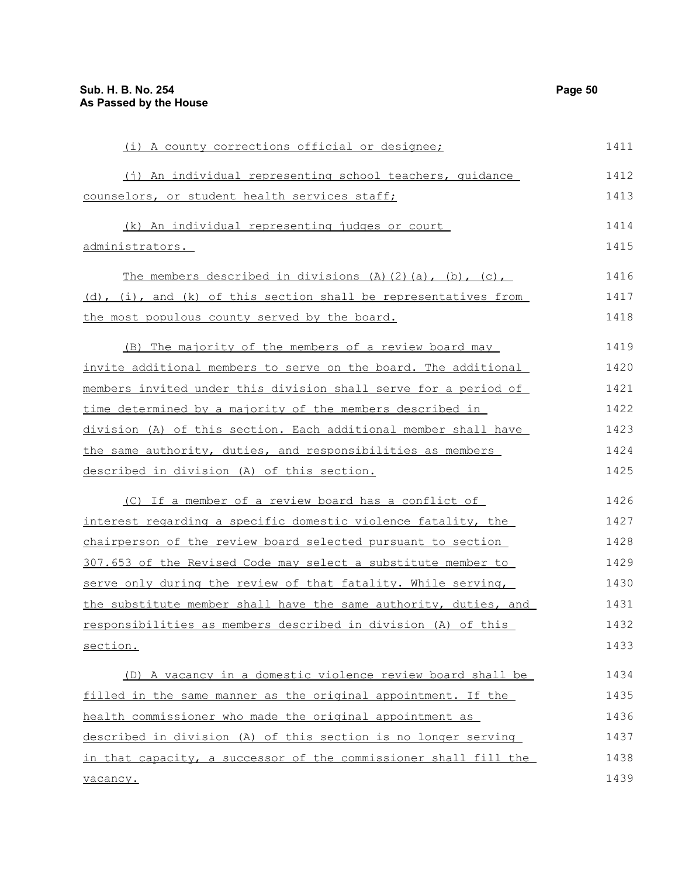| (i) A county corrections official or designee;                     | 1411 |
|--------------------------------------------------------------------|------|
| (j) An individual representing school teachers, quidance           | 1412 |
| counselors, or student health services staff;                      | 1413 |
| (k) An individual representing judges or court                     | 1414 |
| administrators.                                                    | 1415 |
| The members described in divisions (A)(2)(a), (b), (c),            | 1416 |
| $(d)$ , (i), and (k) of this section shall be representatives from | 1417 |
| the most populous county served by the board.                      | 1418 |
| (B) The majority of the members of a review board may              | 1419 |
| invite additional members to serve on the board. The additional    | 1420 |
| members invited under this division shall serve for a period of    | 1421 |
| time determined by a majority of the members described in          | 1422 |
| division (A) of this section. Each additional member shall have    | 1423 |
| the same authority, duties, and responsibilities as members        | 1424 |
| described in division (A) of this section.                         | 1425 |
| (C) If a member of a review board has a conflict of                | 1426 |
| interest regarding a specific domestic violence fatality, the      | 1427 |
| chairperson of the review board selected pursuant to section       | 1428 |
| 307.653 of the Revised Code may select a substitute member to      | 1429 |
| serve only during the review of that fatality. While serving,      | 1430 |
| the substitute member shall have the same authority, duties, and   | 1431 |
| responsibilities as members described in division (A) of this      | 1432 |
| section.                                                           | 1433 |
| (D) A vacancy in a domestic violence review board shall be         | 1434 |
| filled in the same manner as the original appointment. If the      | 1435 |
| health commissioner who made the original appointment as           | 1436 |
| described in division (A) of this section is no longer serving     | 1437 |
| in that capacity, a successor of the commissioner shall fill the   | 1438 |
| vacancy.                                                           | 1439 |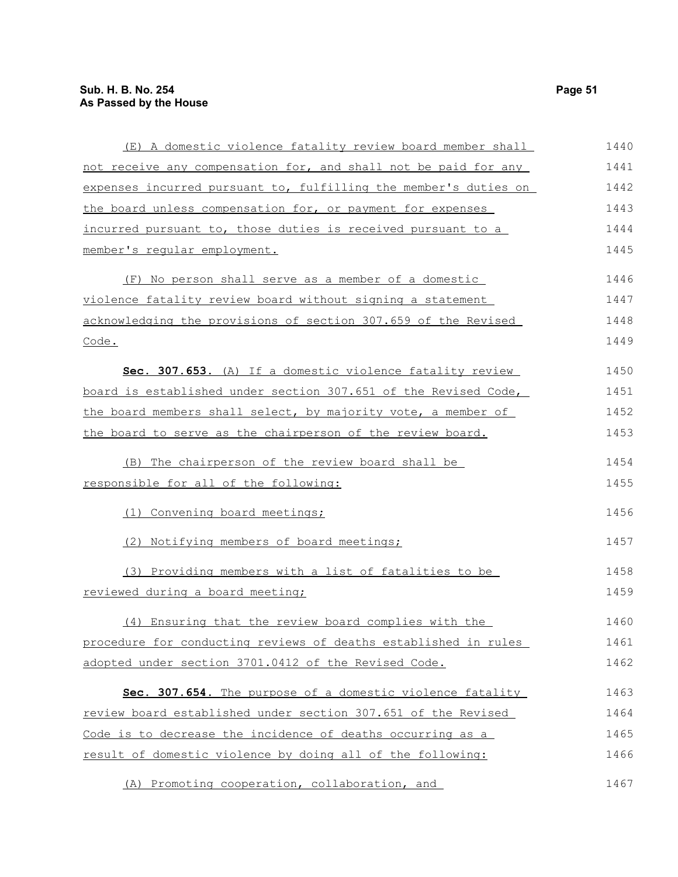| (E) A domestic violence fatality review board member shall       | 1440 |
|------------------------------------------------------------------|------|
| not receive any compensation for, and shall not be paid for any  | 1441 |
| expenses incurred pursuant to, fulfilling the member's duties on | 1442 |
| the board unless compensation for, or payment for expenses       | 1443 |
| incurred pursuant to, those duties is received pursuant to a     | 1444 |
| member's reqular employment.                                     | 1445 |
| (F) No person shall serve as a member of a domestic              | 1446 |
| violence fatality review board without signing a statement       | 1447 |
| acknowledging the provisions of section 307.659 of the Revised   | 1448 |
| Code.                                                            | 1449 |
| Sec. 307.653. (A) If a domestic violence fatality review         | 1450 |
| board is established under section 307.651 of the Revised Code,  | 1451 |
| the board members shall select, by majority vote, a member of    | 1452 |
| the board to serve as the chairperson of the review board.       | 1453 |
| (B) The chairperson of the review board shall be                 | 1454 |
| responsible for all of the following:                            | 1455 |
| (1) Convening board meetings;                                    | 1456 |
| (2) Notifying members of board meetings;                         | 1457 |
| (3) Providing members with a list of fatalities to be            | 1458 |
| reviewed during a board meeting;                                 | 1459 |
| (4) Ensuring that the review board complies with the             | 1460 |
| procedure for conducting reviews of deaths established in rules  | 1461 |
| adopted under section 3701.0412 of the Revised Code.             | 1462 |
| Sec. 307.654. The purpose of a domestic violence fatality        | 1463 |
| review board established under section 307.651 of the Revised    | 1464 |
| Code is to decrease the incidence of deaths occurring as a       | 1465 |
| result of domestic violence by doing all of the following:       | 1466 |
| (A) Promoting cooperation, collaboration, and                    | 1467 |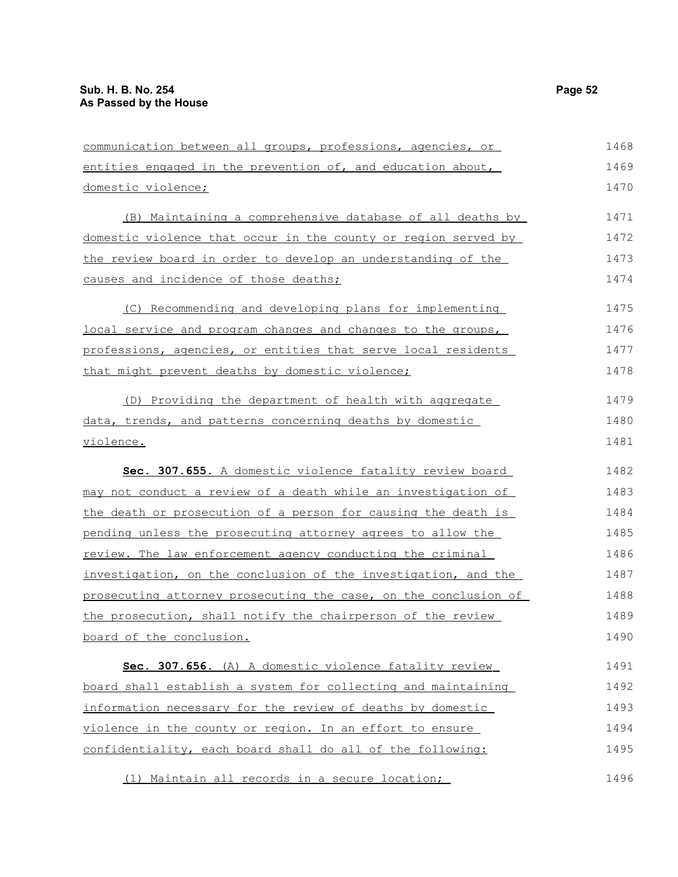| communication between all groups, professions, agencies, or          | 1468 |
|----------------------------------------------------------------------|------|
| entities engaged in the prevention of, and education about,          | 1469 |
| domestic violence;                                                   | 1470 |
| (B) Maintaining a comprehensive database of all deaths by            | 1471 |
| domestic violence that occur in the county or region served by       | 1472 |
| the review board in order to develop an understanding of the         | 1473 |
| causes and incidence of those deaths;                                | 1474 |
| (C) Recommending and developing plans for implementing               | 1475 |
| local service and program changes and changes to the groups,         | 1476 |
| professions, agencies, or entities that serve local residents        | 1477 |
| that might prevent deaths by domestic violence;                      | 1478 |
| (D) Providing the department of health with aggregate                | 1479 |
| data, trends, and patterns concerning deaths by domestic             | 1480 |
| violence.                                                            | 1481 |
| Sec. 307.655. A domestic violence fatality review board              | 1482 |
| may not conduct a review of a death while an investigation of        | 1483 |
| <u>the death or prosecution of a person for causing the death is</u> | 1484 |
| pending unless the prosecuting attorney agrees to allow the          | 1485 |
| review. The law enforcement agency conducting the criminal           | 1486 |
| investigation, on the conclusion of the investigation, and the       | 1487 |
| prosecuting attorney prosecuting the case, on the conclusion of      | 1488 |
| the prosecution, shall notify the chairperson of the review          | 1489 |
| board of the conclusion.                                             | 1490 |
| Sec. 307.656. (A) A domestic violence fatality review                | 1491 |
| board shall establish a system for collecting and maintaining        | 1492 |
| information necessary for the review of deaths by domestic           | 1493 |
| violence in the county or region. In an effort to ensure             | 1494 |
| confidentiality, each board shall do all of the following:           | 1495 |
| (1) Maintain all records in a secure location;                       | 1496 |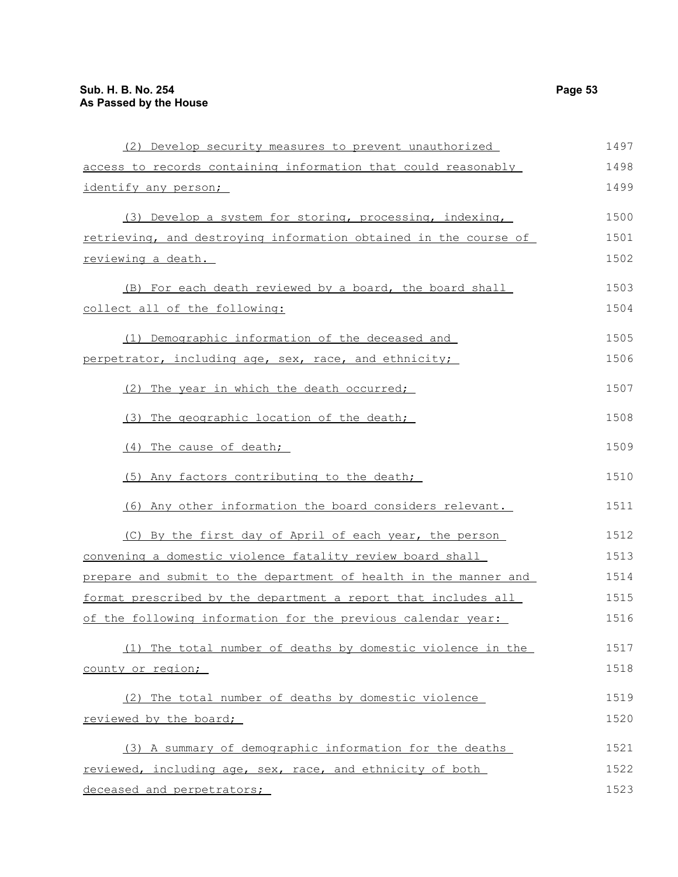| (2) Develop security measures to prevent unauthorized            | 1497 |
|------------------------------------------------------------------|------|
| access to records containing information that could reasonably   | 1498 |
| identify any person;                                             | 1499 |
| (3) Develop a system for storing, processing, indexing,          | 1500 |
| retrieving, and destroying information obtained in the course of | 1501 |
| reviewing a death.                                               | 1502 |
| (B) For each death reviewed by a board, the board shall          | 1503 |
| collect all of the following:                                    | 1504 |
| (1) Demographic information of the deceased and                  | 1505 |
| perpetrator, including age, sex, race, and ethnicity;            | 1506 |
| (2) The year in which the death occurred;                        | 1507 |
| (3) The geographic location of the death;                        | 1508 |
| (4) The cause of death;                                          | 1509 |
| (5) Any factors contributing to the death;                       | 1510 |
| (6) Any other information the board considers relevant.          | 1511 |
| (C) By the first day of April of each year, the person           | 1512 |
| convening a domestic violence fatality review board shall        | 1513 |
| prepare and submit to the department of health in the manner and | 1514 |
| format prescribed by the department a report that includes all   | 1515 |
| of the following information for the previous calendar year:     | 1516 |
| (1) The total number of deaths by domestic violence in the       | 1517 |
| county or region;                                                | 1518 |
| (2) The total number of deaths by domestic violence              | 1519 |
| reviewed by the board;                                           | 1520 |
| (3) A summary of demographic information for the deaths          | 1521 |
| reviewed, including age, sex, race, and ethnicity of both        | 1522 |
| deceased and perpetrators;                                       | 1523 |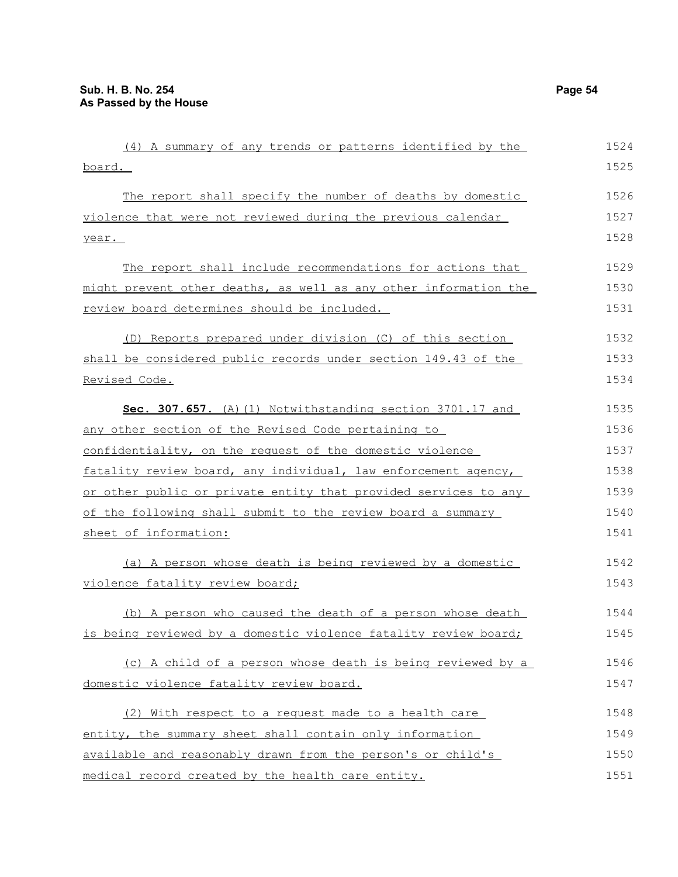| (4) A summary of any trends or patterns identified by the        | 1524 |
|------------------------------------------------------------------|------|
| <u>board.</u>                                                    | 1525 |
| The report shall specify the number of deaths by domestic        | 1526 |
| violence that were not reviewed during the previous calendar     | 1527 |
| year.                                                            | 1528 |
| The report shall include recommendations for actions that        | 1529 |
| might prevent other deaths, as well as any other information the | 1530 |
| review board determines should be included.                      | 1531 |
| (D) Reports prepared under division (C) of this section          | 1532 |
| shall be considered public records under section 149.43 of the   | 1533 |
| Revised Code.                                                    | 1534 |
| Sec. 307.657. (A) (1) Notwithstanding section 3701.17 and        | 1535 |
| any other section of the Revised Code pertaining to              | 1536 |
| confidentiality, on the request of the domestic violence         | 1537 |
| fatality review board, any individual, law enforcement agency,   | 1538 |
| or other public or private entity that provided services to any  | 1539 |
| of the following shall submit to the review board a summary      | 1540 |
| sheet of information:                                            | 1541 |
| (a) A person whose death is being reviewed by a domestic         | 1542 |
| violence fatality review board;                                  | 1543 |
| (b) A person who caused the death of a person whose death        | 1544 |
| is being reviewed by a domestic violence fatality review board;  | 1545 |
| (c) A child of a person whose death is being reviewed by a       | 1546 |
| domestic violence fatality review board.                         | 1547 |
| (2) With respect to a request made to a health care              | 1548 |
| entity, the summary sheet shall contain only information         | 1549 |
| available and reasonably drawn from the person's or child's      | 1550 |
| medical record created by the health care entity.                | 1551 |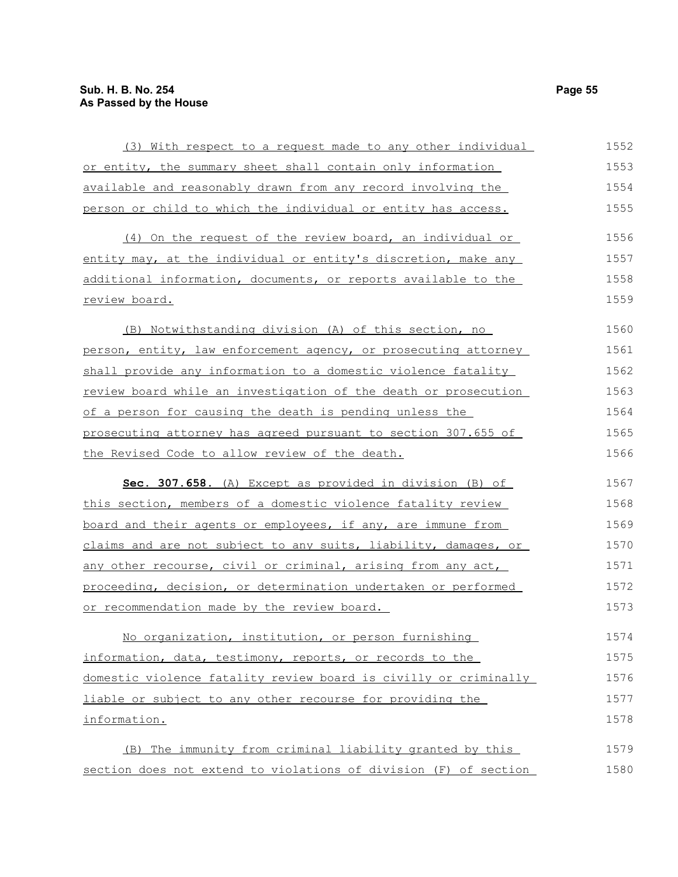| (3) With respect to a request made to any other individual       | 1552 |
|------------------------------------------------------------------|------|
| or entity, the summary sheet shall contain only information      | 1553 |
| available and reasonably drawn from any record involving the     | 1554 |
| person or child to which the individual or entity has access.    | 1555 |
| (4) On the request of the review board, an individual or         | 1556 |
| entity may, at the individual or entity's discretion, make any   | 1557 |
| additional information, documents, or reports available to the   | 1558 |
| review board.                                                    | 1559 |
| (B) Notwithstanding division (A) of this section, no             | 1560 |
| person, entity, law enforcement agency, or prosecuting attorney  | 1561 |
| shall provide any information to a domestic violence fatality    | 1562 |
| review board while an investigation of the death or prosecution  | 1563 |
| of a person for causing the death is pending unless the          | 1564 |
| prosecuting attorney has agreed pursuant to section 307.655 of   | 1565 |
| the Revised Code to allow review of the death.                   | 1566 |
| Sec. 307.658. (A) Except as provided in division (B) of          | 1567 |
| this section, members of a domestic violence fatality review     | 1568 |
| board and their agents or employees, if any, are immune from     | 1569 |
| claims and are not subject to any suits, liability, damages, or  | 1570 |
| any other recourse, civil or criminal, arising from any act,     | 1571 |
| proceeding, decision, or determination undertaken or performed   | 1572 |
| or recommendation made by the review board.                      | 1573 |
| No organization, institution, or person furnishing               | 1574 |
| information, data, testimony, reports, or records to the         | 1575 |
| domestic violence fatality review board is civilly or criminally | 1576 |
| liable or subject to any other recourse for providing the        | 1577 |
| information.                                                     | 1578 |
| (B) The immunity from criminal liability granted by this         | 1579 |
| section does not extend to violations of division (F) of section | 1580 |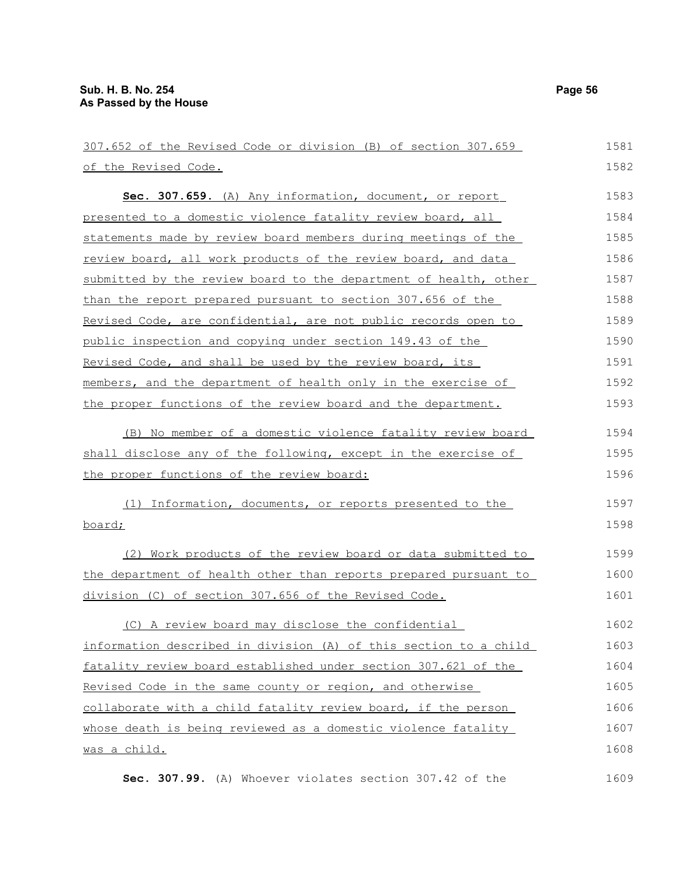| 307.652 of the Revised Code or division (B) of section 307.659   | 1581 |
|------------------------------------------------------------------|------|
| of the Revised Code.                                             | 1582 |
|                                                                  |      |
| Sec. 307.659. (A) Any information, document, or report           | 1583 |
| presented to a domestic violence fatality review board, all      | 1584 |
| statements made by review board members during meetings of the   | 1585 |
| review board, all work products of the review board, and data    | 1586 |
| submitted by the review board to the department of health, other | 1587 |
| than the report prepared pursuant to section 307.656 of the      | 1588 |
| Revised Code, are confidential, are not public records open to   | 1589 |
| public inspection and copying under section 149.43 of the        | 1590 |
| Revised Code, and shall be used by the review board, its         | 1591 |
| members, and the department of health only in the exercise of    | 1592 |
| the proper functions of the review board and the department.     | 1593 |
| (B) No member of a domestic violence fatality review board       | 1594 |
| shall disclose any of the following, except in the exercise of   | 1595 |
| the proper functions of the review board:                        | 1596 |
|                                                                  |      |
| (1) Information, documents, or reports presented to the          | 1597 |
| board;                                                           | 1598 |
| (2) Work products of the review board or data submitted to       | 1599 |
| the department of health other than reports prepared pursuant to | 1600 |
| division (C) of section 307.656 of the Revised Code.             | 1601 |
| (C) A review board may disclose the confidential                 | 1602 |
| information described in division (A) of this section to a child | 1603 |
| fatality review board established under section 307.621 of the   | 1604 |
| Revised Code in the same county or region, and otherwise         | 1605 |
| collaborate with a child fatality review board, if the person    | 1606 |
| whose death is being reviewed as a domestic violence fatality    | 1607 |
| was a child.                                                     | 1608 |
|                                                                  |      |

**Sec. 307.99.** (A) Whoever violates section 307.42 of the 1609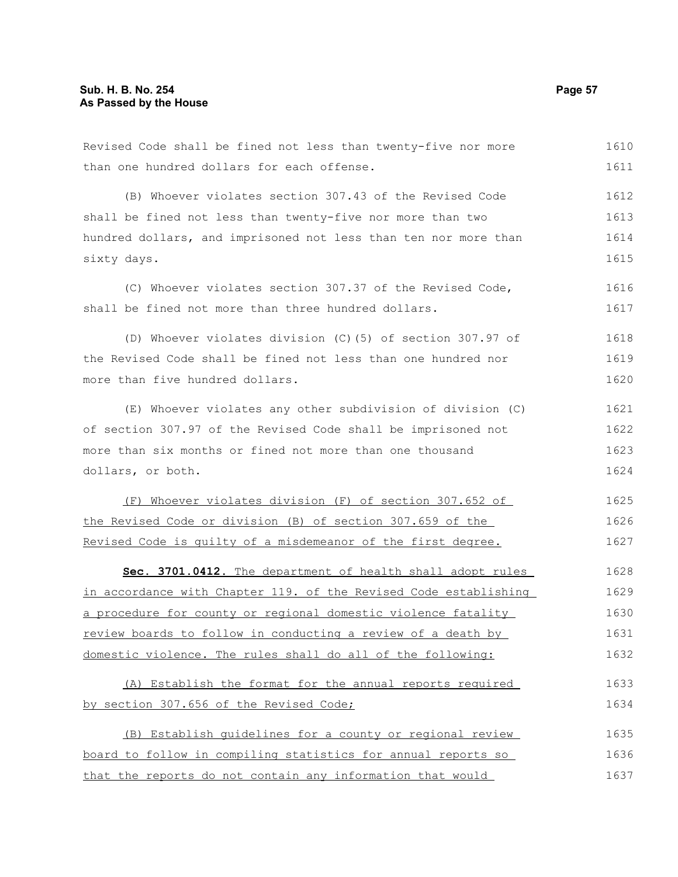Revised Code shall be fined not less than twenty-five nor more than one hundred dollars for each offense. (B) Whoever violates section 307.43 of the Revised Code shall be fined not less than twenty-five nor more than two hundred dollars, and imprisoned not less than ten nor more than sixty days. (C) Whoever violates section 307.37 of the Revised Code, shall be fined not more than three hundred dollars. (D) Whoever violates division (C)(5) of section 307.97 of the Revised Code shall be fined not less than one hundred nor more than five hundred dollars. (E) Whoever violates any other subdivision of division (C) of section 307.97 of the Revised Code shall be imprisoned not more than six months or fined not more than one thousand dollars, or both. (F) Whoever violates division (F) of section 307.652 of the Revised Code or division (B) of section 307.659 of the Revised Code is guilty of a misdemeanor of the first degree. **Sec. 3701.0412.** The department of health shall adopt rules in accordance with Chapter 119. of the Revised Code establishing a procedure for county or regional domestic violence fatality review boards to follow in conducting a review of a death by domestic violence. The rules shall do all of the following: (A) Establish the format for the annual reports required by section 307.656 of the Revised Code; (B) Establish guidelines for a county or regional review board to follow in compiling statistics for annual reports so that the reports do not contain any information that would 1610 1611 1612 1613 1614 1615 1616 1617 1618 1619 1620 1621 1622 1623 1624 1625 1626 1627 1628 1629 1630 1631 1632 1633 1634 1635 1636 1637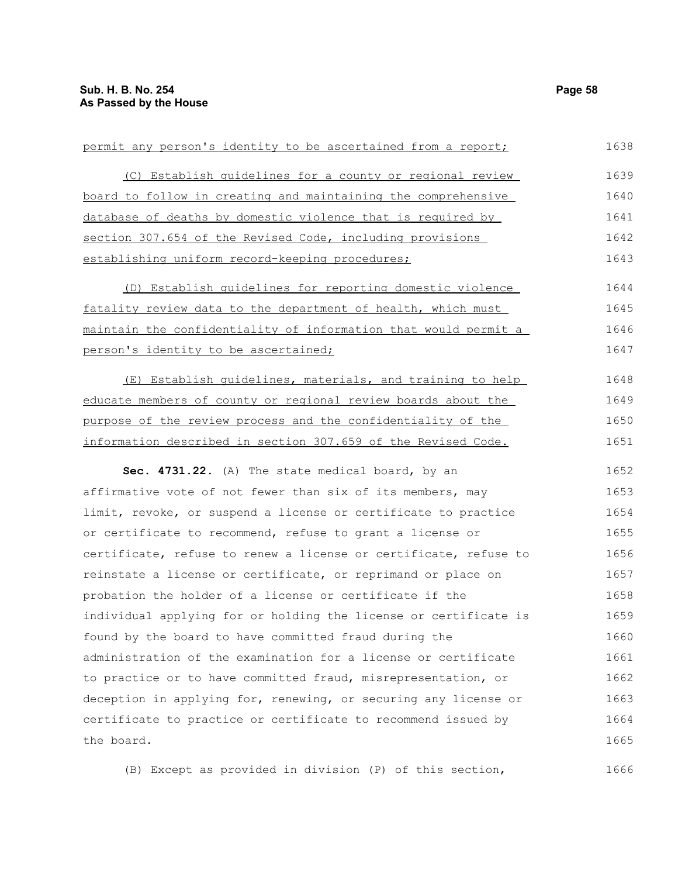| permit any person's identity to be ascertained from a report;    | 1638 |
|------------------------------------------------------------------|------|
| (C) Establish quidelines for a county or regional review         | 1639 |
| board to follow in creating and maintaining the comprehensive    | 1640 |
| database of deaths by domestic violence that is required by      | 1641 |
| section 307.654 of the Revised Code, including provisions        | 1642 |
| establishing uniform record-keeping procedures;                  | 1643 |
| (D) Establish guidelines for reporting domestic violence         | 1644 |
| fatality review data to the department of health, which must     | 1645 |
| maintain the confidentiality of information that would permit a  | 1646 |
| person's identity to be ascertained;                             | 1647 |
| (E) Establish quidelines, materials, and training to help        | 1648 |
| educate members of county or regional review boards about the    | 1649 |
| purpose of the review process and the confidentiality of the     | 1650 |
| information described in section 307.659 of the Revised Code.    | 1651 |
|                                                                  |      |
| Sec. 4731.22. (A) The state medical board, by an                 | 1652 |
| affirmative vote of not fewer than six of its members, may       | 1653 |
| limit, revoke, or suspend a license or certificate to practice   | 1654 |
| or certificate to recommend, refuse to grant a license or        | 1655 |
| certificate, refuse to renew a license or certificate, refuse to | 1656 |
| reinstate a license or certificate, or reprimand or place on     | 1657 |
| probation the holder of a license or certificate if the          | 1658 |
| individual applying for or holding the license or certificate is | 1659 |
| found by the board to have committed fraud during the            | 1660 |
| administration of the examination for a license or certificate   | 1661 |
| to practice or to have committed fraud, misrepresentation, or    | 1662 |
| deception in applying for, renewing, or securing any license or  | 1663 |
| certificate to practice or certificate to recommend issued by    | 1664 |
| the board.                                                       | 1665 |

(B) Except as provided in division (P) of this section,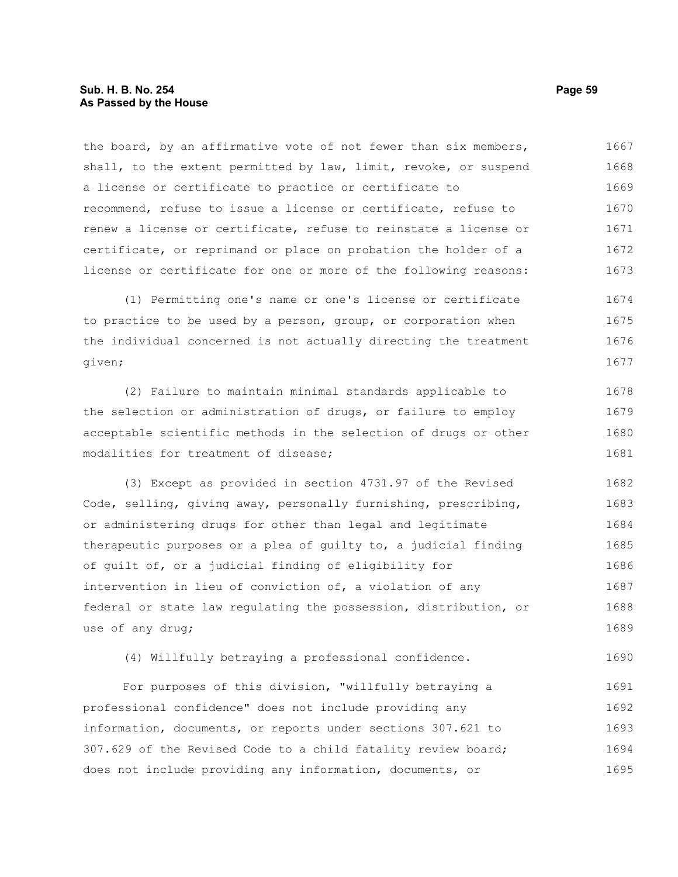## **Sub. H. B. No. 254 Page 59 As Passed by the House**

the board, by an affirmative vote of not fewer than six members, shall, to the extent permitted by law, limit, revoke, or suspend a license or certificate to practice or certificate to recommend, refuse to issue a license or certificate, refuse to renew a license or certificate, refuse to reinstate a license or certificate, or reprimand or place on probation the holder of a license or certificate for one or more of the following reasons: 1667 1668 1669 1670 1671 1672 1673

(1) Permitting one's name or one's license or certificate to practice to be used by a person, group, or corporation when the individual concerned is not actually directing the treatment given; 1674 1675 1676 1677

(2) Failure to maintain minimal standards applicable to the selection or administration of drugs, or failure to employ acceptable scientific methods in the selection of drugs or other modalities for treatment of disease; 1678 1679 1680 1681

(3) Except as provided in section 4731.97 of the Revised Code, selling, giving away, personally furnishing, prescribing, or administering drugs for other than legal and legitimate therapeutic purposes or a plea of guilty to, a judicial finding of guilt of, or a judicial finding of eligibility for intervention in lieu of conviction of, a violation of any federal or state law regulating the possession, distribution, or use of any drug; 1682 1683 1684 1685 1686 1687 1688 1689

(4) Willfully betraying a professional confidence. 1690

For purposes of this division, "willfully betraying a professional confidence" does not include providing any information, documents, or reports under sections 307.621 to 307.629 of the Revised Code to a child fatality review board; does not include providing any information, documents, or 1691 1692 1693 1694 1695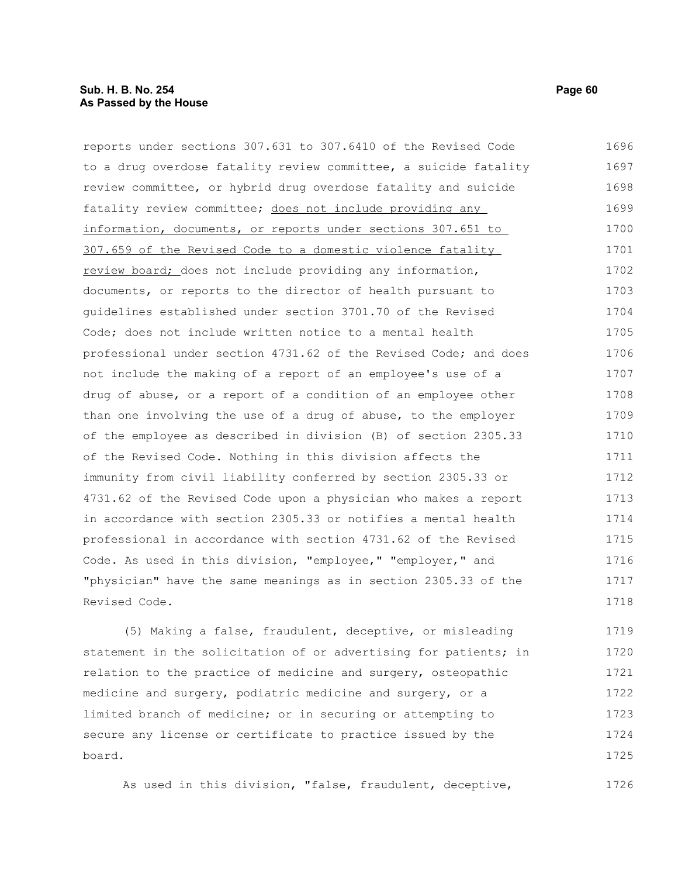reports under sections 307.631 to 307.6410 of the Revised Code to a drug overdose fatality review committee, a suicide fatality review committee, or hybrid drug overdose fatality and suicide fatality review committee; does not include providing any information, documents, or reports under sections 307.651 to 307.659 of the Revised Code to a domestic violence fatality review board; does not include providing any information, documents, or reports to the director of health pursuant to guidelines established under section 3701.70 of the Revised Code; does not include written notice to a mental health professional under section 4731.62 of the Revised Code; and does not include the making of a report of an employee's use of a drug of abuse, or a report of a condition of an employee other than one involving the use of a drug of abuse, to the employer of the employee as described in division (B) of section 2305.33 of the Revised Code. Nothing in this division affects the immunity from civil liability conferred by section 2305.33 or 4731.62 of the Revised Code upon a physician who makes a report in accordance with section 2305.33 or notifies a mental health professional in accordance with section 4731.62 of the Revised Code. As used in this division, "employee," "employer," and 1696 1697 1698 1699 1700 1701 1702 1703 1704 1705 1706 1707 1708 1709 1710 1711 1712 1713 1714 1715 1716

"physician" have the same meanings as in section 2305.33 of the Revised Code. 1717 1718

(5) Making a false, fraudulent, deceptive, or misleading statement in the solicitation of or advertising for patients; in relation to the practice of medicine and surgery, osteopathic medicine and surgery, podiatric medicine and surgery, or a limited branch of medicine; or in securing or attempting to secure any license or certificate to practice issued by the board. 1719 1720 1721 1722 1723 1724 1725

As used in this division, "false, fraudulent, deceptive, 1726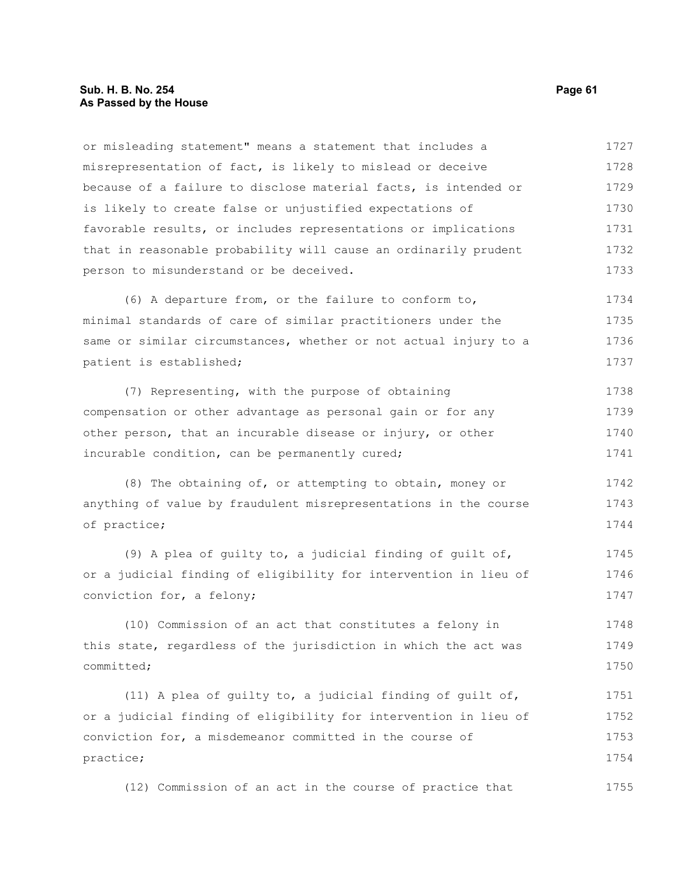#### **Sub. H. B. No. 254 Page 61 As Passed by the House**

or misleading statement" means a statement that includes a misrepresentation of fact, is likely to mislead or deceive because of a failure to disclose material facts, is intended or is likely to create false or unjustified expectations of favorable results, or includes representations or implications that in reasonable probability will cause an ordinarily prudent person to misunderstand or be deceived. 1727 1728 1729 1730 1731 1732 1733

(6) A departure from, or the failure to conform to, minimal standards of care of similar practitioners under the same or similar circumstances, whether or not actual injury to a patient is established; 1734 1735 1736 1737

(7) Representing, with the purpose of obtaining compensation or other advantage as personal gain or for any other person, that an incurable disease or injury, or other incurable condition, can be permanently cured; 1738 1739 1740 1741

(8) The obtaining of, or attempting to obtain, money or anything of value by fraudulent misrepresentations in the course of practice; 1742 1743 1744

(9) A plea of guilty to, a judicial finding of guilt of, or a judicial finding of eligibility for intervention in lieu of conviction for, a felony; 1745 1746 1747

(10) Commission of an act that constitutes a felony in this state, regardless of the jurisdiction in which the act was committed; 1748 1749 1750

(11) A plea of guilty to, a judicial finding of guilt of, or a judicial finding of eligibility for intervention in lieu of conviction for, a misdemeanor committed in the course of practice; 1751 1752 1753 1754

(12) Commission of an act in the course of practice that 1755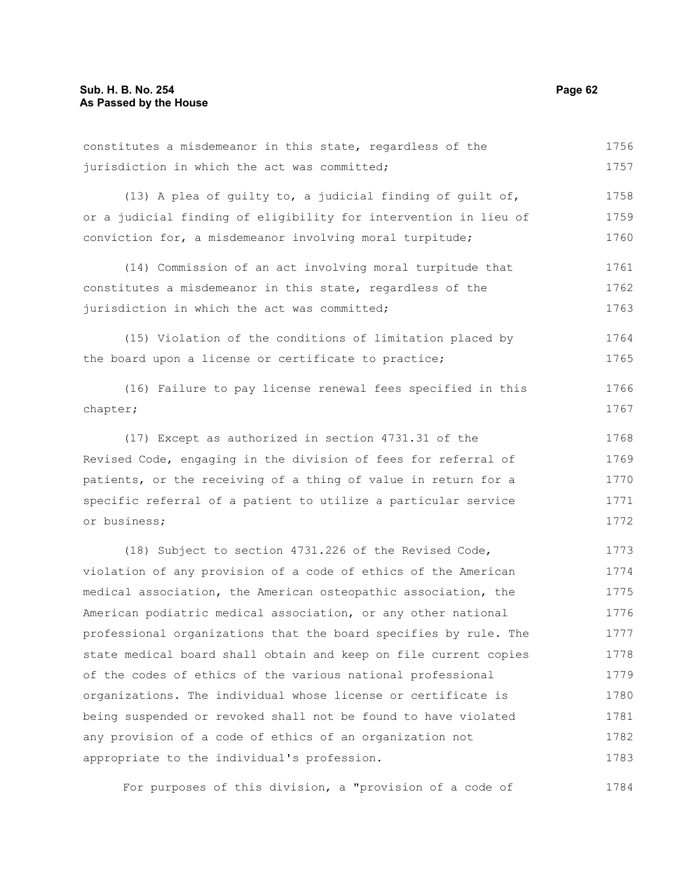constitutes a misdemeanor in this state, regardless of the jurisdiction in which the act was committed; (13) A plea of guilty to, a judicial finding of guilt of, or a judicial finding of eligibility for intervention in lieu of conviction for, a misdemeanor involving moral turpitude; (14) Commission of an act involving moral turpitude that constitutes a misdemeanor in this state, regardless of the jurisdiction in which the act was committed; (15) Violation of the conditions of limitation placed by the board upon a license or certificate to practice; (16) Failure to pay license renewal fees specified in this chapter; (17) Except as authorized in section 4731.31 of the Revised Code, engaging in the division of fees for referral of patients, or the receiving of a thing of value in return for a specific referral of a patient to utilize a particular service or business; (18) Subject to section 4731.226 of the Revised Code, violation of any provision of a code of ethics of the American medical association, the American osteopathic association, the American podiatric medical association, or any other national professional organizations that the board specifies by rule. The state medical board shall obtain and keep on file current copies of the codes of ethics of the various national professional organizations. The individual whose license or certificate is being suspended or revoked shall not be found to have violated any provision of a code of ethics of an organization not 1756 1757 1758 1759 1760 1761 1762 1763 1764 1765 1766 1767 1768 1769 1770 1771 1772 1773 1774 1775 1776 1777 1778 1779 1780 1781 1782

For purposes of this division, a "provision of a code of 1784

appropriate to the individual's profession.

1783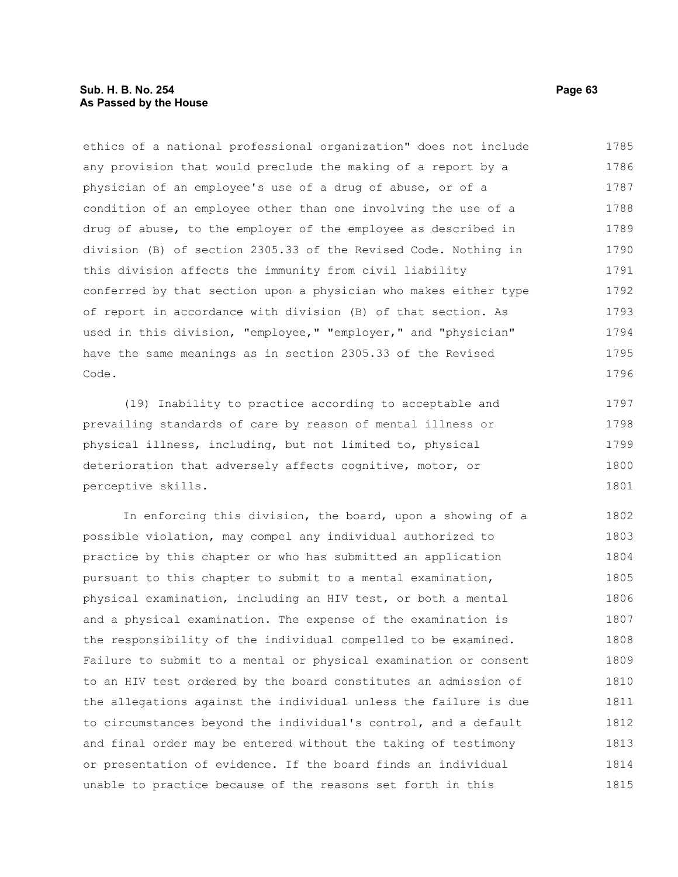# **Sub. H. B. No. 254 Page 63 As Passed by the House**

ethics of a national professional organization" does not include any provision that would preclude the making of a report by a physician of an employee's use of a drug of abuse, or of a condition of an employee other than one involving the use of a drug of abuse, to the employer of the employee as described in division (B) of section 2305.33 of the Revised Code. Nothing in this division affects the immunity from civil liability conferred by that section upon a physician who makes either type of report in accordance with division (B) of that section. As used in this division, "employee," "employer," and "physician" have the same meanings as in section 2305.33 of the Revised Code. 1785 1786 1787 1788 1789 1790 1791 1792 1793 1794 1795 1796

(19) Inability to practice according to acceptable and prevailing standards of care by reason of mental illness or physical illness, including, but not limited to, physical deterioration that adversely affects cognitive, motor, or perceptive skills. 1797 1798 1799 1800 1801

In enforcing this division, the board, upon a showing of a possible violation, may compel any individual authorized to practice by this chapter or who has submitted an application pursuant to this chapter to submit to a mental examination, physical examination, including an HIV test, or both a mental and a physical examination. The expense of the examination is the responsibility of the individual compelled to be examined. Failure to submit to a mental or physical examination or consent to an HIV test ordered by the board constitutes an admission of the allegations against the individual unless the failure is due to circumstances beyond the individual's control, and a default and final order may be entered without the taking of testimony or presentation of evidence. If the board finds an individual unable to practice because of the reasons set forth in this 1802 1803 1804 1805 1806 1807 1808 1809 1810 1811 1812 1813 1814 1815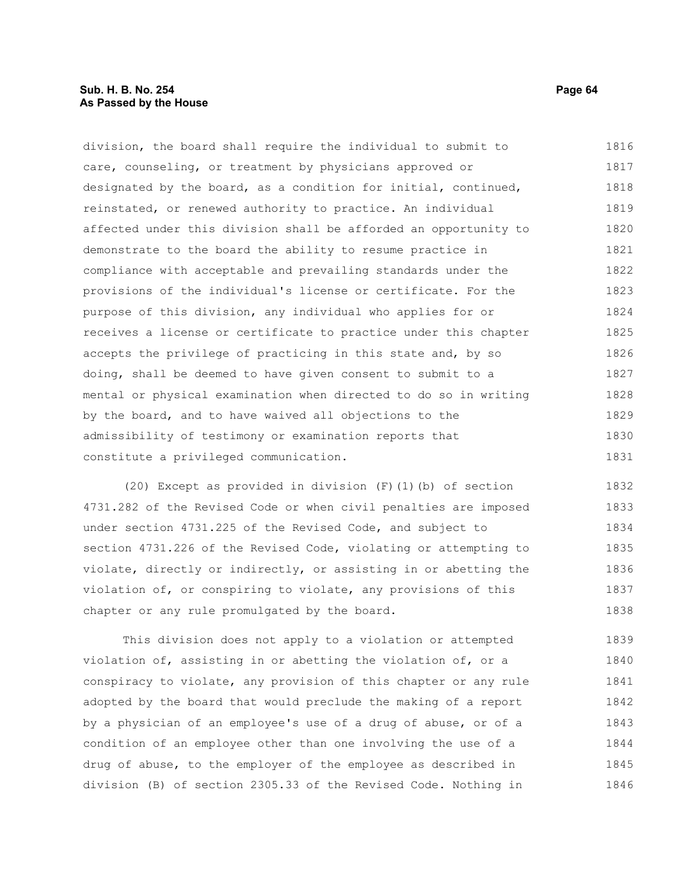## **Sub. H. B. No. 254 Page 64 As Passed by the House**

division, the board shall require the individual to submit to care, counseling, or treatment by physicians approved or designated by the board, as a condition for initial, continued, reinstated, or renewed authority to practice. An individual affected under this division shall be afforded an opportunity to demonstrate to the board the ability to resume practice in compliance with acceptable and prevailing standards under the provisions of the individual's license or certificate. For the purpose of this division, any individual who applies for or receives a license or certificate to practice under this chapter accepts the privilege of practicing in this state and, by so doing, shall be deemed to have given consent to submit to a mental or physical examination when directed to do so in writing by the board, and to have waived all objections to the admissibility of testimony or examination reports that constitute a privileged communication. 1816 1817 1818 1819 1820 1821 1822 1823 1824 1825 1826 1827 1828 1829 1830 1831

(20) Except as provided in division (F)(1)(b) of section 4731.282 of the Revised Code or when civil penalties are imposed under section 4731.225 of the Revised Code, and subject to section 4731.226 of the Revised Code, violating or attempting to violate, directly or indirectly, or assisting in or abetting the violation of, or conspiring to violate, any provisions of this chapter or any rule promulgated by the board. 1832 1833 1834 1835 1836 1837 1838

This division does not apply to a violation or attempted violation of, assisting in or abetting the violation of, or a conspiracy to violate, any provision of this chapter or any rule adopted by the board that would preclude the making of a report by a physician of an employee's use of a drug of abuse, or of a condition of an employee other than one involving the use of a drug of abuse, to the employer of the employee as described in division (B) of section 2305.33 of the Revised Code. Nothing in 1839 1840 1841 1842 1843 1844 1845 1846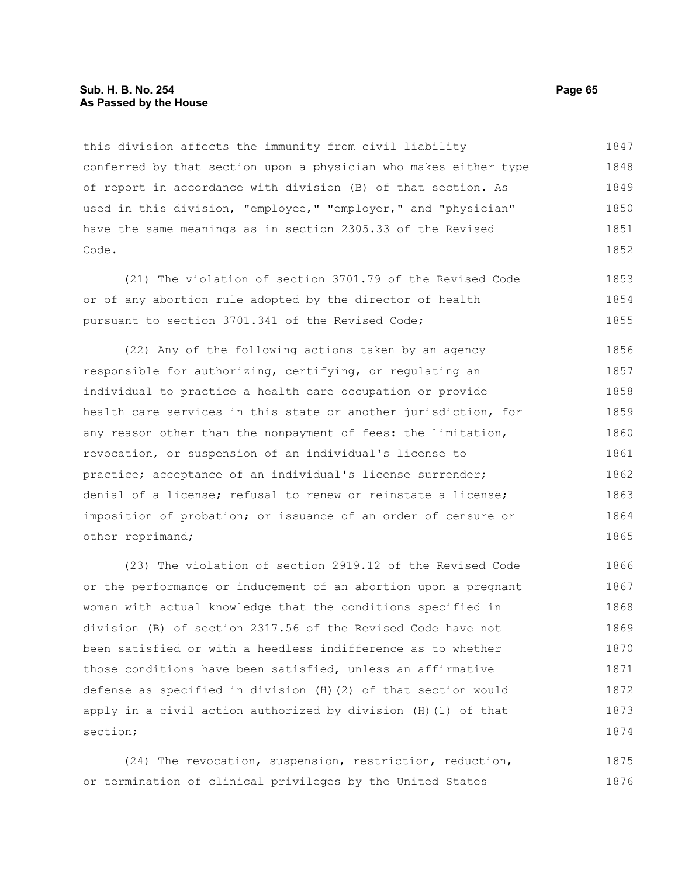### **Sub. H. B. No. 254 Page 65 As Passed by the House**

this division affects the immunity from civil liability conferred by that section upon a physician who makes either type of report in accordance with division (B) of that section. As used in this division, "employee," "employer," and "physician" have the same meanings as in section 2305.33 of the Revised Code. 1847 1848 1849 1850 1851 1852

(21) The violation of section 3701.79 of the Revised Code or of any abortion rule adopted by the director of health pursuant to section 3701.341 of the Revised Code; 1853 1854 1855

(22) Any of the following actions taken by an agency responsible for authorizing, certifying, or regulating an individual to practice a health care occupation or provide health care services in this state or another jurisdiction, for any reason other than the nonpayment of fees: the limitation, revocation, or suspension of an individual's license to practice; acceptance of an individual's license surrender; denial of a license; refusal to renew or reinstate a license; imposition of probation; or issuance of an order of censure or other reprimand; 1856 1857 1858 1859 1860 1861 1862 1863 1864 1865

(23) The violation of section 2919.12 of the Revised Code or the performance or inducement of an abortion upon a pregnant woman with actual knowledge that the conditions specified in division (B) of section 2317.56 of the Revised Code have not been satisfied or with a heedless indifference as to whether those conditions have been satisfied, unless an affirmative defense as specified in division (H)(2) of that section would apply in a civil action authorized by division (H)(1) of that section; 1866 1867 1868 1869 1870 1871 1872 1873 1874

(24) The revocation, suspension, restriction, reduction, or termination of clinical privileges by the United States 1875 1876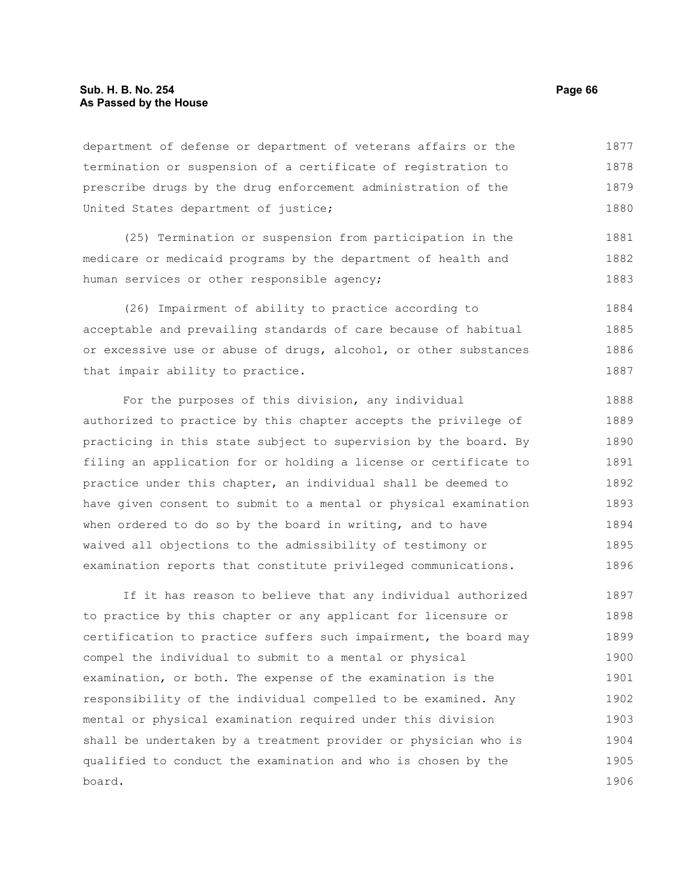department of defense or department of veterans affairs or the termination or suspension of a certificate of registration to prescribe drugs by the drug enforcement administration of the United States department of justice; 1877 1878 1879 1880

(25) Termination or suspension from participation in the medicare or medicaid programs by the department of health and human services or other responsible agency; 1881 1882 1883

(26) Impairment of ability to practice according to acceptable and prevailing standards of care because of habitual or excessive use or abuse of drugs, alcohol, or other substances that impair ability to practice. 1884 1885 1886 1887

For the purposes of this division, any individual authorized to practice by this chapter accepts the privilege of practicing in this state subject to supervision by the board. By filing an application for or holding a license or certificate to practice under this chapter, an individual shall be deemed to have given consent to submit to a mental or physical examination when ordered to do so by the board in writing, and to have waived all objections to the admissibility of testimony or examination reports that constitute privileged communications. 1888 1889 1890 1891 1892 1893 1894 1895 1896

If it has reason to believe that any individual authorized to practice by this chapter or any applicant for licensure or certification to practice suffers such impairment, the board may compel the individual to submit to a mental or physical examination, or both. The expense of the examination is the responsibility of the individual compelled to be examined. Any mental or physical examination required under this division shall be undertaken by a treatment provider or physician who is qualified to conduct the examination and who is chosen by the board. 1897 1898 1899 1900 1901 1902 1903 1904 1905 1906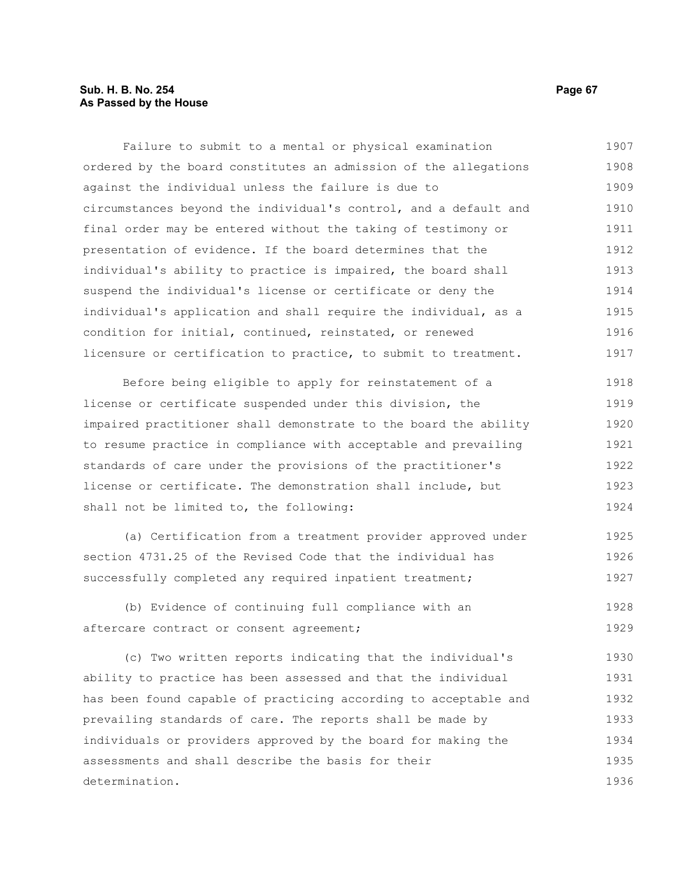# **Sub. H. B. No. 254 Page 67 As Passed by the House**

Failure to submit to a mental or physical examination ordered by the board constitutes an admission of the allegations against the individual unless the failure is due to circumstances beyond the individual's control, and a default and final order may be entered without the taking of testimony or presentation of evidence. If the board determines that the individual's ability to practice is impaired, the board shall suspend the individual's license or certificate or deny the individual's application and shall require the individual, as a condition for initial, continued, reinstated, or renewed licensure or certification to practice, to submit to treatment. 1907 1908 1909 1910 1911 1912 1913 1914 1915 1916 1917

Before being eligible to apply for reinstatement of a license or certificate suspended under this division, the impaired practitioner shall demonstrate to the board the ability to resume practice in compliance with acceptable and prevailing standards of care under the provisions of the practitioner's license or certificate. The demonstration shall include, but shall not be limited to, the following: 1918 1919 1920 1921 1922 1923 1924

(a) Certification from a treatment provider approved under section 4731.25 of the Revised Code that the individual has successfully completed any required inpatient treatment; 1925 1926 1927

(b) Evidence of continuing full compliance with an aftercare contract or consent agreement; 1928 1929

(c) Two written reports indicating that the individual's ability to practice has been assessed and that the individual has been found capable of practicing according to acceptable and prevailing standards of care. The reports shall be made by individuals or providers approved by the board for making the assessments and shall describe the basis for their determination. 1930 1931 1932 1933 1934 1935 1936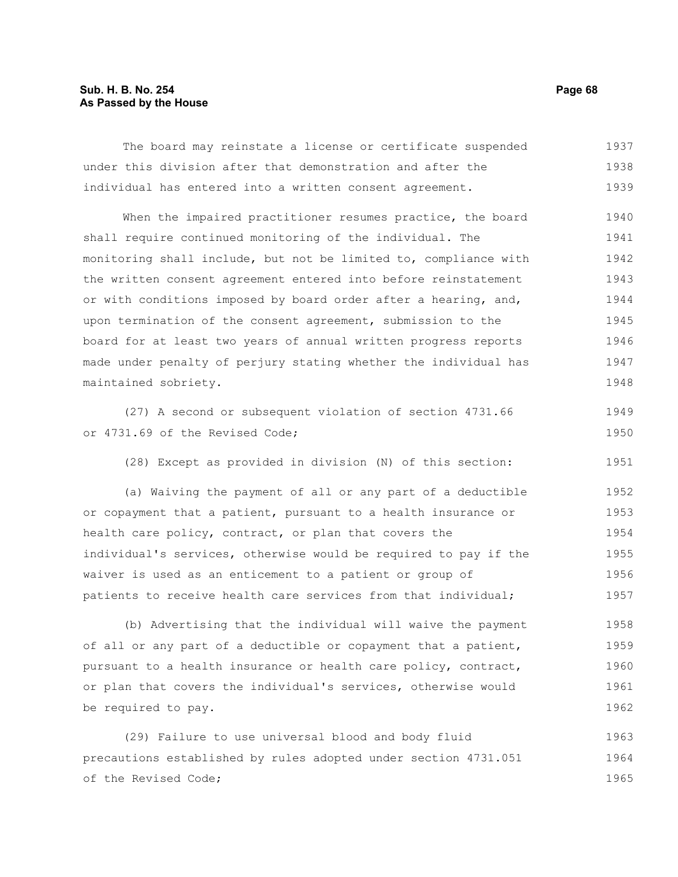# **Sub. H. B. No. 254 Page 68 As Passed by the House**

The board may reinstate a license or certificate suspended under this division after that demonstration and after the individual has entered into a written consent agreement. 1937 1938 1939

When the impaired practitioner resumes practice, the board shall require continued monitoring of the individual. The monitoring shall include, but not be limited to, compliance with the written consent agreement entered into before reinstatement or with conditions imposed by board order after a hearing, and, upon termination of the consent agreement, submission to the board for at least two years of annual written progress reports made under penalty of perjury stating whether the individual has maintained sobriety. 1940 1941 1942 1943 1944 1945 1946 1947 1948

(27) A second or subsequent violation of section 4731.66 or 4731.69 of the Revised Code; 1949 1950

(28) Except as provided in division (N) of this section: 1951

(a) Waiving the payment of all or any part of a deductible or copayment that a patient, pursuant to a health insurance or health care policy, contract, or plan that covers the individual's services, otherwise would be required to pay if the waiver is used as an enticement to a patient or group of patients to receive health care services from that individual; 1952 1953 1954 1955 1956 1957

(b) Advertising that the individual will waive the payment of all or any part of a deductible or copayment that a patient, pursuant to a health insurance or health care policy, contract, or plan that covers the individual's services, otherwise would be required to pay. 1958 1959 1960 1961 1962

(29) Failure to use universal blood and body fluid precautions established by rules adopted under section 4731.051 of the Revised Code; 1963 1964 1965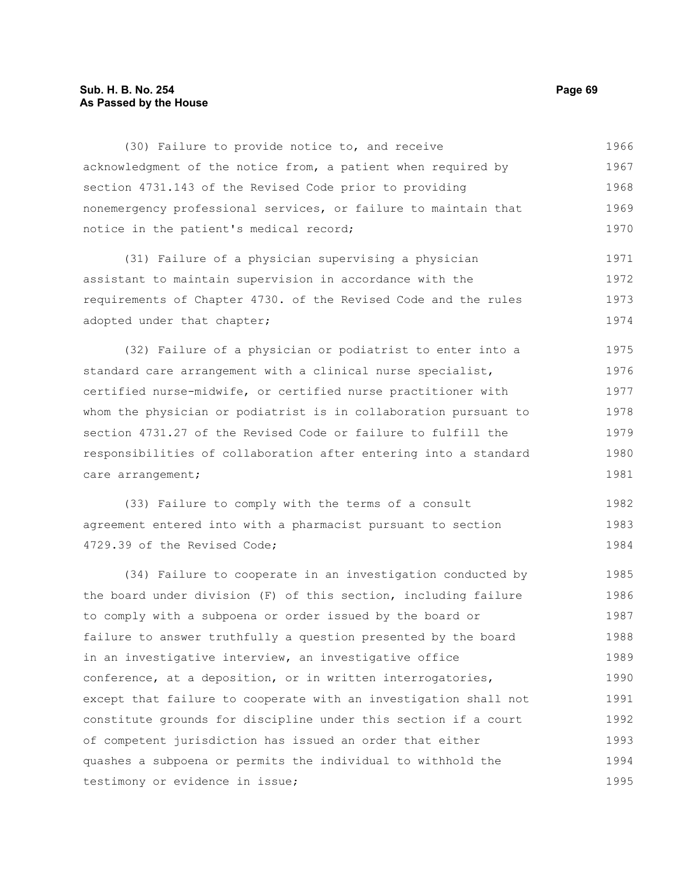## **Sub. H. B. No. 254 Page 69 As Passed by the House**

(30) Failure to provide notice to, and receive acknowledgment of the notice from, a patient when required by section 4731.143 of the Revised Code prior to providing nonemergency professional services, or failure to maintain that notice in the patient's medical record; (31) Failure of a physician supervising a physician assistant to maintain supervision in accordance with the requirements of Chapter 4730. of the Revised Code and the rules adopted under that chapter; (32) Failure of a physician or podiatrist to enter into a standard care arrangement with a clinical nurse specialist, certified nurse-midwife, or certified nurse practitioner with whom the physician or podiatrist is in collaboration pursuant to section 4731.27 of the Revised Code or failure to fulfill the responsibilities of collaboration after entering into a standard care arrangement; (33) Failure to comply with the terms of a consult agreement entered into with a pharmacist pursuant to section 4729.39 of the Revised Code; (34) Failure to cooperate in an investigation conducted by the board under division (F) of this section, including failure to comply with a subpoena or order issued by the board or failure to answer truthfully a question presented by the board in an investigative interview, an investigative office conference, at a deposition, or in written interrogatories, 1966 1967 1968 1969 1970 1971 1972 1973 1974 1975 1976 1977 1978 1979 1980 1981 1982 1983 1984 1985 1986 1987 1988 1989 1990

except that failure to cooperate with an investigation shall not constitute grounds for discipline under this section if a court of competent jurisdiction has issued an order that either quashes a subpoena or permits the individual to withhold the testimony or evidence in issue; 1991 1992 1993 1994 1995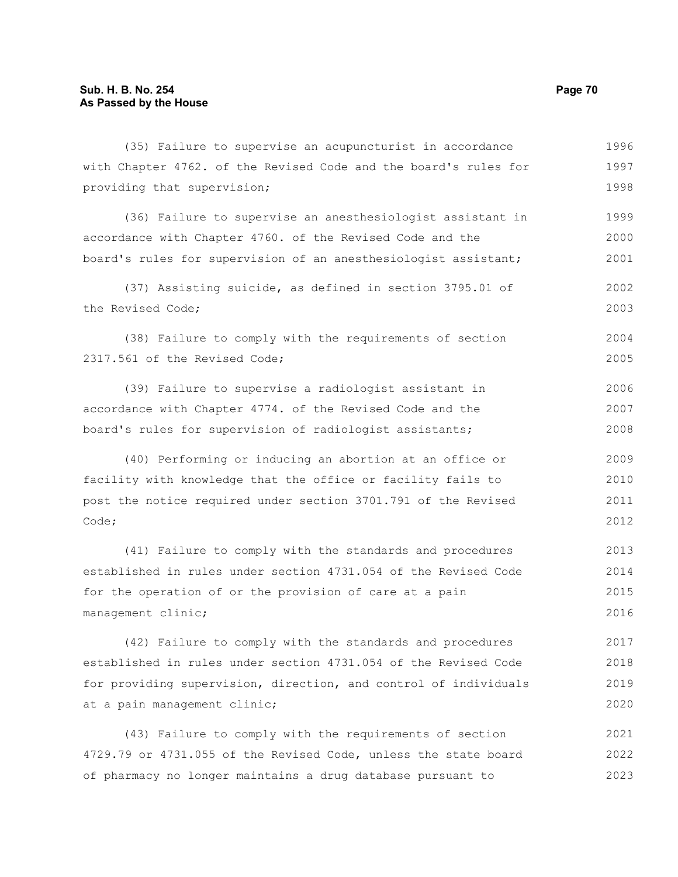management clinic;

| (35) Failure to supervise an acupuncturist in accordance         | 1996 |
|------------------------------------------------------------------|------|
| with Chapter 4762. of the Revised Code and the board's rules for | 1997 |
| providing that supervision;                                      | 1998 |
| (36) Failure to supervise an anesthesiologist assistant in       | 1999 |
| accordance with Chapter 4760. of the Revised Code and the        | 2000 |
| board's rules for supervision of an anesthesiologist assistant;  | 2001 |
| (37) Assisting suicide, as defined in section 3795.01 of         | 2002 |
| the Revised Code;                                                | 2003 |
| (38) Failure to comply with the requirements of section          | 2004 |
| 2317.561 of the Revised Code;                                    | 2005 |
| (39) Failure to supervise a radiologist assistant in             | 2006 |
| accordance with Chapter 4774. of the Revised Code and the        | 2007 |
| board's rules for supervision of radiologist assistants;         | 2008 |
| (40) Performing or inducing an abortion at an office or          | 2009 |
| facility with knowledge that the office or facility fails to     | 2010 |
| post the notice required under section 3701.791 of the Revised   | 2011 |
| Code;                                                            | 2012 |
| (41) Failure to comply with the standards and procedures         | 2013 |
| established in rules under section 4731.054 of the Revised Code  | 2014 |
| for the operation of or the provision of care at a pain          | 2015 |

(42) Failure to comply with the standards and procedures established in rules under section 4731.054 of the Revised Code for providing supervision, direction, and control of individuals at a pain management clinic; 2017 2018 2019 2020

(43) Failure to comply with the requirements of section 4729.79 or 4731.055 of the Revised Code, unless the state board of pharmacy no longer maintains a drug database pursuant to 2021 2022 2023

2016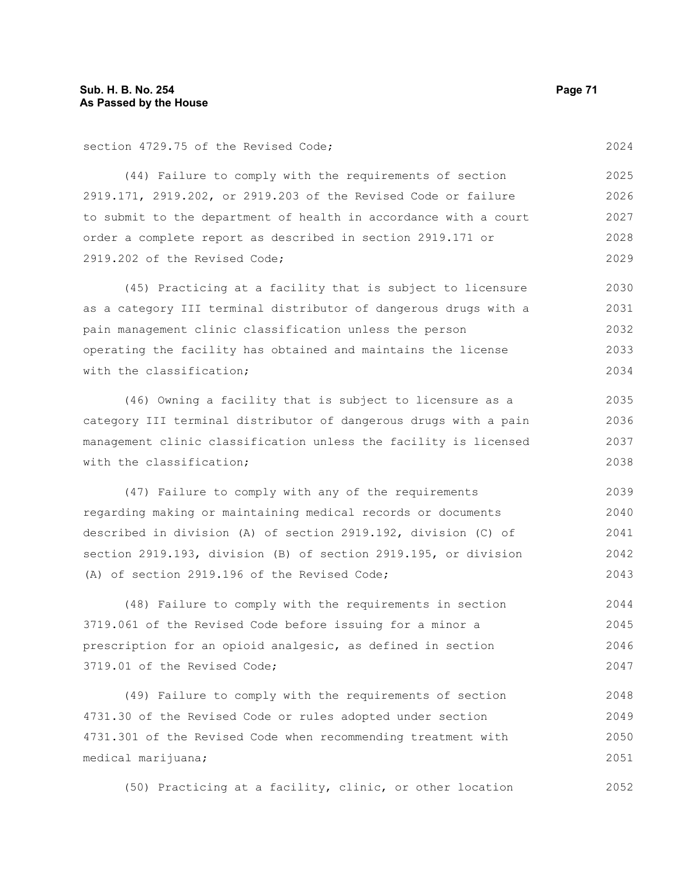section 4729.75 of the Revised Code;

(44) Failure to comply with the requirements of section 2919.171, 2919.202, or 2919.203 of the Revised Code or failure to submit to the department of health in accordance with a court order a complete report as described in section 2919.171 or 2919.202 of the Revised Code; 2025 2026 2027 2028 2029

(45) Practicing at a facility that is subject to licensure as a category III terminal distributor of dangerous drugs with a pain management clinic classification unless the person operating the facility has obtained and maintains the license with the classification; 2030 2031 2032 2033 2034

(46) Owning a facility that is subject to licensure as a category III terminal distributor of dangerous drugs with a pain management clinic classification unless the facility is licensed with the classification;

(47) Failure to comply with any of the requirements regarding making or maintaining medical records or documents described in division (A) of section 2919.192, division (C) of section 2919.193, division (B) of section 2919.195, or division (A) of section 2919.196 of the Revised Code; 2039 2041 2042 2043

(48) Failure to comply with the requirements in section 3719.061 of the Revised Code before issuing for a minor a prescription for an opioid analgesic, as defined in section 3719.01 of the Revised Code; 2044 2045 2046 2047

(49) Failure to comply with the requirements of section 4731.30 of the Revised Code or rules adopted under section 4731.301 of the Revised Code when recommending treatment with medical marijuana; 2048 2049 2050 2051

(50) Practicing at a facility, clinic, or other location 2052

2024

2040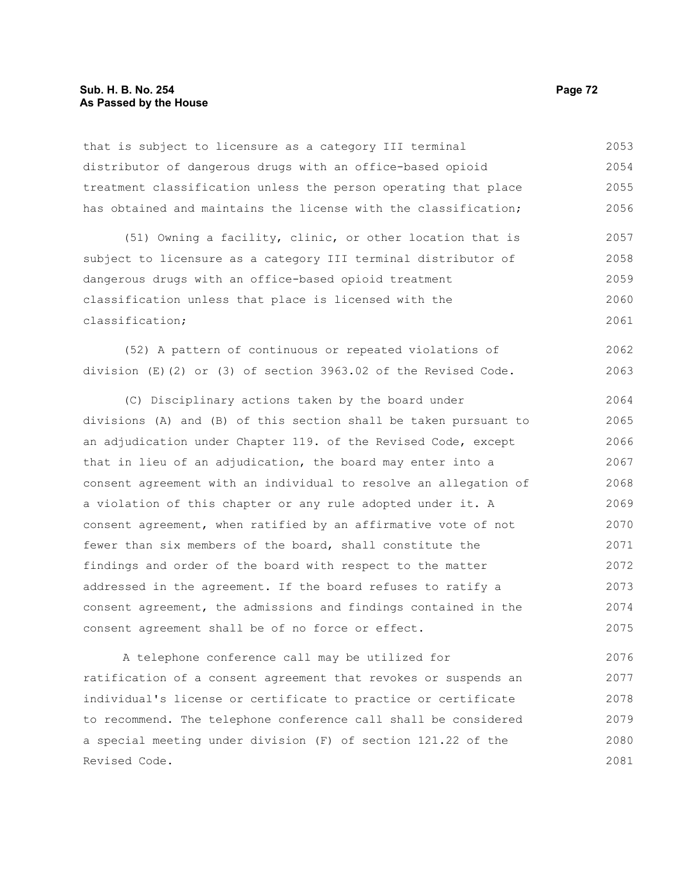## **Sub. H. B. No. 254 Page 72 As Passed by the House**

that is subject to licensure as a category III terminal distributor of dangerous drugs with an office-based opioid treatment classification unless the person operating that place has obtained and maintains the license with the classification; 2053 2054 2055 2056

(51) Owning a facility, clinic, or other location that is subject to licensure as a category III terminal distributor of dangerous drugs with an office-based opioid treatment classification unless that place is licensed with the classification; 2057 2058 2059 2060 2061

(52) A pattern of continuous or repeated violations of division (E)(2) or (3) of section 3963.02 of the Revised Code. 2062 2063

(C) Disciplinary actions taken by the board under divisions (A) and (B) of this section shall be taken pursuant to an adjudication under Chapter 119. of the Revised Code, except that in lieu of an adjudication, the board may enter into a consent agreement with an individual to resolve an allegation of a violation of this chapter or any rule adopted under it. A consent agreement, when ratified by an affirmative vote of not fewer than six members of the board, shall constitute the findings and order of the board with respect to the matter addressed in the agreement. If the board refuses to ratify a consent agreement, the admissions and findings contained in the consent agreement shall be of no force or effect. 2064 2065 2066 2067 2068 2069 2070 2071 2072 2073 2074 2075

A telephone conference call may be utilized for ratification of a consent agreement that revokes or suspends an individual's license or certificate to practice or certificate to recommend. The telephone conference call shall be considered a special meeting under division (F) of section 121.22 of the Revised Code. 2076 2077 2078 2079 2080 2081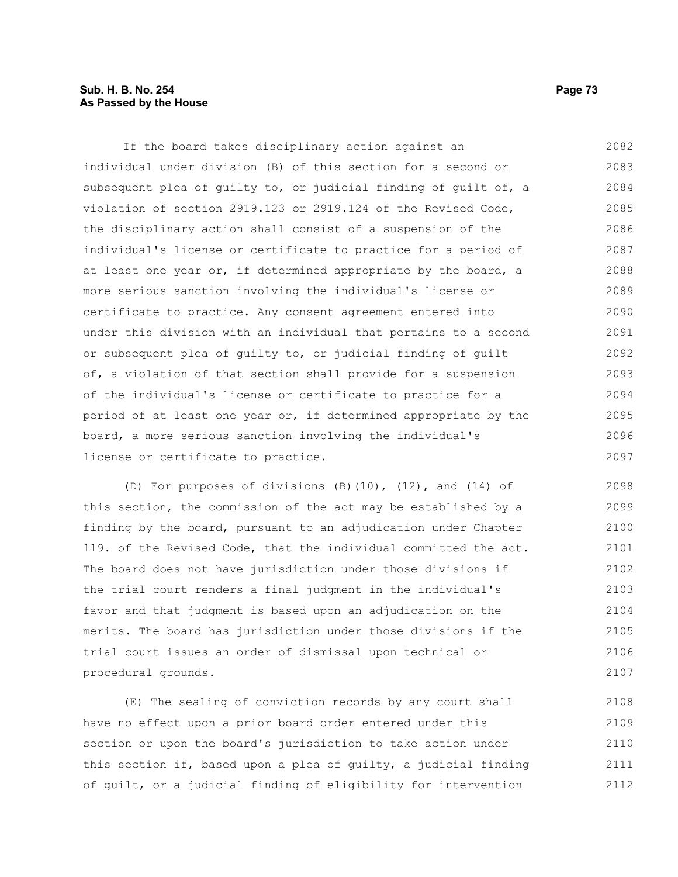## **Sub. H. B. No. 254 Page 73 As Passed by the House**

If the board takes disciplinary action against an individual under division (B) of this section for a second or subsequent plea of guilty to, or judicial finding of guilt of, a violation of section 2919.123 or 2919.124 of the Revised Code, the disciplinary action shall consist of a suspension of the individual's license or certificate to practice for a period of at least one year or, if determined appropriate by the board, a more serious sanction involving the individual's license or certificate to practice. Any consent agreement entered into under this division with an individual that pertains to a second or subsequent plea of guilty to, or judicial finding of guilt of, a violation of that section shall provide for a suspension of the individual's license or certificate to practice for a period of at least one year or, if determined appropriate by the board, a more serious sanction involving the individual's license or certificate to practice. 2082 2083 2084 2085 2086 2087 2088 2089 2090 2091 2092 2093 2094 2095 2096 2097

(D) For purposes of divisions (B)(10), (12), and (14) of this section, the commission of the act may be established by a finding by the board, pursuant to an adjudication under Chapter 119. of the Revised Code, that the individual committed the act. The board does not have jurisdiction under those divisions if the trial court renders a final judgment in the individual's favor and that judgment is based upon an adjudication on the merits. The board has jurisdiction under those divisions if the trial court issues an order of dismissal upon technical or procedural grounds. 2098 2099 2100 2101 2102 2103 2104 2105 2106 2107

(E) The sealing of conviction records by any court shall have no effect upon a prior board order entered under this section or upon the board's jurisdiction to take action under this section if, based upon a plea of guilty, a judicial finding of guilt, or a judicial finding of eligibility for intervention 2108 2109 2110 2111 2112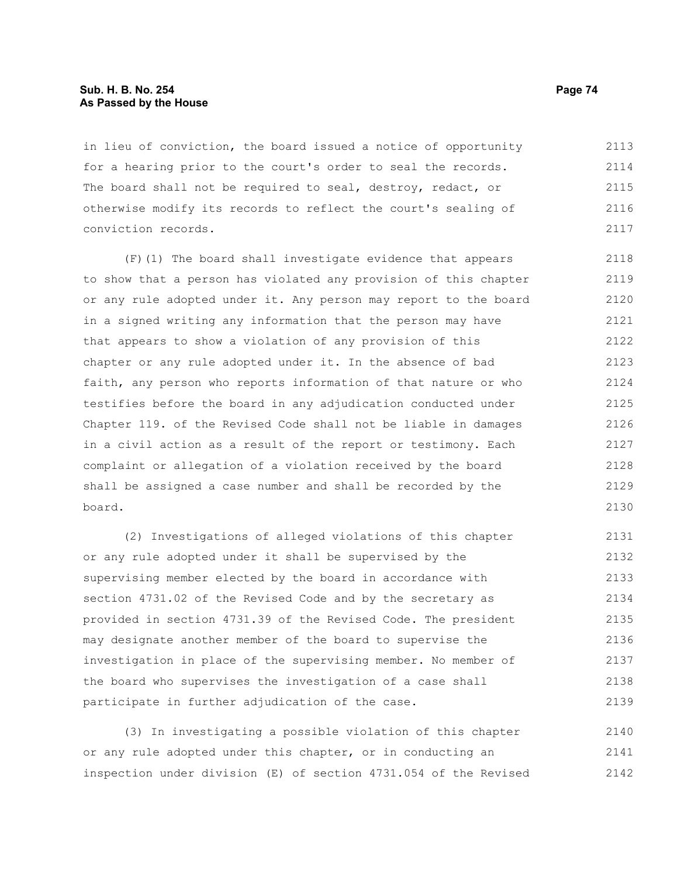## **Sub. H. B. No. 254 Page 74 As Passed by the House**

in lieu of conviction, the board issued a notice of opportunity for a hearing prior to the court's order to seal the records. The board shall not be required to seal, destroy, redact, or otherwise modify its records to reflect the court's sealing of conviction records. 2113 2114 2115 2116 2117

(F)(1) The board shall investigate evidence that appears to show that a person has violated any provision of this chapter or any rule adopted under it. Any person may report to the board in a signed writing any information that the person may have that appears to show a violation of any provision of this chapter or any rule adopted under it. In the absence of bad faith, any person who reports information of that nature or who testifies before the board in any adjudication conducted under Chapter 119. of the Revised Code shall not be liable in damages in a civil action as a result of the report or testimony. Each complaint or allegation of a violation received by the board shall be assigned a case number and shall be recorded by the board. 2118 2119 2120 2121 2122 2123 2124 2125 2126 2127 2128 2129 2130

(2) Investigations of alleged violations of this chapter or any rule adopted under it shall be supervised by the supervising member elected by the board in accordance with section 4731.02 of the Revised Code and by the secretary as provided in section 4731.39 of the Revised Code. The president may designate another member of the board to supervise the investigation in place of the supervising member. No member of the board who supervises the investigation of a case shall participate in further adjudication of the case. 2131 2132 2133 2134 2135 2136 2137 2138 2139

(3) In investigating a possible violation of this chapter or any rule adopted under this chapter, or in conducting an inspection under division (E) of section 4731.054 of the Revised 2140 2141 2142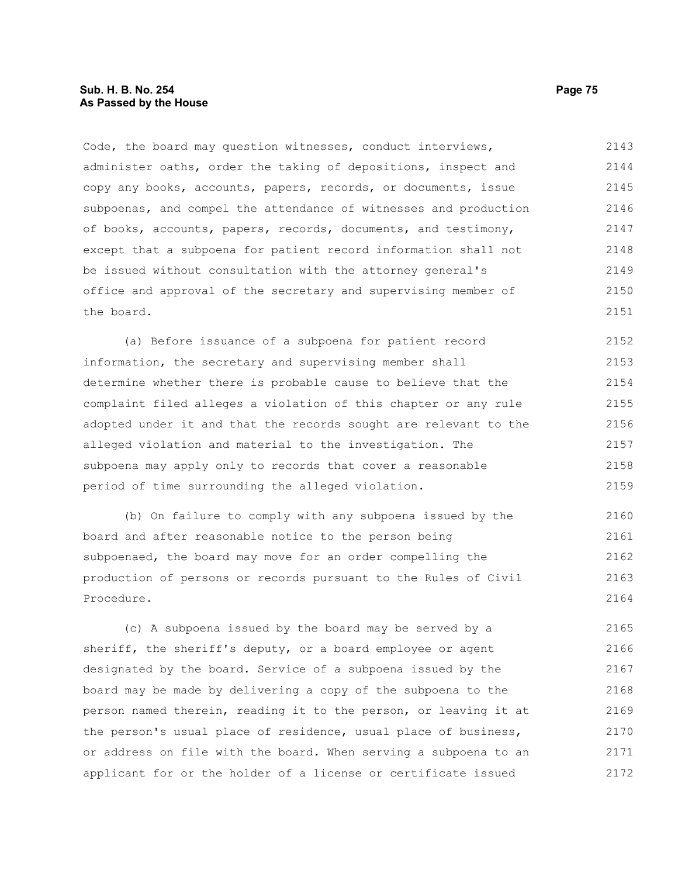## **Sub. H. B. No. 254 Page 75 As Passed by the House**

Code, the board may question witnesses, conduct interviews, administer oaths, order the taking of depositions, inspect and copy any books, accounts, papers, records, or documents, issue subpoenas, and compel the attendance of witnesses and production of books, accounts, papers, records, documents, and testimony, except that a subpoena for patient record information shall not be issued without consultation with the attorney general's office and approval of the secretary and supervising member of the board. 2143 2144 2145 2146 2147 2148 2149 2150 2151

(a) Before issuance of a subpoena for patient record information, the secretary and supervising member shall determine whether there is probable cause to believe that the complaint filed alleges a violation of this chapter or any rule adopted under it and that the records sought are relevant to the alleged violation and material to the investigation. The subpoena may apply only to records that cover a reasonable period of time surrounding the alleged violation. 2152 2153 2154 2155 2156 2157 2158 2159

(b) On failure to comply with any subpoena issued by the board and after reasonable notice to the person being subpoenaed, the board may move for an order compelling the production of persons or records pursuant to the Rules of Civil Procedure. 2160 2161 2162 2163 2164

(c) A subpoena issued by the board may be served by a sheriff, the sheriff's deputy, or a board employee or agent designated by the board. Service of a subpoena issued by the board may be made by delivering a copy of the subpoena to the person named therein, reading it to the person, or leaving it at the person's usual place of residence, usual place of business, or address on file with the board. When serving a subpoena to an applicant for or the holder of a license or certificate issued 2165 2166 2167 2168 2169 2170 2171 2172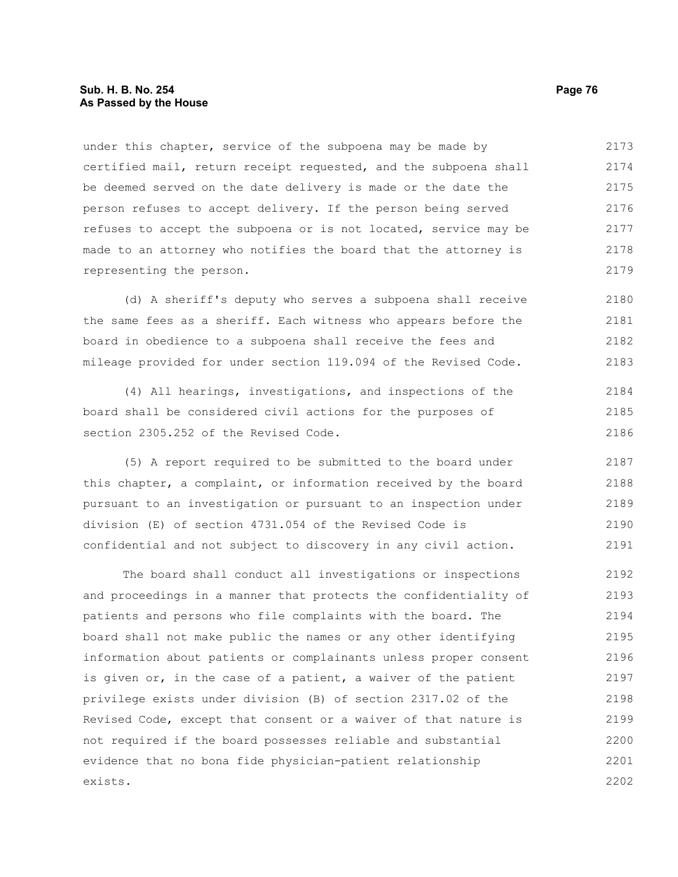## **Sub. H. B. No. 254 Page 76 As Passed by the House**

under this chapter, service of the subpoena may be made by certified mail, return receipt requested, and the subpoena shall be deemed served on the date delivery is made or the date the person refuses to accept delivery. If the person being served refuses to accept the subpoena or is not located, service may be made to an attorney who notifies the board that the attorney is representing the person. 2173 2174 2175 2176 2177 2178 2179

(d) A sheriff's deputy who serves a subpoena shall receive the same fees as a sheriff. Each witness who appears before the board in obedience to a subpoena shall receive the fees and mileage provided for under section 119.094 of the Revised Code. 2180 2181 2182 2183

(4) All hearings, investigations, and inspections of the board shall be considered civil actions for the purposes of section 2305.252 of the Revised Code. 2184 2185 2186

(5) A report required to be submitted to the board under this chapter, a complaint, or information received by the board pursuant to an investigation or pursuant to an inspection under division (E) of section 4731.054 of the Revised Code is confidential and not subject to discovery in any civil action. 2187 2188 2189 2190 2191

The board shall conduct all investigations or inspections and proceedings in a manner that protects the confidentiality of patients and persons who file complaints with the board. The board shall not make public the names or any other identifying information about patients or complainants unless proper consent is given or, in the case of a patient, a waiver of the patient privilege exists under division (B) of section 2317.02 of the Revised Code, except that consent or a waiver of that nature is not required if the board possesses reliable and substantial evidence that no bona fide physician-patient relationship exists. 2192 2193 2194 2195 2196 2197 2198 2199 2200 2201 2202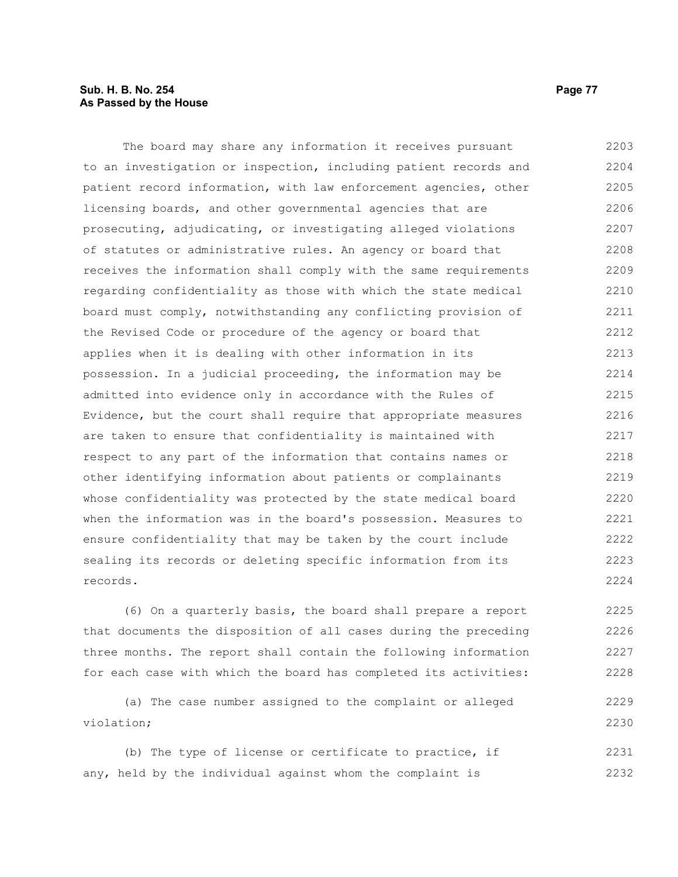## **Sub. H. B. No. 254 Page 77 As Passed by the House**

The board may share any information it receives pursuant to an investigation or inspection, including patient records and patient record information, with law enforcement agencies, other licensing boards, and other governmental agencies that are prosecuting, adjudicating, or investigating alleged violations of statutes or administrative rules. An agency or board that receives the information shall comply with the same requirements regarding confidentiality as those with which the state medical board must comply, notwithstanding any conflicting provision of the Revised Code or procedure of the agency or board that applies when it is dealing with other information in its possession. In a judicial proceeding, the information may be admitted into evidence only in accordance with the Rules of Evidence, but the court shall require that appropriate measures are taken to ensure that confidentiality is maintained with respect to any part of the information that contains names or other identifying information about patients or complainants whose confidentiality was protected by the state medical board when the information was in the board's possession. Measures to ensure confidentiality that may be taken by the court include sealing its records or deleting specific information from its records. 2203 2204 2205 2206 2207 2208 2209 2210 2211 2212 2213 2214 2215 2216 2217 2218 2219 2220 2221 2222 2223 2224

(6) On a quarterly basis, the board shall prepare a report that documents the disposition of all cases during the preceding three months. The report shall contain the following information for each case with which the board has completed its activities: 2225 2226 2227 2228

(a) The case number assigned to the complaint or alleged violation; 2229 2230

(b) The type of license or certificate to practice, if any, held by the individual against whom the complaint is 2231 2232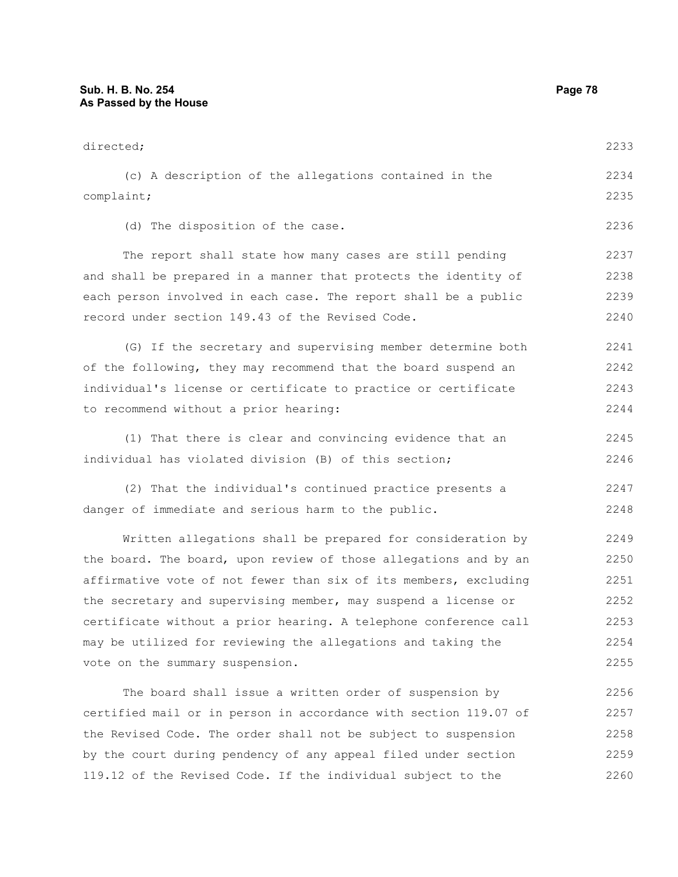| directed;                                                        | 2233 |  |  |  |  |  |  |  |  |
|------------------------------------------------------------------|------|--|--|--|--|--|--|--|--|
| (c) A description of the allegations contained in the            | 2234 |  |  |  |  |  |  |  |  |
| complaint;                                                       | 2235 |  |  |  |  |  |  |  |  |
| (d) The disposition of the case.                                 | 2236 |  |  |  |  |  |  |  |  |
| The report shall state how many cases are still pending          | 2237 |  |  |  |  |  |  |  |  |
| and shall be prepared in a manner that protects the identity of  | 2238 |  |  |  |  |  |  |  |  |
| each person involved in each case. The report shall be a public  |      |  |  |  |  |  |  |  |  |
| record under section 149.43 of the Revised Code.                 | 2240 |  |  |  |  |  |  |  |  |
| (G) If the secretary and supervising member determine both       | 2241 |  |  |  |  |  |  |  |  |
| of the following, they may recommend that the board suspend an   | 2242 |  |  |  |  |  |  |  |  |
| individual's license or certificate to practice or certificate   | 2243 |  |  |  |  |  |  |  |  |
| to recommend without a prior hearing:                            | 2244 |  |  |  |  |  |  |  |  |
| (1) That there is clear and convincing evidence that an          | 2245 |  |  |  |  |  |  |  |  |
| individual has violated division (B) of this section;            | 2246 |  |  |  |  |  |  |  |  |
| (2) That the individual's continued practice presents a          | 2247 |  |  |  |  |  |  |  |  |
| danger of immediate and serious harm to the public.              | 2248 |  |  |  |  |  |  |  |  |
| Written allegations shall be prepared for consideration by       | 2249 |  |  |  |  |  |  |  |  |
| the board. The board, upon review of those allegations and by an | 2250 |  |  |  |  |  |  |  |  |
| affirmative vote of not fewer than six of its members, excluding | 2251 |  |  |  |  |  |  |  |  |
| the secretary and supervising member, may suspend a license or   | 2252 |  |  |  |  |  |  |  |  |
| certificate without a prior hearing. A telephone conference call | 2253 |  |  |  |  |  |  |  |  |
| may be utilized for reviewing the allegations and taking the     | 2254 |  |  |  |  |  |  |  |  |
| vote on the summary suspension.                                  | 2255 |  |  |  |  |  |  |  |  |
| The board shall issue a written order of suspension by           | 2256 |  |  |  |  |  |  |  |  |
| certified mail or in person in accordance with section 119.07 of | 2257 |  |  |  |  |  |  |  |  |
| the Revised Code. The order shall not be subject to suspension   | 2258 |  |  |  |  |  |  |  |  |
| by the court during pendency of any appeal filed under section   | 2259 |  |  |  |  |  |  |  |  |
| 119.12 of the Revised Code. If the individual subject to the     | 2260 |  |  |  |  |  |  |  |  |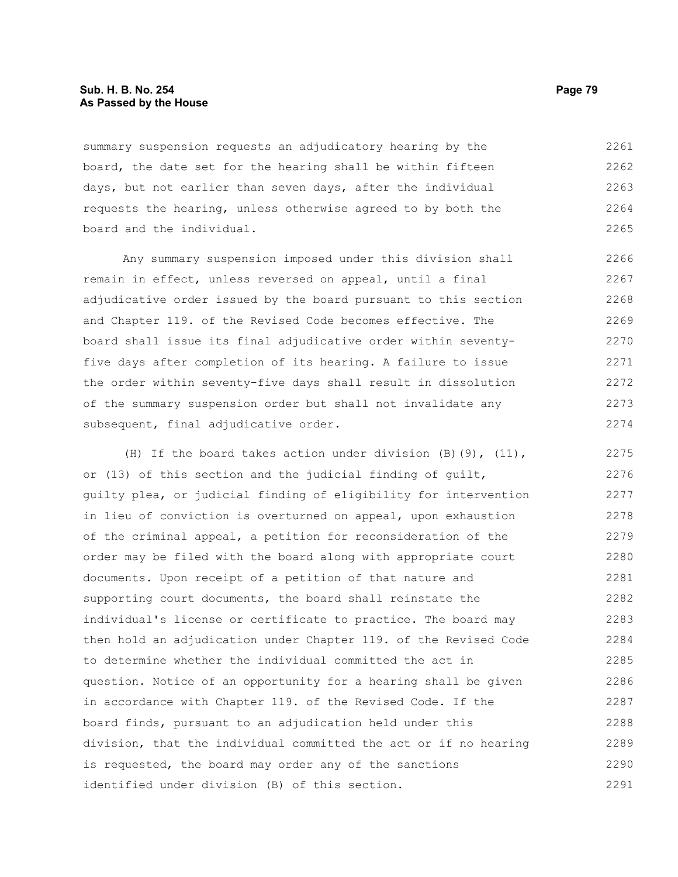## **Sub. H. B. No. 254 Page 79 As Passed by the House**

summary suspension requests an adjudicatory hearing by the board, the date set for the hearing shall be within fifteen days, but not earlier than seven days, after the individual requests the hearing, unless otherwise agreed to by both the board and the individual. 2261 2262 2263 2264 2265

Any summary suspension imposed under this division shall remain in effect, unless reversed on appeal, until a final adjudicative order issued by the board pursuant to this section and Chapter 119. of the Revised Code becomes effective. The board shall issue its final adjudicative order within seventyfive days after completion of its hearing. A failure to issue the order within seventy-five days shall result in dissolution of the summary suspension order but shall not invalidate any subsequent, final adjudicative order. 2266 2267 2268 2269 2270 2271 2272 2273 2274

(H) If the board takes action under division  $(B)$  (9), (11), or (13) of this section and the judicial finding of guilt, guilty plea, or judicial finding of eligibility for intervention in lieu of conviction is overturned on appeal, upon exhaustion of the criminal appeal, a petition for reconsideration of the order may be filed with the board along with appropriate court documents. Upon receipt of a petition of that nature and supporting court documents, the board shall reinstate the individual's license or certificate to practice. The board may then hold an adjudication under Chapter 119. of the Revised Code to determine whether the individual committed the act in question. Notice of an opportunity for a hearing shall be given in accordance with Chapter 119. of the Revised Code. If the board finds, pursuant to an adjudication held under this division, that the individual committed the act or if no hearing is requested, the board may order any of the sanctions identified under division (B) of this section. 2275 2276 2277 2278 2279 2280 2281 2282 2283 2284 2285 2286 2287 2288 2289 2290 2291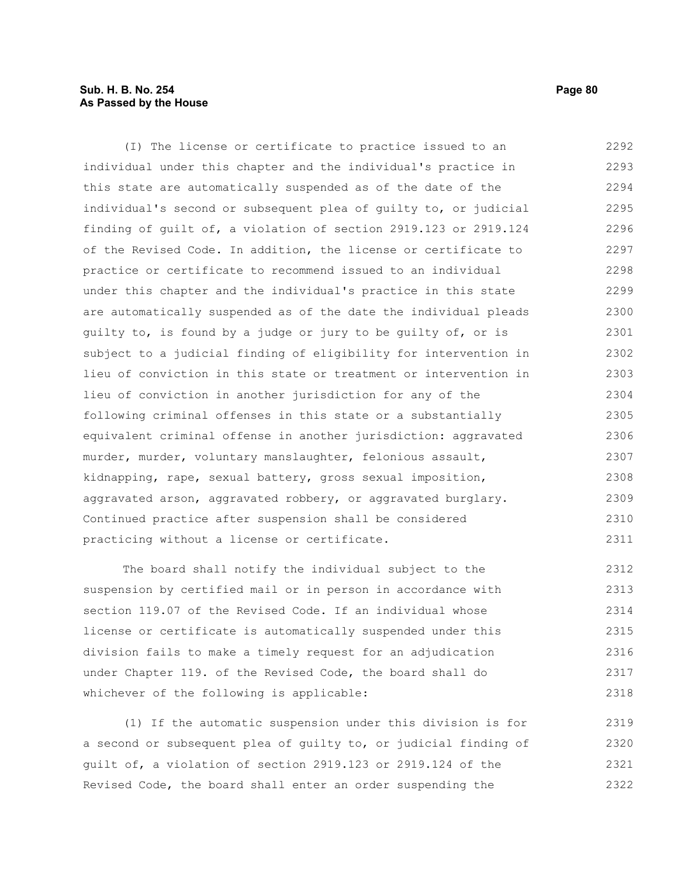## **Sub. H. B. No. 254 Page 80 As Passed by the House**

(I) The license or certificate to practice issued to an individual under this chapter and the individual's practice in this state are automatically suspended as of the date of the individual's second or subsequent plea of guilty to, or judicial finding of guilt of, a violation of section 2919.123 or 2919.124 of the Revised Code. In addition, the license or certificate to practice or certificate to recommend issued to an individual under this chapter and the individual's practice in this state are automatically suspended as of the date the individual pleads guilty to, is found by a judge or jury to be guilty of, or is subject to a judicial finding of eligibility for intervention in lieu of conviction in this state or treatment or intervention in lieu of conviction in another jurisdiction for any of the following criminal offenses in this state or a substantially equivalent criminal offense in another jurisdiction: aggravated murder, murder, voluntary manslaughter, felonious assault, kidnapping, rape, sexual battery, gross sexual imposition, aggravated arson, aggravated robbery, or aggravated burglary. Continued practice after suspension shall be considered practicing without a license or certificate. 2292 2293 2294 2295 2296 2297 2298 2299 2300 2301 2302 2303 2304 2305 2306 2307 2308 2309 2310 2311

The board shall notify the individual subject to the suspension by certified mail or in person in accordance with section 119.07 of the Revised Code. If an individual whose license or certificate is automatically suspended under this division fails to make a timely request for an adjudication under Chapter 119. of the Revised Code, the board shall do whichever of the following is applicable: 2312 2313 2314 2315 2316 2317 2318

(1) If the automatic suspension under this division is for a second or subsequent plea of guilty to, or judicial finding of guilt of, a violation of section 2919.123 or 2919.124 of the Revised Code, the board shall enter an order suspending the 2319 2320 2321 2322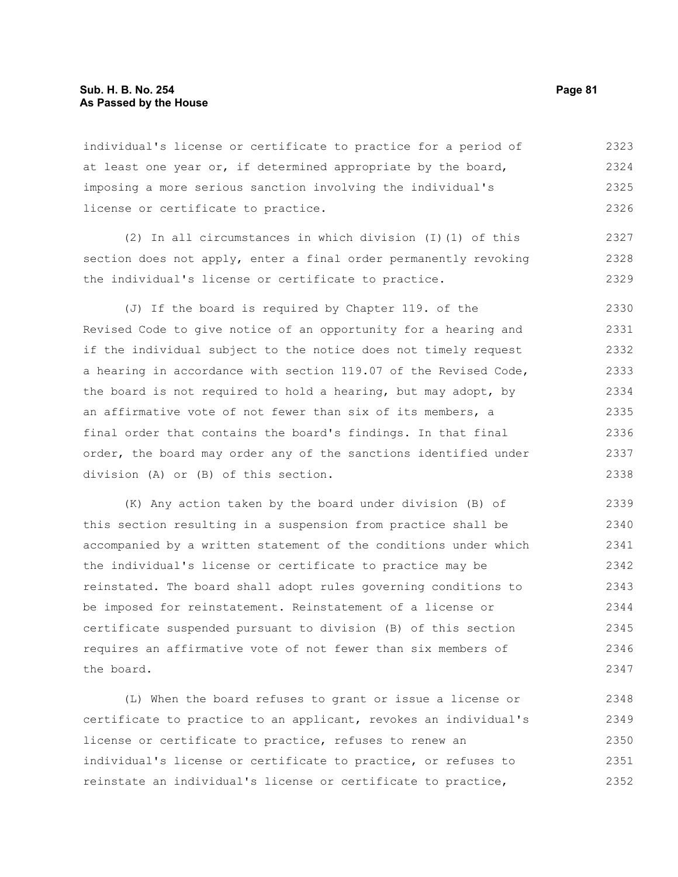individual's license or certificate to practice for a period of at least one year or, if determined appropriate by the board, imposing a more serious sanction involving the individual's license or certificate to practice. 2323 2324 2325 2326

(2) In all circumstances in which division (I)(1) of this section does not apply, enter a final order permanently revoking the individual's license or certificate to practice. 2327 2328 2329

(J) If the board is required by Chapter 119. of the Revised Code to give notice of an opportunity for a hearing and if the individual subject to the notice does not timely request a hearing in accordance with section 119.07 of the Revised Code, the board is not required to hold a hearing, but may adopt, by an affirmative vote of not fewer than six of its members, a final order that contains the board's findings. In that final order, the board may order any of the sanctions identified under division (A) or (B) of this section. 2330 2331 2332 2333 2334 2335 2336 2337 2338

(K) Any action taken by the board under division (B) of this section resulting in a suspension from practice shall be accompanied by a written statement of the conditions under which the individual's license or certificate to practice may be reinstated. The board shall adopt rules governing conditions to be imposed for reinstatement. Reinstatement of a license or certificate suspended pursuant to division (B) of this section requires an affirmative vote of not fewer than six members of the board. 2339 2340 2341 2342 2343 2344 2345 2346 2347

(L) When the board refuses to grant or issue a license or certificate to practice to an applicant, revokes an individual's license or certificate to practice, refuses to renew an individual's license or certificate to practice, or refuses to reinstate an individual's license or certificate to practice, 2348 2349 2350 2351 2352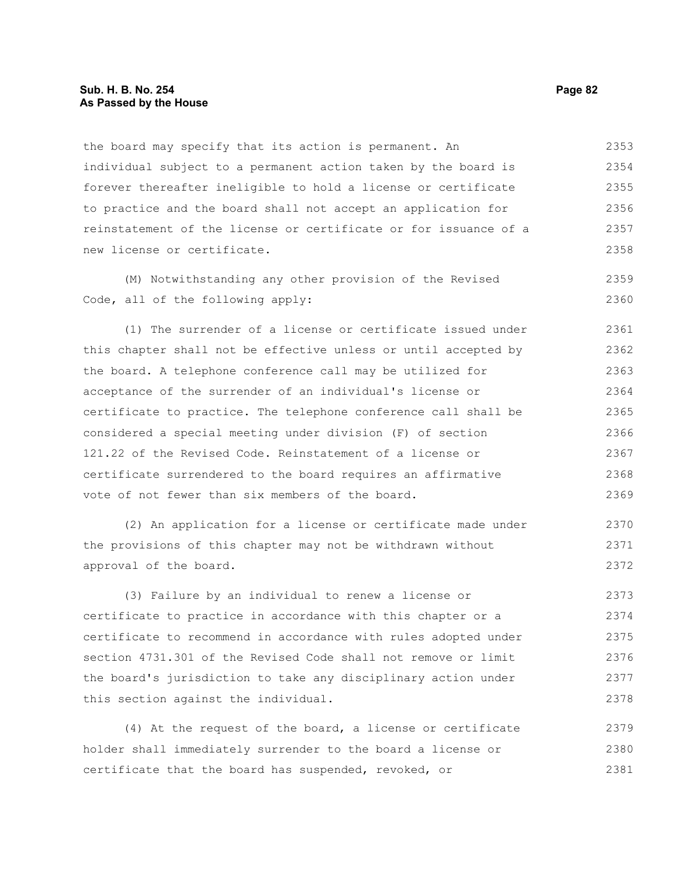### **Sub. H. B. No. 254 Page 82 As Passed by the House**

the board may specify that its action is permanent. An individual subject to a permanent action taken by the board is forever thereafter ineligible to hold a license or certificate to practice and the board shall not accept an application for reinstatement of the license or certificate or for issuance of a new license or certificate. 2353 2354 2355 2356 2357 2358

(M) Notwithstanding any other provision of the Revised Code, all of the following apply:

(1) The surrender of a license or certificate issued under this chapter shall not be effective unless or until accepted by the board. A telephone conference call may be utilized for acceptance of the surrender of an individual's license or certificate to practice. The telephone conference call shall be considered a special meeting under division (F) of section 121.22 of the Revised Code. Reinstatement of a license or certificate surrendered to the board requires an affirmative vote of not fewer than six members of the board. 2361 2362 2363 2364 2365 2366 2367 2368 2369

(2) An application for a license or certificate made under the provisions of this chapter may not be withdrawn without approval of the board. 2370 2371 2372

(3) Failure by an individual to renew a license or certificate to practice in accordance with this chapter or a certificate to recommend in accordance with rules adopted under section 4731.301 of the Revised Code shall not remove or limit the board's jurisdiction to take any disciplinary action under this section against the individual. 2373 2374 2375 2376 2377 2378

(4) At the request of the board, a license or certificate holder shall immediately surrender to the board a license or certificate that the board has suspended, revoked, or 2379 2380 2381

2359 2360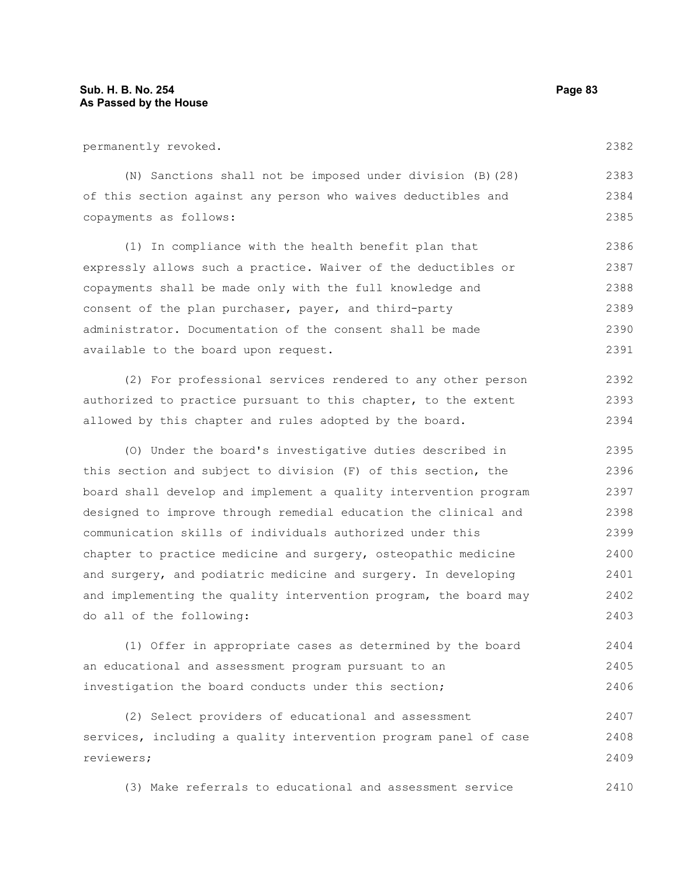permanently revoked.

(N) Sanctions shall not be imposed under division (B)(28) of this section against any person who waives deductibles and copayments as follows: 2383 2384 2385

(1) In compliance with the health benefit plan that expressly allows such a practice. Waiver of the deductibles or copayments shall be made only with the full knowledge and consent of the plan purchaser, payer, and third-party administrator. Documentation of the consent shall be made available to the board upon request. 2386 2387 2388 2389 2390 2391

(2) For professional services rendered to any other person authorized to practice pursuant to this chapter, to the extent allowed by this chapter and rules adopted by the board.

(O) Under the board's investigative duties described in this section and subject to division (F) of this section, the board shall develop and implement a quality intervention program designed to improve through remedial education the clinical and communication skills of individuals authorized under this chapter to practice medicine and surgery, osteopathic medicine and surgery, and podiatric medicine and surgery. In developing and implementing the quality intervention program, the board may do all of the following: 2395 2396 2397 2398 2399 2400 2401 2402 2403

(1) Offer in appropriate cases as determined by the board an educational and assessment program pursuant to an investigation the board conducts under this section; 2404 2405 2406

(2) Select providers of educational and assessment services, including a quality intervention program panel of case reviewers; 2407 2408 2409

(3) Make referrals to educational and assessment service 2410

2382

2392 2393 2394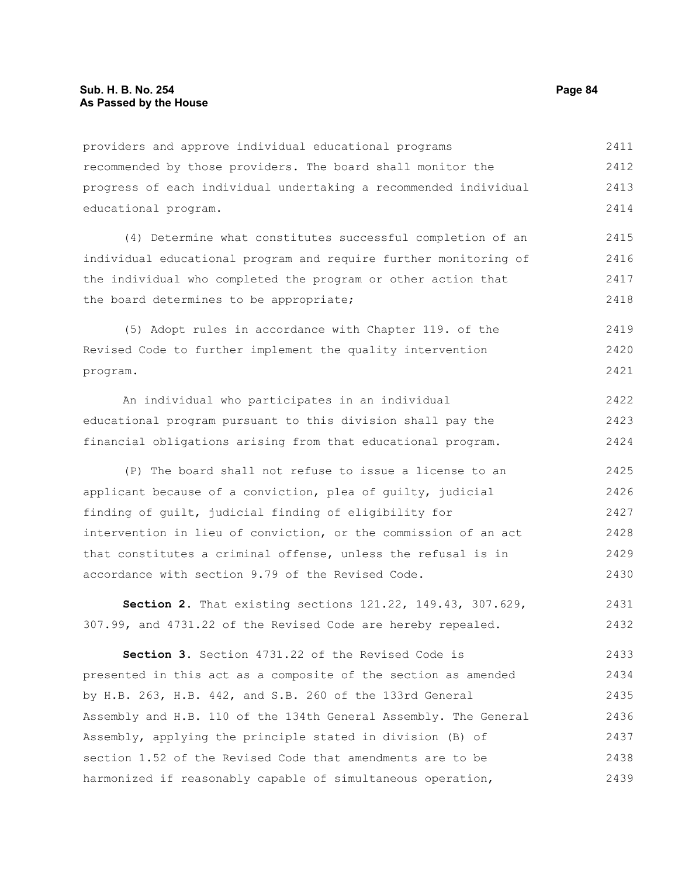providers and approve individual educational programs recommended by those providers. The board shall monitor the progress of each individual undertaking a recommended individual educational program. 2411 2412 2413 2414

(4) Determine what constitutes successful completion of an individual educational program and require further monitoring of the individual who completed the program or other action that the board determines to be appropriate; 2415 2416 2417 2418

(5) Adopt rules in accordance with Chapter 119. of the Revised Code to further implement the quality intervention program. 2419 2420 2421

An individual who participates in an individual educational program pursuant to this division shall pay the financial obligations arising from that educational program. 2422 2423 2424

(P) The board shall not refuse to issue a license to an applicant because of a conviction, plea of guilty, judicial finding of guilt, judicial finding of eligibility for intervention in lieu of conviction, or the commission of an act that constitutes a criminal offense, unless the refusal is in accordance with section 9.79 of the Revised Code. 2425 2426 2427 2428 2429 2430

**Section 2.** That existing sections 121.22, 149.43, 307.629, 307.99, and 4731.22 of the Revised Code are hereby repealed. 2431 2432

**Section 3.** Section 4731.22 of the Revised Code is presented in this act as a composite of the section as amended by H.B. 263, H.B. 442, and S.B. 260 of the 133rd General Assembly and H.B. 110 of the 134th General Assembly. The General Assembly, applying the principle stated in division (B) of section 1.52 of the Revised Code that amendments are to be harmonized if reasonably capable of simultaneous operation, 2433 2434 2435 2436 2437 2438 2439